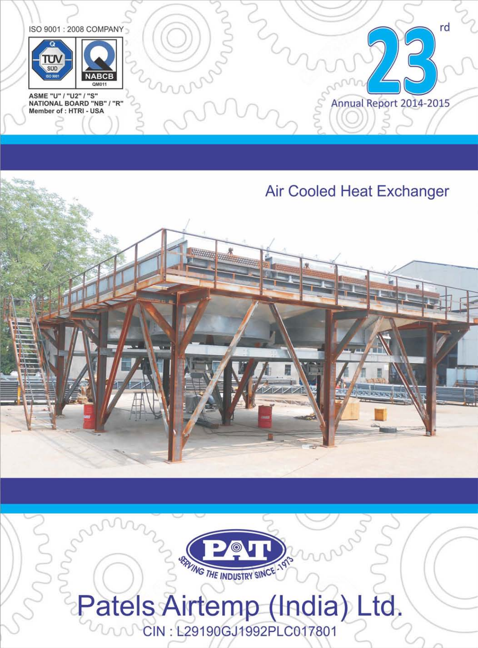





ro.

# I JOUL Patels Airtemp (India) Ltd. CIN: L29190GJ1992PLC017801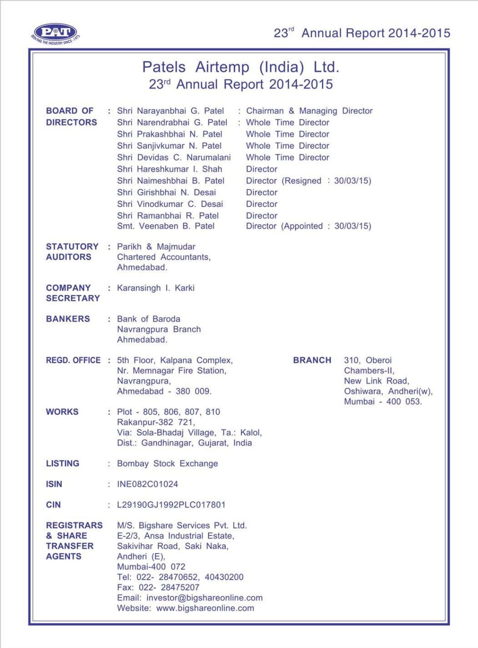23rd Annual Report 2014-2015



| Patels Airtemp (India) Ltd.<br>23rd Annual Report 2014-2015      |                                                                                                                                                                                                                                                                                                                                                                                                                                                                                                                                                                                                                |  |  |  |  |  |  |
|------------------------------------------------------------------|----------------------------------------------------------------------------------------------------------------------------------------------------------------------------------------------------------------------------------------------------------------------------------------------------------------------------------------------------------------------------------------------------------------------------------------------------------------------------------------------------------------------------------------------------------------------------------------------------------------|--|--|--|--|--|--|
| <b>BOARD OF</b><br><b>DIRECTORS</b>                              | : Shri Narayanbhai G. Patel<br>: Chairman & Managing Director<br>Shri Narendrabhai G. Patel<br>: Whole Time Director<br>Shri Prakashbhai N. Patel<br>Whole Time Director<br>Shri Sanjivkumar N. Patel<br>Whole Time Director<br>Shri Devidas C. Narumalani<br><b>Whole Time Director</b><br>Shri Hareshkumar I. Shah<br><b>Director</b><br>Shri Naimeshbhai B. Patel<br>Director (Resigned : 30/03/15)<br>Shri Girishbhai N. Desai<br><b>Director</b><br>Shri Vinodkumar C. Desai<br><b>Director</b><br>Shri Ramanbhai R. Patel<br><b>Director</b><br>Smt. Veenaben B. Patel<br>Director (Appointed: 30/03/15) |  |  |  |  |  |  |
| <b>AUDITORS</b>                                                  | <b>STATUTORY</b> : Parikh & Majmudar<br>Chartered Accountants,<br>Ahmedabad.                                                                                                                                                                                                                                                                                                                                                                                                                                                                                                                                   |  |  |  |  |  |  |
| <b>COMPANY</b><br><b>SECRETARY</b>                               | : Karansingh I. Karki                                                                                                                                                                                                                                                                                                                                                                                                                                                                                                                                                                                          |  |  |  |  |  |  |
| <b>BANKERS</b>                                                   | : Bank of Baroda<br>Navrangpura Branch<br>Ahmedabad.                                                                                                                                                                                                                                                                                                                                                                                                                                                                                                                                                           |  |  |  |  |  |  |
|                                                                  | <b>REGD. OFFICE</b> : 5th Floor, Kalpana Complex,<br><b>BRANCH</b><br>310, Oberoi<br>Nr. Memnagar Fire Station,<br>Chambers-II,<br>New Link Road,<br>Navrangpura,<br>Ahmedabad - 380 009.<br>Oshiwara, Andheri(w),<br>Mumbai - 400 053.                                                                                                                                                                                                                                                                                                                                                                        |  |  |  |  |  |  |
| <b>WORKS</b>                                                     | : Plot - 805, 806, 807, 810<br>Rakanpur-382 721,<br>Via: Sola-Bhadaj Village, Ta.: Kalol,<br>Dist.: Gandhinagar, Gujarat, India                                                                                                                                                                                                                                                                                                                                                                                                                                                                                |  |  |  |  |  |  |
| <b>LISTING</b>                                                   | : Bombay Stock Exchange                                                                                                                                                                                                                                                                                                                                                                                                                                                                                                                                                                                        |  |  |  |  |  |  |
| <b>ISIN</b>                                                      | : INE082C01024                                                                                                                                                                                                                                                                                                                                                                                                                                                                                                                                                                                                 |  |  |  |  |  |  |
| <b>CIN</b>                                                       | : L29190GJ1992PLC017801                                                                                                                                                                                                                                                                                                                                                                                                                                                                                                                                                                                        |  |  |  |  |  |  |
| <b>REGISTRARS</b><br>& SHARE<br><b>TRANSFER</b><br><b>AGENTS</b> | M/S. Bigshare Services Pvt. Ltd.<br>E-2/3, Ansa Industrial Estate,<br>Sakivihar Road, Saki Naka,<br>Andheri (E),<br>Mumbai-400 072<br>Tel: 022- 28470652, 40430200<br>Fax: 022- 28475207<br>Email: investor@bigshareonline.com<br>Website: www.bigshareonline.com                                                                                                                                                                                                                                                                                                                                              |  |  |  |  |  |  |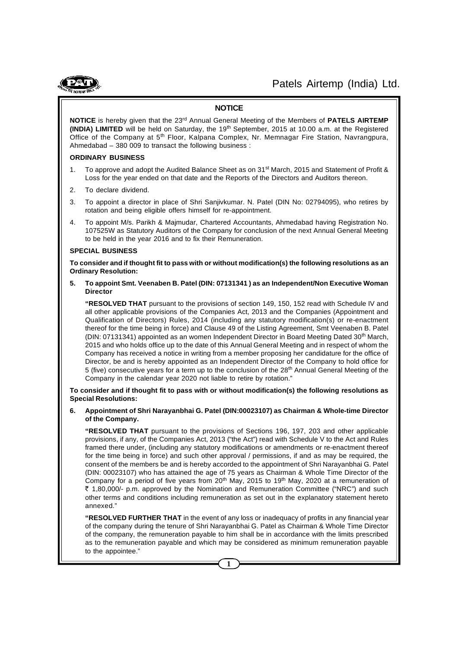

# **NOTICE**

**NOTICE** is hereby given that the 23rd Annual General Meeting of the Members of **PATELS AIRTEMP (INDIA) LIMITED** will be held on Saturday, the 19th September, 2015 at 10.00 a.m. at the Registered Office of the Company at 5<sup>th</sup> Floor, Kalpana Complex, Nr. Memnagar Fire Station, Navrangpura, Ahmedabad – 380 009 to transact the following business :

#### **ORDINARY BUSINESS**

- 1. To approve and adopt the Audited Balance Sheet as on 31<sup>st</sup> March, 2015 and Statement of Profit & Loss for the year ended on that date and the Reports of the Directors and Auditors thereon.
- 2. To declare dividend.
- 3. To appoint a director in place of Shri Sanjivkumar. N. Patel (DIN No: 02794095), who retires by rotation and being eligible offers himself for re-appointment.
- 4. To appoint M/s. Parikh & Majmudar, Chartered Accountants, Ahmedabad having Registration No. 107525W as Statutory Auditors of the Company for conclusion of the next Annual General Meeting to be held in the year 2016 and to fix their Remuneration.

#### **SPECIAL BUSINESS**

**To consider and if thought fit to pass with or without modification(s) the following resolutions as an Ordinary Resolution:**

**5. To appoint Smt. Veenaben B. Patel (DIN: 07131341 ) as an Independent/Non Executive Woman Director**

**"RESOLVED THAT** pursuant to the provisions of section 149, 150, 152 read with Schedule IV and all other applicable provisions of the Companies Act, 2013 and the Companies (Appointment and Qualification of Directors) Rules, 2014 (including any statutory modification(s) or re-enactment thereof for the time being in force) and Clause 49 of the Listing Agreement, Smt Veenaben B. Patel (DIN: 07131341) appointed as an women Independent Director in Board Meeting Dated 30<sup>th</sup> March, 2015 and who holds office up to the date of this Annual General Meeting and in respect of whom the Company has received a notice in writing from a member proposing her candidature for the office of Director, be and is hereby appointed as an Independent Director of the Company to hold office for 5 (five) consecutive years for a term up to the conclusion of the  $28<sup>th</sup>$  Annual General Meeting of the Company in the calendar year 2020 not liable to retire by rotation."

**To consider and if thought fit to pass with or without modification(s) the following resolutions as Special Resolutions:**

**6. Appointment of Shri Narayanbhai G. Patel (DIN:00023107) as Chairman & Whole-time Director of the Company.**

**"RESOLVED THAT** pursuant to the provisions of Sections 196, 197, 203 and other applicable provisions, if any, of the Companies Act, 2013 ("the Act") read with Schedule V to the Act and Rules framed there under, (including any statutory modifications or amendments or re-enactment thereof for the time being in force) and such other approval / permissions, if and as may be required, the consent of the members be and is hereby accorded to the appointment of Shri Narayanbhai G. Patel (DIN: 00023107) who has attained the age of 75 years as Chairman & Whole Time Director of the Company for a period of five years from 20<sup>th</sup> May, 2015 to 19<sup>th</sup> May, 2020 at a remuneration of ` 1,80,000/- p.m. approved by the Nomination and Remuneration Committee ("NRC") and such other terms and conditions including remuneration as set out in the explanatory statement hereto annexed."

**"RESOLVED FURTHER THAT** in the event of any loss or inadequacy of profits in any financial year of the company during the tenure of Shri Narayanbhai G. Patel as Chairman & Whole Time Director of the company, the remuneration payable to him shall be in accordance with the limits prescribed as to the remuneration payable and which may be considered as minimum remuneration payable to the appointee."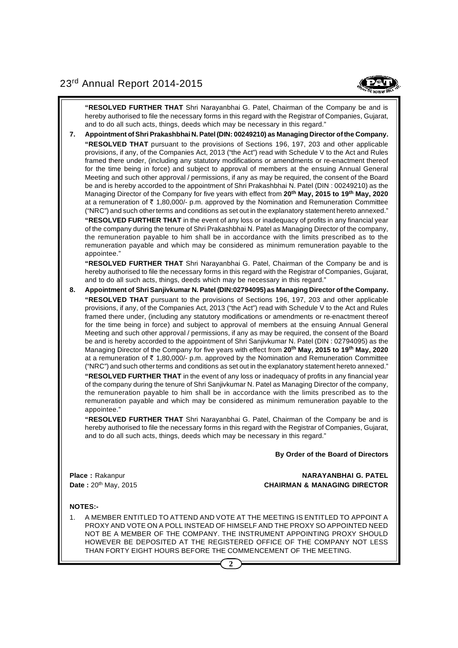

**"RESOLVED FURTHER THAT** Shri Narayanbhai G. Patel, Chairman of the Company be and is hereby authorised to file the necessary forms in this regard with the Registrar of Companies, Gujarat, and to do all such acts, things, deeds which may be necessary in this regard."

**7. Appointment of Shri Prakashbhai N. Patel (DIN: 00249210) as Managing Director of the Company. "RESOLVED THAT** pursuant to the provisions of Sections 196, 197, 203 and other applicable provisions, if any, of the Companies Act, 2013 ("the Act") read with Schedule V to the Act and Rules framed there under, (including any statutory modifications or amendments or re-enactment thereof for the time being in force) and subject to approval of members at the ensuing Annual General Meeting and such other approval / permissions, if any as may be required, the consent of the Board be and is hereby accorded to the appointment of Shri Prakashbhai N. Patel (DIN : 00249210) as the Managing Director of the Company for five years with effect from **20th May, 2015 to 19th May, 2020** at a remuneration of  $\bar{\tau}$  1,80,000/- p.m. approved by the Nomination and Remuneration Committee ("NRC") and such other terms and conditions as set out in the explanatory statement hereto annexed."

**"RESOLVED FURTHER THAT** in the event of any loss or inadequacy of profits in any financial year of the company during the tenure of Shri Prakashbhai N. Patel as Managing Director of the company, the remuneration payable to him shall be in accordance with the limits prescribed as to the remuneration payable and which may be considered as minimum remuneration payable to the appointee."

**"RESOLVED FURTHER THAT** Shri Narayanbhai G. Patel, Chairman of the Company be and is hereby authorised to file the necessary forms in this regard with the Registrar of Companies, Gujarat, and to do all such acts, things, deeds which may be necessary in this regard."

**8. Appointment of Shri Sanjivkumar N. Patel (DIN:02794095) as Managing Director of the Company. "RESOLVED THAT** pursuant to the provisions of Sections 196, 197, 203 and other applicable provisions, if any, of the Companies Act, 2013 ("the Act") read with Schedule V to the Act and Rules framed there under, (including any statutory modifications or amendments or re-enactment thereof for the time being in force) and subject to approval of members at the ensuing Annual General Meeting and such other approval / permissions, if any as may be required, the consent of the Board be and is hereby accorded to the appointment of Shri Sanjivkumar N. Patel (DIN : 02794095) as the Managing Director of the Company for five years with effect from **20th May, 2015 to 19th May, 2020** at a remuneration of  $\bar{\tau}$  1,80,000/- p.m. approved by the Nomination and Remuneration Committee ("NRC") and such other terms and conditions as set out in the explanatory statement hereto annexed."

**"RESOLVED FURTHER THAT** in the event of any loss or inadequacy of profits in any financial year of the company during the tenure of Shri Sanjivkumar N. Patel as Managing Director of the company, the remuneration payable to him shall be in accordance with the limits prescribed as to the remuneration payable and which may be considered as minimum remuneration payable to the appointee."

**"RESOLVED FURTHER THAT** Shri Narayanbhai G. Patel, Chairman of the Company be and is hereby authorised to file the necessary forms in this regard with the Registrar of Companies, Gujarat, and to do all such acts, things, deeds which may be necessary in this regard."

**By Order of the Board of Directors**

**Place :** Rakanpur **NARAYANBHAI G. PATEL Date :** 20th May, 2015 **CHAIRMAN & MANAGING DIRECTOR**

## **NOTES:-**

1. A MEMBER ENTITLED TO ATTEND AND VOTE AT THE MEETING IS ENTITLED TO APPOINT A PROXY AND VOTE ON A POLL INSTEAD OF HIMSELF AND THE PROXY SO APPOINTED NEED NOT BE A MEMBER OF THE COMPANY. THE INSTRUMENT APPOINTING PROXY SHOULD HOWEVER BE DEPOSITED AT THE REGISTERED OFFICE OF THE COMPANY NOT LESS THAN FORTY EIGHT HOURS BEFORE THE COMMENCEMENT OF THE MEETING.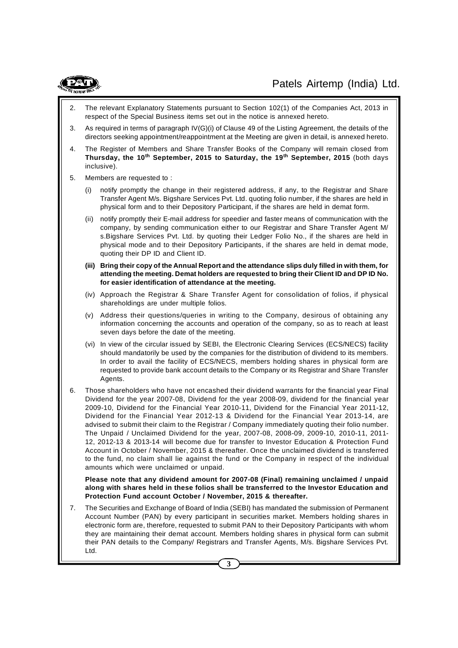

- 2. The relevant Explanatory Statements pursuant to Section 102(1) of the Companies Act, 2013 in respect of the Special Business items set out in the notice is annexed hereto.
- 3. As required in terms of paragraph IV(G)(i) of Clause 49 of the Listing Agreement, the details of the directors seeking appointment/reappointment at the Meeting are given in detail, is annexed hereto.
- 4. The Register of Members and Share Transfer Books of the Company will remain closed from **Thursday, the 10th September, 2015 to Saturday, the 19th September, 2015** (both days inclusive).
- 5. Members are requested to :
	- (i) notify promptly the change in their registered address, if any, to the Registrar and Share Transfer Agent M/s. Bigshare Services Pvt. Ltd. quoting folio number, if the shares are held in physical form and to their Depository Participant, if the shares are held in demat form.
	- (ii) notify promptly their E-mail address for speedier and faster means of communication with the company, by sending communication either to our Registrar and Share Transfer Agent M/ s.Bigshare Services Pvt. Ltd. by quoting their Ledger Folio No., if the shares are held in physical mode and to their Depository Participants, if the shares are held in demat mode, quoting their DP ID and Client ID.
	- **(iii) Bring their copy of the Annual Report and the attendance slips duly filled in with them, for attending the meeting. Demat holders are requested to bring their Client ID and DP ID No. for easier identification of attendance at the meeting.**
	- (iv) Approach the Registrar & Share Transfer Agent for consolidation of folios, if physical shareholdings are under multiple folios.
	- (v) Address their questions/queries in writing to the Company, desirous of obtaining any information concerning the accounts and operation of the company, so as to reach at least seven days before the date of the meeting.
	- (vi) In view of the circular issued by SEBI, the Electronic Clearing Services (ECS/NECS) facility should mandatorily be used by the companies for the distribution of dividend to its members. In order to avail the facility of ECS/NECS, members holding shares in physical form are requested to provide bank account details to the Company or its Registrar and Share Transfer Agents.
- 6. Those shareholders who have not encashed their dividend warrants for the financial year Final Dividend for the year 2007-08, Dividend for the year 2008-09, dividend for the financial year 2009-10, Dividend for the Financial Year 2010-11, Dividend for the Financial Year 2011-12, Dividend for the Financial Year 2012-13 & Dividend for the Financial Year 2013-14, are advised to submit their claim to the Registrar / Company immediately quoting their folio number. The Unpaid / Unclaimed Dividend for the year, 2007-08, 2008-09, 2009-10, 2010-11, 2011- 12, 2012-13 & 2013-14 will become due for transfer to Investor Education & Protection Fund Account in October / November, 2015 & thereafter. Once the unclaimed dividend is transferred to the fund, no claim shall lie against the fund or the Company in respect of the individual amounts which were unclaimed or unpaid.

**Please note that any dividend amount for 2007-08 (Final) remaining unclaimed / unpaid along with shares held in these folios shall be transferred to the Investor Education and Protection Fund account October / November, 2015 & thereafter.**

7. The Securities and Exchange of Board of India (SEBI) has mandated the submission of Permanent Account Number (PAN) by every participant in securities market. Members holding shares in electronic form are, therefore, requested to submit PAN to their Depository Participants with whom they are maintaining their demat account. Members holding shares in physical form can submit their PAN details to the Company/ Registrars and Transfer Agents, M/s. Bigshare Services Pvt. Ltd.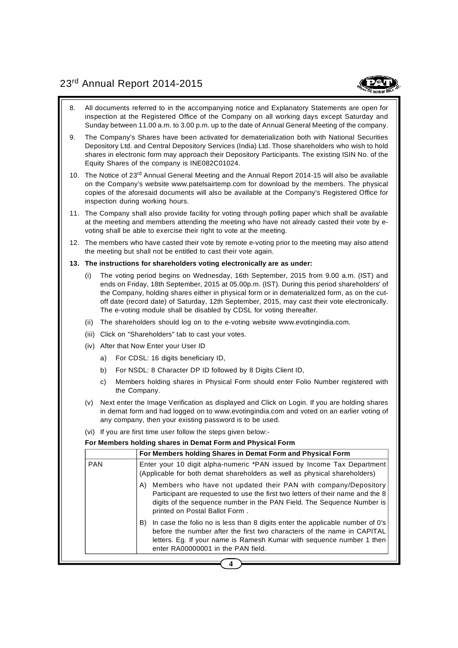

- 8. All documents referred to in the accompanying notice and Explanatory Statements are open for inspection at the Registered Office of the Company on all working days except Saturday and Sunday between 11.00 a.m. to 3.00 p.m. up to the date of Annual General Meeting of the company.
- 9. The Company's Shares have been activated for dematerialization both with National Securities Depository Ltd. and Central Depository Services (India) Ltd. Those shareholders who wish to hold shares in electronic form may approach their Depository Participants. The existing ISIN No. of the Equity Shares of the company is INE082C01024.
- 10. The Notice of 23<sup>rd</sup> Annual General Meeting and the Annual Report 2014-15 will also be available on the Company's website www.patelsairtemp.com for download by the members. The physical copies of the aforesaid documents will also be available at the Company's Registered Office for inspection during working hours.
- 11. The Company shall also provide facility for voting through polling paper which shall be available at the meeting and members attending the meeting who have not already casted their vote by evoting shall be able to exercise their right to vote at the meeting.
- 12. The members who have casted their vote by remote e-voting prior to the meeting may also attend the meeting but shall not be entitled to cast their vote again.
- **13. The instructions for shareholders voting electronically are as under:**
	- (i) The voting period begins on Wednesday, 16th September, 2015 from 9.00 a.m. (IST) and ends on Friday, 18th September, 2015 at 05.00p.m. (IST). During this period shareholders' of the Company, holding shares either in physical form or in dematerialized form, as on the cutoff date (record date) of Saturday, 12th September, 2015, may cast their vote electronically. The e-voting module shall be disabled by CDSL for voting thereafter.
	- (ii) The shareholders should log on to the e-voting website www.evotingindia.com.
	- (iii) Click on "Shareholders" tab to cast your votes.
	- (iv) After that Now Enter your User ID
		- a) For CDSL: 16 digits beneficiary ID,
		- b) For NSDL: 8 Character DP ID followed by 8 Digits Client ID,
		- c) Members holding shares in Physical Form should enter Folio Number registered with the Company.
	- (v) Next enter the Image Verification as displayed and Click on Login. If you are holding shares in demat form and had logged on to www.evotingindia.com and voted on an earlier voting of any company, then your existing password is to be used.
	- (vi) If you are first time user follow the steps given below:-

#### **For Members holding shares in Demat Form and Physical Form**

|            | For Members holding Shares in Demat Form and Physical Form                                                                                                                                                                                                                    |
|------------|-------------------------------------------------------------------------------------------------------------------------------------------------------------------------------------------------------------------------------------------------------------------------------|
| <b>PAN</b> | Enter your 10 digit alpha-numeric *PAN issued by Income Tax Department<br>(Applicable for both demat shareholders as well as physical shareholders)                                                                                                                           |
|            | Members who have not updated their PAN with company/Depository<br>A)<br>Participant are requested to use the first two letters of their name and the 8<br>digits of the sequence number in the PAN Field. The Sequence Number is<br>printed on Postal Ballot Form.            |
|            | In case the folio no is less than 8 digits enter the applicable number of 0's<br>B)<br>before the number after the first two characters of the name in CAPITAL<br>letters. Eg. If your name is Ramesh Kumar with sequence number 1 then<br>enter RA00000001 in the PAN field. |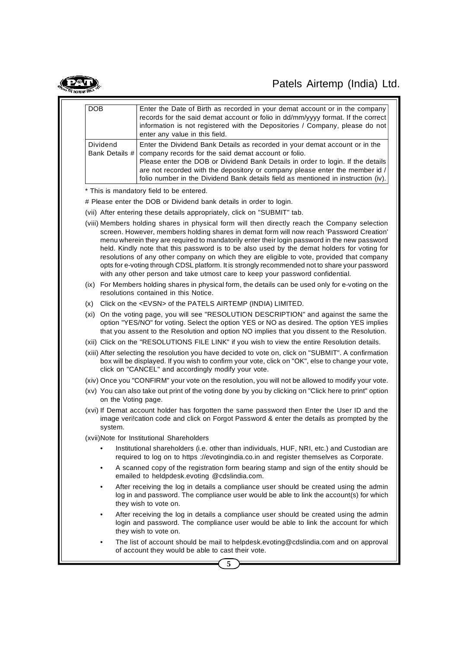

| <b>DOB</b>                 | Enter the Date of Birth as recorded in your demat account or in the company<br>records for the said demat account or folio in dd/mm/yyyy format. If the correct<br>information is not registered with the Depositories / Company, please do not<br>enter any value in this field.                                                                                                           |
|----------------------------|---------------------------------------------------------------------------------------------------------------------------------------------------------------------------------------------------------------------------------------------------------------------------------------------------------------------------------------------------------------------------------------------|
| Dividend<br>Bank Details # | Enter the Dividend Bank Details as recorded in your demat account or in the<br>company records for the said demat account or folio.<br>Please enter the DOB or Dividend Bank Details in order to login. If the details<br>are not recorded with the depository or company please enter the member id /<br>folio number in the Dividend Bank details field as mentioned in instruction (iv). |

- \* This is mandatory field to be entered.
- # Please enter the DOB or Dividend bank details in order to login.
- (vii) After entering these details appropriately, click on "SUBMIT" tab.
- (viii) Members holding shares in physical form will then directly reach the Company selection screen. However, members holding shares in demat form will now reach 'Password Creation' menu wherein they are required to mandatorily enter their login password in the new password held. Kindly note that this password is to be also used by the demat holders for voting for resolutions of any other company on which they are eligible to vote, provided that company opts for e-voting through CDSL platform. It is strongly recommended not to share your password with any other person and take utmost care to keep your password confidential.
- (ix) For Members holding shares in physical form, the details can be used only for e-voting on the resolutions contained in this Notice.
- (x) Click on the <EVSN> of the PATELS AIRTEMP (INDIA) LIMITED.
- (xi) On the voting page, you will see "RESOLUTION DESCRIPTION" and against the same the option "YES/NO" for voting. Select the option YES or NO as desired. The option YES implies that you assent to the Resolution and option NO implies that you dissent to the Resolution.
- (xii) Click on the "RESOLUTIONS FILE LINK" if you wish to view the entire Resolution details.
- (xiii) After selecting the resolution you have decided to vote on, click on "SUBMIT". A confirmation box will be displayed. If you wish to confirm your vote, click on "OK", else to change your vote, click on "CANCEL" and accordingly modify your vote.
- (xiv) Once you "CONFIRM" your vote on the resolution, you will not be allowed to modify your vote.
- (xv) You can also take out print of the voting done by you by clicking on "Click here to print" option on the Voting page.
- (xvi) If Demat account holder has forgotten the same password then Enter the User ID and the image veri!cation code and click on Forgot Password & enter the details as prompted by the system.

(xvii)Note for Institutional Shareholders

- Institutional shareholders (i.e. other than individuals, HUF, NRI, etc.) and Custodian are required to log on to https ://evotingindia.co.in and register themselves as Corporate.
- A scanned copy of the registration form bearing stamp and sign of the entity should be emailed to heldpdesk.evoting @cdslindia.com.
- After receiving the log in details a compliance user should be created using the admin log in and password. The compliance user would be able to link the account(s) for which they wish to vote on.
- After receiving the log in details a compliance user should be created using the admin login and password. The compliance user would be able to link the account for which they wish to vote on.
- The list of account should be mail to helpdesk.evoting@cdslindia.com and on approval of account they would be able to cast their vote.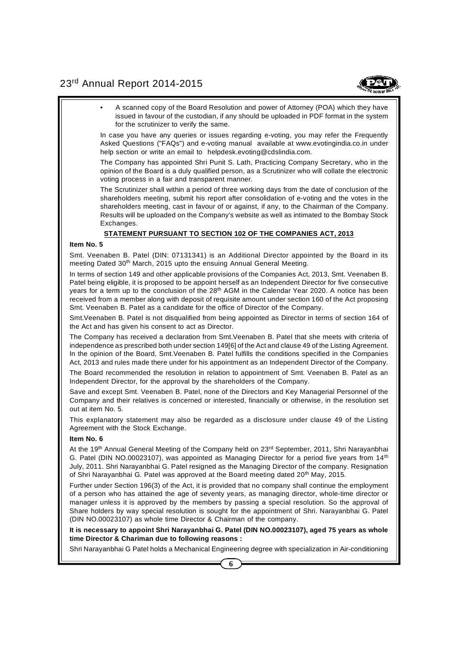

• A scanned copy of the Board Resolution and power of Attorney (POA) which they have issued in favour of the custodian, if any should be uploaded in PDF format in the system for the scrutinizer to verify the same.

In case you have any queries or issues regarding e-voting, you may refer the Frequently Asked Questions ("FAQs") and e-voting manual available at www.evotingindia.co.in under help section or write an email to helpdesk.evoting@cdslindia.com.

The Company has appointed Shri Punit S. Lath, Practicing Company Secretary, who in the opinion of the Board is a duly qualified person, as a Scrutinizer who will collate the electronic voting process in a fair and transparent manner.

The Scrutinizer shall within a period of three working days from the date of conclusion of the shareholders meeting, submit his report after consolidation of e-voting and the votes in the shareholders meeting, cast in favour of or against, if any, to the Chairman of the Company. Results will be uploaded on the Company's website as well as intimated to the Bombay Stock Exchanges.

# **STATEMENT PURSUANT TO SECTION 102 OF THE COMPANIES ACT, 2013**

## **Item No. 5**

Smt. Veenaben B. Patel (DIN: 07131341) is an Additional Director appointed by the Board in its meeting Dated 30<sup>th</sup> March, 2015 upto the ensuing Annual General Meeting.

In terms of section 149 and other applicable provisions of the Companies Act, 2013, Smt. Veenaben B. Patel being eligible, it is proposed to be appoint herself as an Independent Director for five consecutive years for a term up to the conclusion of the 28<sup>th</sup> AGM in the Calendar Year 2020. A notice has been received from a member along with deposit of requisite amount under section 160 of the Act proposing Smt. Veenaben B. Patel as a candidate for the office of Director of the Company.

Smt.Veenaben B. Patel is not disqualified from being appointed as Director in terms of section 164 of the Act and has given his consent to act as Director.

The Company has received a declaration from Smt.Veenaben B. Patel that she meets with criteria of independence as prescribed both under section 149[6] of the Act and clause 49 of the Listing Agreement. In the opinion of the Board, Smt.Veenaben B. Patel fulfills the conditions specified in the Companies Act, 2013 and rules made there under for his appointment as an Independent Director of the Company.

The Board recommended the resolution in relation to appointment of Smt. Veenaben B. Patel as an Independent Director, for the approval by the shareholders of the Company.

Save and except Smt. Veenaben B. Patel, none of the Directors and Key Managerial Personnel of the Company and their relatives is concerned or interested, financially or otherwise, in the resolution set out at item No. 5.

This explanatory statement may also be regarded as a disclosure under clause 49 of the Listing Agreement with the Stock Exchange.

#### **Item No. 6**

At the 19<sup>th</sup> Annual General Meeting of the Company held on 23<sup>rd</sup> September, 2011, Shri Narayanbhai G. Patel (DIN NO.00023107), was appointed as Managing Director for a period five years from 14<sup>th</sup> July, 2011. Shri Narayanbhai G. Patel resigned as the Managing Director of the company. Resignation of Shri Narayanbhai G. Patel was approved at the Board meeting dated 20<sup>th</sup> May, 2015.

Further under Section 196(3) of the Act, it is provided that no company shall continue the employment of a person who has attained the age of seventy years, as managing director, whole-time director or manager unless it is approved by the members by passing a special resolution. So the approval of Share holders by way special resolution is sought for the appointment of Shri. Narayanbhai G. Patel (DIN NO.00023107) as whole time Director & Chairman of the company.

**It is necessary to appoint Shri Narayanbhai G. Patel (DIN NO.00023107), aged 75 years as whole time Director & Chariman due to following reasons :**

Shri Narayanbhai G Patel holds a Mechanical Engineering degree with specialization in Air-conditioning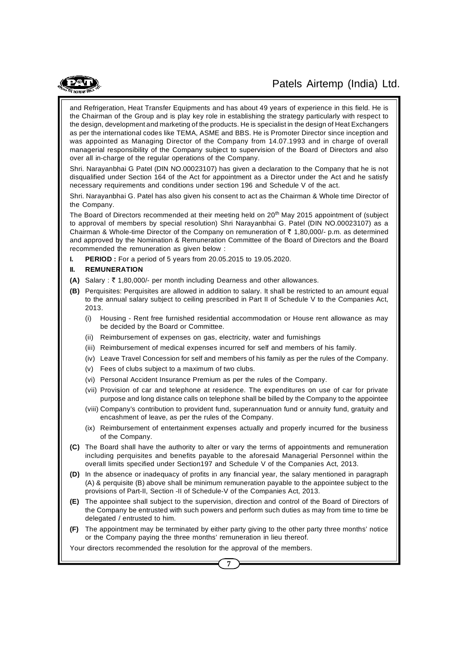

and Refrigeration, Heat Transfer Equipments and has about 49 years of experience in this field. He is the Chairman of the Group and is play key role in establishing the strategy particularly with respect to the design, development and marketing of the products. He is specialist in the design of Heat Exchangers as per the international codes like TEMA, ASME and BBS. He is Promoter Director since inception and was appointed as Managing Director of the Company from 14.07.1993 and in charge of overall managerial responsibility of the Company subject to supervision of the Board of Directors and also over all in-charge of the regular operations of the Company.

Shri. Narayanbhai G Patel (DIN NO.00023107) has given a declaration to the Company that he is not disqualified under Section 164 of the Act for appointment as a Director under the Act and he satisfy necessary requirements and conditions under section 196 and Schedule V of the act.

Shri. Narayanbhai G. Patel has also given his consent to act as the Chairman & Whole time Director of the Company.

The Board of Directors recommended at their meeting held on 20<sup>th</sup> May 2015 appointment of (subject to approval of members by special resolution) Shri Narayanbhai G. Patel (DIN NO.00023107) as a Chairman & Whole-time Director of the Company on remuneration of  $\bar{\tau}$  1,80,000/- p.m. as determined and approved by the Nomination & Remuneration Committee of the Board of Directors and the Board recommended the remuneration as given below :

**I. PERIOD :** For a period of 5 years from 20.05.2015 to 19.05.2020.

## **II. REMUNERATION**

- **(A)** Salary : ` 1,80,000/- per month including Dearness and other allowances.
- **(B)** Perquisites: Perquisites are allowed in addition to salary. It shall be restricted to an amount equal to the annual salary subject to ceiling prescribed in Part II of Schedule V to the Companies Act, 2013.
	- (i) Housing Rent free furnished residential accommodation or House rent allowance as may be decided by the Board or Committee.
	- (ii) Reimbursement of expenses on gas, electricity, water and furnishings
	- (iii) Reimbursement of medical expenses incurred for self and members of his family.
	- (iv) Leave Travel Concession for self and members of his family as per the rules of the Company.
	- (v) Fees of clubs subject to a maximum of two clubs.
	- (vi) Personal Accident Insurance Premium as per the rules of the Company.
	- (vii) Provision of car and telephone at residence. The expenditures on use of car for private purpose and long distance calls on telephone shall be billed by the Company to the appointee
	- (viii) Company's contribution to provident fund, superannuation fund or annuity fund, gratuity and encashment of leave, as per the rules of the Company.
	- (ix) Reimbursement of entertainment expenses actually and properly incurred for the business of the Company.
- **(C)** The Board shall have the authority to alter or vary the terms of appointments and remuneration including perquisites and benefits payable to the aforesaid Managerial Personnel within the overall limits specified under Section197 and Schedule V of the Companies Act, 2013.
- **(D)** In the absence or inadequacy of profits in any financial year, the salary mentioned in paragraph (A) & perquisite (B) above shall be minimum remuneration payable to the appointee subject to the provisions of Part-II, Section -II of Schedule-V of the Companies Act, 2013.
- **(E)** The appointee shall subject to the supervision, direction and control of the Board of Directors of the Company be entrusted with such powers and perform such duties as may from time to time be delegated / entrusted to him.
- **(F)** The appointment may be terminated by either party giving to the other party three months' notice or the Company paying the three months' remuneration in lieu thereof.

Your directors recommended the resolution for the approval of the members.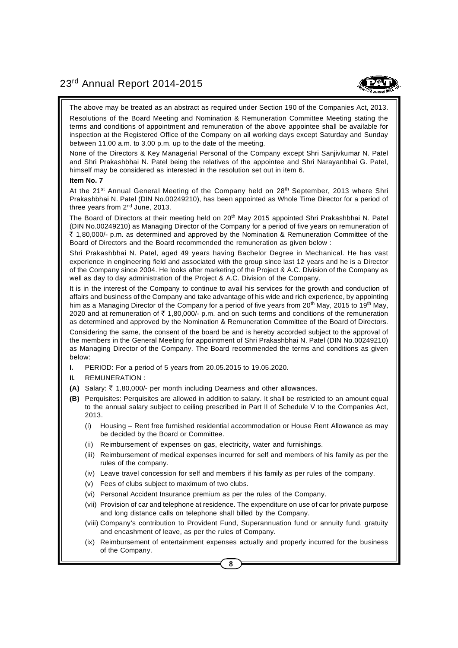

The above may be treated as an abstract as required under Section 190 of the Companies Act, 2013.

Resolutions of the Board Meeting and Nomination & Remuneration Committee Meeting stating the terms and conditions of appointment and remuneration of the above appointee shall be available for inspection at the Registered Office of the Company on all working days except Saturday and Sunday between 11.00 a.m. to 3.00 p.m. up to the date of the meeting.

None of the Directors & Key Managerial Personal of the Company except Shri Sanjivkumar N. Patel and Shri Prakashbhai N. Patel being the relatives of the appointee and Shri Narayanbhai G. Patel, himself may be considered as interested in the resolution set out in item 6.

## **Item No. 7**

At the 21<sup>st</sup> Annual General Meeting of the Company held on  $28<sup>th</sup>$  September, 2013 where Shri Prakashbhai N. Patel (DIN No.00249210), has been appointed as Whole Time Director for a period of three years from 2<sup>nd</sup> June, 2013.

The Board of Directors at their meeting held on 20<sup>th</sup> May 2015 appointed Shri Prakashbhai N. Patel (DIN No.00249210) as Managing Director of the Company for a period of five years on remuneration of ₹ 1,80,000/- p.m. as determined and approved by the Nomination & Remuneration Committee of the Board of Directors and the Board recommended the remuneration as given below :

Shri Prakashbhai N. Patel, aged 49 years having Bachelor Degree in Mechanical. He has vast experience in engineering field and associated with the group since last 12 years and he is a Director of the Company since 2004. He looks after marketing of the Project & A.C. Division of the Company as well as day to day administration of the Project & A.C. Division of the Company.

It is in the interest of the Company to continue to avail his services for the growth and conduction of affairs and business of the Company and take advantage of his wide and rich experience, by appointing him as a Managing Director of the Company for a period of five years from 20<sup>th</sup> May, 2015 to 19<sup>th</sup> May, 2020 and at remuneration of  $\bar{\tau}$  1,80,000/- p.m. and on such terms and conditions of the remuneration as determined and approved by the Nomination & Remuneration Committee of the Board of Directors.

Considering the same, the consent of the board be and is hereby accorded subject to the approval of the members in the General Meeting for appointment of Shri Prakashbhai N. Patel (DIN No.00249210) as Managing Director of the Company. The Board recommended the terms and conditions as given below:

- **I.** PERIOD: For a period of 5 years from 20.05.2015 to 19.05.2020.
- **II.** REMUNERATION :
- **(A)** Salary: ` 1,80,000/- per month including Dearness and other allowances.
- **(B)** Perquisites: Perquisites are allowed in addition to salary. It shall be restricted to an amount equal to the annual salary subject to ceiling prescribed in Part II of Schedule V to the Companies Act, 2013.
	- (i) Housing Rent free furnished residential accommodation or House Rent Allowance as may be decided by the Board or Committee.
	- (ii) Reimbursement of expenses on gas, electricity, water and furnishings.
	- (iii) Reimbursement of medical expenses incurred for self and members of his family as per the rules of the company.
	- (iv) Leave travel concession for self and members if his family as per rules of the company.
	- (v) Fees of clubs subject to maximum of two clubs.
	- (vi) Personal Accident Insurance premium as per the rules of the Company.
	- (vii) Provision of car and telephone at residence. The expenditure on use of car for private purpose and long distance calls on telephone shall billed by the Company.
	- (viii) Company's contribution to Provident Fund, Superannuation fund or annuity fund, gratuity and encashment of leave, as per the rules of Company.
	- (ix) Reimbursement of entertainment expenses actually and properly incurred for the business of the Company.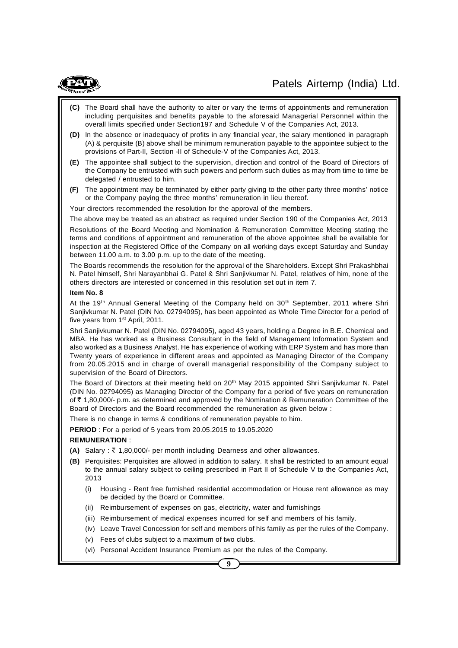



- **(C)** The Board shall have the authority to alter or vary the terms of appointments and remuneration including perquisites and benefits payable to the aforesaid Managerial Personnel within the overall limits specified under Section197 and Schedule V of the Companies Act, 2013.
- **(D)** In the absence or inadequacy of profits in any financial year, the salary mentioned in paragraph (A) & perquisite (B) above shall be minimum remuneration payable to the appointee subject to the provisions of Part-II, Section -II of Schedule-V of the Companies Act, 2013.
- **(E)** The appointee shall subject to the supervision, direction and control of the Board of Directors of the Company be entrusted with such powers and perform such duties as may from time to time be delegated / entrusted to him.
- **(F)** The appointment may be terminated by either party giving to the other party three months' notice or the Company paying the three months' remuneration in lieu thereof.

Your directors recommended the resolution for the approval of the members.

The above may be treated as an abstract as required under Section 190 of the Companies Act, 2013

Resolutions of the Board Meeting and Nomination & Remuneration Committee Meeting stating the terms and conditions of appointment and remuneration of the above appointee shall be available for inspection at the Registered Office of the Company on all working days except Saturday and Sunday between 11.00 a.m. to 3.00 p.m. up to the date of the meeting.

The Boards recommends the resolution for the approval of the Shareholders. Except Shri Prakashbhai N. Patel himself, Shri Narayanbhai G. Patel & Shri Sanjivkumar N. Patel, relatives of him, none of the others directors are interested or concerned in this resolution set out in item 7.

#### **Item No. 8**

At the 19<sup>th</sup> Annual General Meeting of the Company held on  $30<sup>th</sup>$  September, 2011 where Shri Sanjivkumar N. Patel (DIN No. 02794095), has been appointed as Whole Time Director for a period of five years from 1<sup>st</sup> April, 2011.

Shri Sanjivkumar N. Patel (DIN No. 02794095), aged 43 years, holding a Degree in B.E. Chemical and MBA. He has worked as a Business Consultant in the field of Management Information System and also worked as a Business Analyst. He has experience of working with ERP System and has more than Twenty years of experience in different areas and appointed as Managing Director of the Company from 20.05.2015 and in charge of overall managerial responsibility of the Company subject to supervision of the Board of Directors.

The Board of Directors at their meeting held on 20<sup>th</sup> May 2015 appointed Shri Sanjivkumar N. Patel (DIN No. 02794095) as Managing Director of the Company for a period of five years on remuneration of  $\bar{\tau}$  1,80,000/- p.m. as determined and approved by the Nomination & Remuneration Committee of the Board of Directors and the Board recommended the remuneration as given below :

There is no change in terms & conditions of remuneration payable to him.

**PERIOD** : For a period of 5 years from 20.05.2015 to 19.05.2020

## **REMUNERATION** :

- **(A)** Salary : ₹ 1,80,000/- per month including Dearness and other allowances.
- **(B)** Perquisites: Perquisites are allowed in addition to salary. It shall be restricted to an amount equal to the annual salary subject to ceiling prescribed in Part II of Schedule V to the Companies Act, 2013
	- (i) Housing Rent free furnished residential accommodation or House rent allowance as may be decided by the Board or Committee.
	- (ii) Reimbursement of expenses on gas, electricity, water and furnishings
	- (iii) Reimbursement of medical expenses incurred for self and members of his family.
	- (iv) Leave Travel Concession for self and members of his family as per the rules of the Company.
	- (v) Fees of clubs subject to a maximum of two clubs.
	- (vi) Personal Accident Insurance Premium as per the rules of the Company.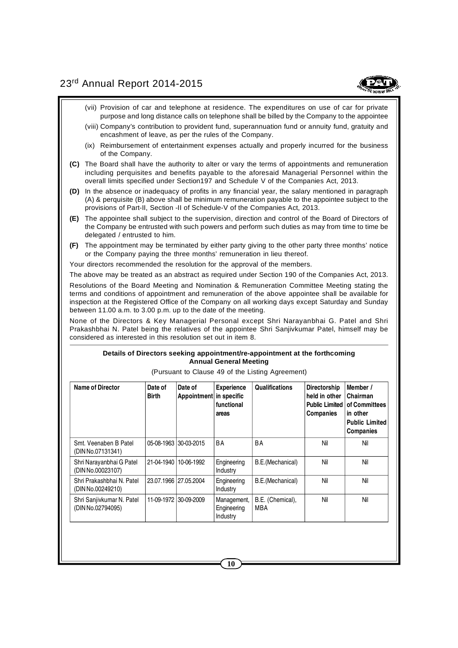

- (vii) Provision of car and telephone at residence. The expenditures on use of car for private purpose and long distance calls on telephone shall be billed by the Company to the appointee
- (viii) Company's contribution to provident fund, superannuation fund or annuity fund, gratuity and encashment of leave, as per the rules of the Company.
- (ix) Reimbursement of entertainment expenses actually and properly incurred for the business of the Company.
- **(C)** The Board shall have the authority to alter or vary the terms of appointments and remuneration including perquisites and benefits payable to the aforesaid Managerial Personnel within the overall limits specified under Section197 and Schedule V of the Companies Act, 2013.
- **(D)** In the absence or inadequacy of profits in any financial year, the salary mentioned in paragraph (A) & perquisite (B) above shall be minimum remuneration payable to the appointee subject to the provisions of Part-II, Section -II of Schedule-V of the Companies Act, 2013.
- **(E)** The appointee shall subject to the supervision, direction and control of the Board of Directors of the Company be entrusted with such powers and perform such duties as may from time to time be delegated / entrusted to him.
- **(F)** The appointment may be terminated by either party giving to the other party three months' notice or the Company paying the three months' remuneration in lieu thereof.

Your directors recommended the resolution for the approval of the members.

The above may be treated as an abstract as required under Section 190 of the Companies Act, 2013.

Resolutions of the Board Meeting and Nomination & Remuneration Committee Meeting stating the terms and conditions of appointment and remuneration of the above appointee shall be available for inspection at the Registered Office of the Company on all working days except Saturday and Sunday between 11.00 a.m. to 3.00 p.m. up to the date of the meeting.

None of the Directors & Key Managerial Personal except Shri Narayanbhai G. Patel and Shri Prakashbhai N. Patel being the relatives of the appointee Shri Sanjivkumar Patel, himself may be considered as interested in this resolution set out in item 8.

## **Details of Directors seeking appointment/re-appointment at the forthcoming Annual General Meeting**

(Pursuant to Clause 49 of the Listing Agreement)

| Name of Director                               | Date of<br><b>Birth</b> | Date of<br>Appointment in specific | <b>Experience</b><br>functional<br>areas | <b>Qualifications</b>   | <b>Directorship</b><br>held in other<br><b>Public Limited</b><br><b>Companies</b> | Member /<br>Chairman<br>of Committees<br>in other<br><b>Public Limited</b><br><b>Companies</b> |
|------------------------------------------------|-------------------------|------------------------------------|------------------------------------------|-------------------------|-----------------------------------------------------------------------------------|------------------------------------------------------------------------------------------------|
| Smt. Veenaben B Patel<br>(DIN No.07131341)     |                         | 05-08-1963 30-03-2015              | BA                                       | BA                      | Nil                                                                               | Nil                                                                                            |
| Shri Narayanbhai G Patel<br>(DIN No.00023107)  |                         | 21-04-1940 10-06-1992              | Engineering<br>Industry                  | B.E.(Mechanical)        | Nil                                                                               | Nil                                                                                            |
| Shri Prakashbhai N. Patel<br>(DIN No.00249210) |                         | 23.07.1966 27.05.2004              | Engineering<br>Industry                  | B.E.(Mechanical)        | Nil                                                                               | Nil                                                                                            |
| Shri Sanjivkumar N. Patel<br>(DIN No.02794095) |                         | 11-09-1972 30-09-2009              | Management,<br>Engineering<br>Industry   | B.E. (Chemical),<br>MBA | Nil                                                                               | Nil                                                                                            |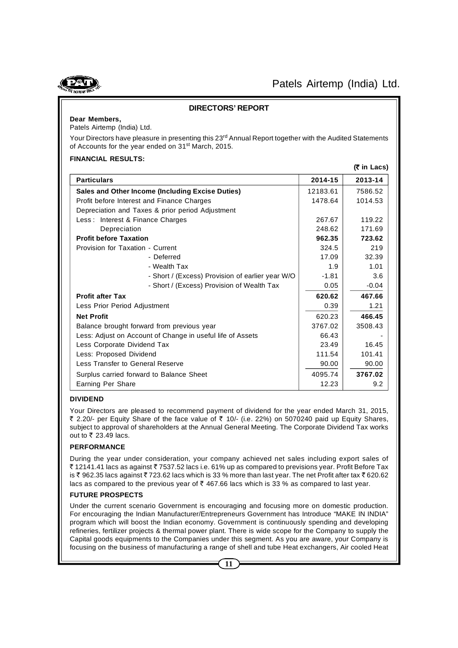

**(` in Lacs)**

# **DIRECTORS' REPORT**

#### **Dear Members,**

Patels Airtemp (India) Ltd.

Your Directors have pleasure in presenting this 23<sup>rd</sup> Annual Report together with the Audited Statements of Accounts for the year ended on 31<sup>st</sup> March, 2015.

#### **FINANCIAL RESULTS:**

|                                                            |          | , , ,,, ,,,,,,, |
|------------------------------------------------------------|----------|-----------------|
| <b>Particulars</b>                                         | 2014-15  | 2013-14         |
| Sales and Other Income (Including Excise Duties)           | 12183.61 | 7586.52         |
| Profit before Interest and Finance Charges                 | 1478.64  | 1014.53         |
| Depreciation and Taxes & prior period Adjustment           |          |                 |
| Less: Interest & Finance Charges                           | 267.67   | 119.22          |
| Depreciation                                               | 248.62   | 171.69          |
| <b>Profit before Taxation</b>                              | 962.35   | 723.62          |
| Provision for Taxation - Current                           | 324.5    | 219             |
| - Deferred                                                 | 17.09    | 32.39           |
| - Wealth Tax                                               | 1.9      | 1.01            |
| - Short / (Excess) Provision of earlier year W/O           | $-1.81$  | 3.6             |
| - Short / (Excess) Provision of Wealth Tax                 | 0.05     | $-0.04$         |
| <b>Profit after Tax</b>                                    | 620.62   | 467.66          |
| Less Prior Period Adjustment                               | 0.39     | 1.21            |
| <b>Net Profit</b>                                          | 620.23   | 466.45          |
| Balance brought forward from previous year                 | 3767.02  | 3508.43         |
| Less: Adjust on Account of Change in useful life of Assets | 66.43    |                 |
| Less Corporate Dividend Tax                                | 23.49    | 16.45           |
| Less: Proposed Dividend                                    | 111.54   | 101.41          |
| Less Transfer to General Reserve                           | 90.00    | 90.00           |
| Surplus carried forward to Balance Sheet                   | 4095.74  | 3767.02         |
| Earning Per Share                                          | 12.23    | 9.2             |

#### **DIVIDEND**

Your Directors are pleased to recommend payment of dividend for the year ended March 31, 2015, ₹ 2.20/- per Equity Share of the face value of ₹ 10/- (i.e. 22%) on 5070240 paid up Equity Shares, subject to approval of shareholders at the Annual General Meeting. The Corporate Dividend Tax works out to  $\bar{\tau}$  23.49 lacs.

#### **PERFORMANCE**

During the year under consideration, your company achieved net sales including export sales of  $\bar{\zeta}$  12141.41 lacs as against  $\bar{\zeta}$  7537.52 lacs i.e. 61% up as compared to previsions year. Profit Before Tax is ₹ 962.35 lacs against ₹ 723.62 lacs which is 33 % more than last year. The net Profit after tax ₹ 620.62 lacs as compared to the previous year of  $\bar{\tau}$  467.66 lacs which is 33 % as compared to last year.

#### **FUTURE PROSPECTS**

Under the current scenario Government is encouraging and focusing more on domestic production. For encouraging the Indian Manufacturer/Entrepreneurs Government has Introduce "MAKE IN INDIA" program which will boost the Indian economy. Government is continuously spending and developing refineries, fertilizer projects & thermal power plant. There is wide scope for the Company to supply the Capital goods equipments to the Companies under this segment. As you are aware, your Company is focusing on the business of manufacturing a range of shell and tube Heat exchangers, Air cooled Heat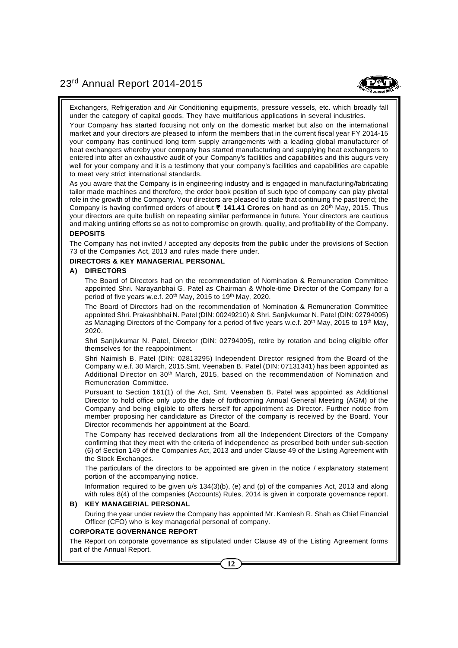

Exchangers, Refrigeration and Air Conditioning equipments, pressure vessels, etc. which broadly fall under the category of capital goods. They have multifarious applications in several industries.

Your Company has started focusing not only on the domestic market but also on the international market and your directors are pleased to inform the members that in the current fiscal year FY 2014-15 your company has continued long term supply arrangements with a leading global manufacturer of heat exchangers whereby your company has started manufacturing and supplying heat exchangers to entered into after an exhaustive audit of your Company's facilities and capabilities and this augurs very well for your company and it is a testimony that your company's facilities and capabilities are capable to meet very strict international standards.

As you aware that the Company is in engineering industry and is engaged in manufacturing/fabricating tailor made machines and therefore, the order book position of such type of company can play pivotal role in the growth of the Company. Your directors are pleased to state that continuing the past trend; the Company is having confirmed orders of about **` 141.41 Crores** on hand as on 20th May, 2015. Thus your directors are quite bullish on repeating similar performance in future. Your directors are cautious and making untiring efforts so as not to compromise on growth, quality, and profitability of the Company.

#### **DEPOSITS**

The Company has not invited / accepted any deposits from the public under the provisions of Section 73 of the Companies Act, 2013 and rules made there under.

## **DIRECTORS & KEY MANAGERIAL PERSONAL**

#### **A) DIRECTORS**

The Board of Directors had on the recommendation of Nomination & Remuneration Committee appointed Shri. Narayanbhai G. Patel as Chairman & Whole-time Director of the Company for a period of five years w.e.f.  $20^{th}$  May,  $2015$  to  $19^{th}$  May,  $2020$ .

The Board of Directors had on the recommendation of Nomination & Remuneration Committee appointed Shri. Prakashbhai N. Patel (DIN: 00249210) & Shri. Sanjivkumar N. Patel (DIN: 02794095) as Managing Directors of the Company for a period of five years w.e.f. 20<sup>th</sup> May, 2015 to 19<sup>th</sup> May, 2020.

Shri Sanjivkumar N. Patel, Director (DIN: 02794095), retire by rotation and being eligible offer themselves for the reappointment.

Shri Naimish B. Patel (DIN: 02813295) Independent Director resigned from the Board of the Company w.e.f. 30 March, 2015.Smt. Veenaben B. Patel (DIN: 07131341) has been appointed as Additional Director on 30<sup>th</sup> March, 2015, based on the recommendation of Nomination and Remuneration Committee.

Pursuant to Section 161(1) of the Act, Smt. Veenaben B. Patel was appointed as Additional Director to hold office only upto the date of forthcoming Annual General Meeting (AGM) of the Company and being eligible to offers herself for appointment as Director. Further notice from member proposing her candidature as Director of the company is received by the Board. Your Director recommends her appointment at the Board.

The Company has received declarations from all the Independent Directors of the Company confirming that they meet with the criteria of independence as prescribed both under sub-section (6) of Section 149 of the Companies Act, 2013 and under Clause 49 of the Listing Agreement with the Stock Exchanges.

The particulars of the directors to be appointed are given in the notice  $/$  explanatory statement portion of the accompanying notice.

Information required to be given u/s 134(3)(b), (e) and (p) of the companies Act, 2013 and along with rules 8(4) of the companies (Accounts) Rules, 2014 is given in corporate governance report.

#### **B) KEY MANAGERIAL PERSONAL**

During the year under review the Company has appointed Mr. Kamlesh R. Shah as Chief Financial Officer (CFO) who is key managerial personal of company.

## **CORPORATE GOVERNANCE REPORT**

The Report on corporate governance as stipulated under Clause 49 of the Listing Agreement forms part of the Annual Report.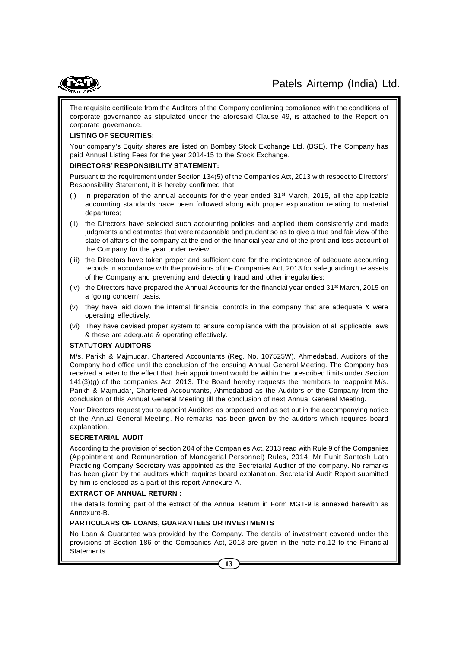

The requisite certificate from the Auditors of the Company confirming compliance with the conditions of corporate governance as stipulated under the aforesaid Clause 49, is attached to the Report on corporate governance.

#### **LISTING OF SECURITIES:**

Your company's Equity shares are listed on Bombay Stock Exchange Ltd. (BSE). The Company has paid Annual Listing Fees for the year 2014-15 to the Stock Exchange.

#### **DIRECTORS' RESPONSIBILITY STATEMENT:**

Pursuant to the requirement under Section 134(5) of the Companies Act, 2013 with respect to Directors' Responsibility Statement, it is hereby confirmed that:

- (i) in preparation of the annual accounts for the year ended  $31<sup>st</sup>$  March, 2015, all the applicable accounting standards have been followed along with proper explanation relating to material departures;
- (ii) the Directors have selected such accounting policies and applied them consistently and made judgments and estimates that were reasonable and prudent so as to give a true and fair view of the state of affairs of the company at the end of the financial year and of the profit and loss account of the Company for the year under review;
- (iii) the Directors have taken proper and sufficient care for the maintenance of adequate accounting records in accordance with the provisions of the Companies Act, 2013 for safeguarding the assets of the Company and preventing and detecting fraud and other irregularities;
- (iv) the Directors have prepared the Annual Accounts for the financial year ended  $31<sup>st</sup>$  March, 2015 on a 'going concern' basis.
- (v) they have laid down the internal financial controls in the company that are adequate & were operating effectively.
- (vi) They have devised proper system to ensure compliance with the provision of all applicable laws & these are adequate & operating effectively.

## **STATUTORY AUDITORS**

M/s. Parikh & Majmudar, Chartered Accountants (Reg. No. 107525W), Ahmedabad, Auditors of the Company hold office until the conclusion of the ensuing Annual General Meeting. The Company has received a letter to the effect that their appointment would be within the prescribed limits under Section 141(3)(g) of the companies Act, 2013. The Board hereby requests the members to reappoint M/s. Parikh & Majmudar, Chartered Accountants, Ahmedabad as the Auditors of the Company from the conclusion of this Annual General Meeting till the conclusion of next Annual General Meeting.

Your Directors request you to appoint Auditors as proposed and as set out in the accompanying notice of the Annual General Meeting. No remarks has been given by the auditors which requires board explanation.

#### **SECRETARIAL AUDIT**

According to the provision of section 204 of the Companies Act, 2013 read with Rule 9 of the Companies (Appointment and Remuneration of Managerial Personnel) Rules, 2014, Mr Punit Santosh Lath Practicing Company Secretary was appointed as the Secretarial Auditor of the company. No remarks has been given by the auditors which requires board explanation. Secretarial Audit Report submitted by him is enclosed as a part of this report Annexure-A.

#### **EXTRACT OF ANNUAL RETURN :**

The details forming part of the extract of the Annual Return in Form MGT-9 is annexed herewith as Annexure-B.

## **PARTICULARS OF LOANS, GUARANTEES OR INVESTMENTS**

No Loan & Guarantee was provided by the Company. The details of investment covered under the provisions of Section 186 of the Companies Act, 2013 are given in the note no.12 to the Financial Statements.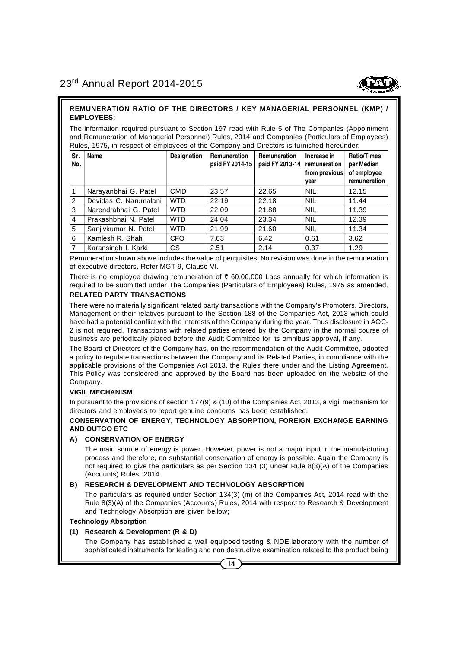

# **REMUNERATION RATIO OF THE DIRECTORS / KEY MANAGERIAL PERSONNEL (KMP) / EMPLOYEES:**

The information required pursuant to Section 197 read with Rule 5 of The Companies (Appointment and Remuneration of Managerial Personnel) Rules, 2014 and Companies (Particulars of Employees) Rules, 1975, in respect of employees of the Company and Directors is furnished hereunder:

| Sr.<br>No.     | Name                  | <b>Designation</b> | Remuneration<br>paid FY 2014-15 | <b>Remuneration</b><br>paid FY 2013-14 | Increase in<br>remuneration<br>from previous<br>year | <b>Ratio/Times</b><br>per Median<br>of employee<br>remuneration |
|----------------|-----------------------|--------------------|---------------------------------|----------------------------------------|------------------------------------------------------|-----------------------------------------------------------------|
|                | Narayanbhai G. Patel  | <b>CMD</b>         | 23.57                           | 22.65                                  | <b>NIL</b>                                           | 12.15                                                           |
| 2              | Devidas C. Narumalani | <b>WTD</b>         | 22.19                           | 22.18                                  | <b>NIL</b>                                           | 11.44                                                           |
| 3              | Narendrabhai G. Patel | <b>WTD</b>         | 22.09                           | 21.88                                  | <b>NIL</b>                                           | 11.39                                                           |
| $\overline{4}$ | Prakashbhai N. Patel  | <b>WTD</b>         | 24.04                           | 23.34                                  | <b>NIL</b>                                           | 12.39                                                           |
| 5              | Sanjivkumar N. Patel  | <b>WTD</b>         | 21.99                           | 21.60                                  | <b>NIL</b>                                           | 11.34                                                           |
| 6              | Kamlesh R. Shah       | <b>CFO</b>         | 7.03                            | 6.42                                   | 0.61                                                 | 3.62                                                            |
| 7              | Karansingh I. Karki   | <b>CS</b>          | 2.51                            | 2.14                                   | 0.37                                                 | 1.29                                                            |

Remuneration shown above includes the value of perquisites. No revision was done in the remuneration of executive directors. Refer MGT-9, Clause-VI.

There is no employee drawing remuneration of  $\bar{\tau}$  60,00,000 Lacs annually for which information is required to be submitted under The Companies (Particulars of Employees) Rules, 1975 as amended.

# **RELATED PARTY TRANSACTIONS**

There were no materially significant related party transactions with the Company's Promoters, Directors, Management or their relatives pursuant to the Section 188 of the Companies Act, 2013 which could have had a potential conflict with the interests of the Company during the year. Thus disclosure in AOC-2 is not required. Transactions with related parties entered by the Company in the normal course of business are periodically placed before the Audit Committee for its omnibus approval, if any.

The Board of Directors of the Company has, on the recommendation of the Audit Committee, adopted a policy to regulate transactions between the Company and its Related Parties, in compliance with the applicable provisions of the Companies Act 2013, the Rules there under and the Listing Agreement. This Policy was considered and approved by the Board has been uploaded on the website of the Company.

# **VIGIL MECHANISM**

In pursuant to the provisions of section 177(9) & (10) of the Companies Act, 2013, a vigil mechanism for directors and employees to report genuine concerns has been established.

# **CONSERVATION OF ENERGY, TECHNOLOGY ABSORPTION, FOREIGN EXCHANGE EARNING AND OUTGO ETC**

# **A) CONSERVATION OF ENERGY**

The main source of energy is power. However, power is not a major input in the manufacturing process and therefore, no substantial conservation of energy is possible. Again the Company is not required to give the particulars as per Section 134 (3) under Rule 8(3)(A) of the Companies (Accounts) Rules, 2014.

# **B) RESEARCH & DEVELOPMENT AND TECHNOLOGY ABSORPTION**

The particulars as required under Section 134(3) (m) of the Companies Act, 2014 read with the Rule 8(3)(A) of the Companies (Accounts) Rules, 2014 with respect to Research & Development and Technology Absorption are given bellow;

## **Technology Absorption**

# **(1) Research & Development (R & D)**

The Company has established a well equipped testing & NDE laboratory with the number of sophisticated instruments for testing and non destructive examination related to the product being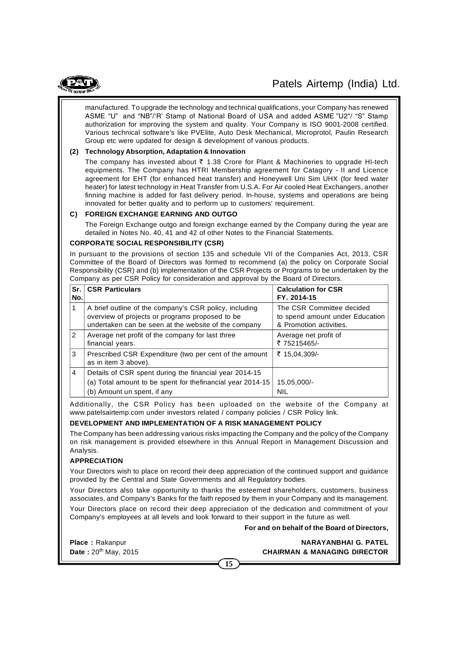

manufactured. To upgrade the technology and technical qualifications, your Company has renewed ASME "U" and "NB"/'R' Stamp of National Board of USA and added ASME "U2"/ "S" Stamp authorization for improving the system and quality. Your Company is ISO 9001-2008 certified. Various technical software's like PVElite, Auto Desk Mechanical, Microprotol, Paulin Research Group etc were updated for design & development of various products.

# **(2) Technology Absorption, Adaptation & Innovation**

The company has invested about  $\bar{z}$  1.38 Crore for Plant & Machineries to upgrade HI-tech equipments. The Company has HTRI Membership agreement for Catagory - II and Licence agreement for EHT (for enhanced heat transfer) and Honeywell Uni Sim UHX (for feed water heater) for latest technology in Heat Transfer from U.S.A. For Air cooled Heat Exchangers, another finning machine is added for fast delivery period. In-house, systems and operations are being innovated for better quality and to perform up to customers' requirement.

# **C) FOREIGN EXCHANGE EARNING AND OUTGO**

The Foreign Exchange outgo and foreign exchange earned by the Company during the year are detailed in Notes No. 40, 41 and 42 of other Notes to the Financial Statements.

## **CORPORATE SOCIAL RESPONSIBILITY (CSR)**

In pursuant to the provisions of section 135 and schedule VII of the Companies Act, 2013, CSR Committee of the Board of Directors was formed to recommend (a) the policy on Corporate Social Responsibility (CSR) and (b) implementation of the CSR Projects or Programs to be undertaken by the Company as per CSR Policy for consideration and approval by the Board of Directors.

| Sr.<br>No.    | <b>CSR Particulars</b>                                                                                                                                            | <b>Calculation for CSR</b><br>FY. 2014-15                                               |
|---------------|-------------------------------------------------------------------------------------------------------------------------------------------------------------------|-----------------------------------------------------------------------------------------|
|               | A brief outline of the company's CSR policy, including<br>overview of projects or programs proposed to be<br>undertaken can be seen at the website of the company | The CSR Committee decided<br>to spend amount under Education<br>& Promotion activities. |
| $\mathcal{P}$ | Average net profit of the company for last three<br>financial years.                                                                                              | Average net profit of<br>₹75215465/-                                                    |
| 3             | Prescribed CSR Expenditure (two per cent of the amount<br>as in item 3 above).                                                                                    | ₹ 15.04.309/-                                                                           |
| 4             | Details of CSR spent during the financial year 2014-15<br>(a) Total amount to be spent for thefinancial year 2014-15<br>(b) Amount un spent, if any               | 15,05,000/-<br><b>NIL</b>                                                               |

Additionally, the CSR Policy has been uploaded on the website of the Company at www.patelsairtemp.com under investors related / company policies / CSR Policy link.

## **DEVELOPMENT AND IMPLEMENTATION OF A RISK MANAGEMENT POLICY**

The Company has been addressing various risks impacting the Company and the policy of the Company on risk management is provided elsewhere in this Annual Report in Management Discussion and Analysis.

## **APPRECIATION**

Your Directors wish to place on record their deep appreciation of the continued support and guidance provided by the Central and State Governments and all Regulatory bodies.

Your Directors also take opportunity to thanks the esteemed shareholders, customers, business associates, and Company's Banks for the faith reposed by them in your Company and its management.

Your Directors place on record their deep appreciation of the dedication and commitment of your Company's employees at all levels and look forward to their support in the future as well.

#### **For and on behalf of the Board of Directors,**

**Place :** Rakanpur **NARAYANBHAI G. PATEL Date :**  $20^{th}$  May, 2015 **CHAIRMAN & MANAGING DIRECTOR**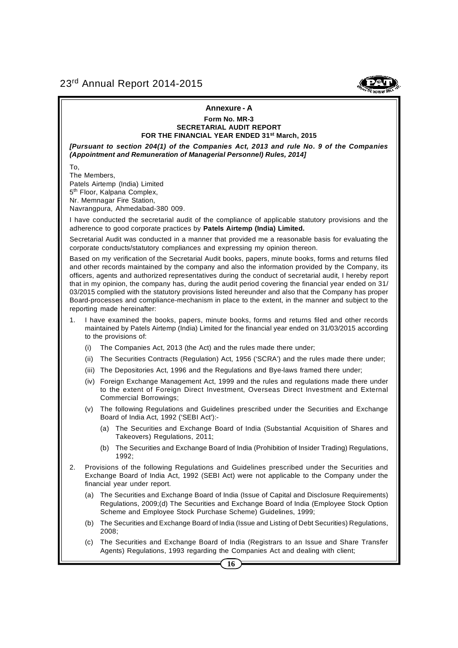

# **Annexure - A**

#### **Form No. MR-3 SECRETARIAL AUDIT REPORT FOR THE FINANCIAL YEAR ENDED 31st March, 2015**

*[Pursuant to section 204(1) of the Companies Act, 2013 and rule No. 9 of the Companies (Appointment and Remuneration of Managerial Personnel) Rules, 2014]*

To,

The Members, Patels Airtemp (India) Limited 5<sup>th</sup> Floor, Kalpana Complex, Nr. Memnagar Fire Station, Navrangpura, Ahmedabad-380 009.

I have conducted the secretarial audit of the compliance of applicable statutory provisions and the adherence to good corporate practices by **Patels Airtemp (India) Limited.**

Secretarial Audit was conducted in a manner that provided me a reasonable basis for evaluating the corporate conducts/statutory compliances and expressing my opinion thereon.

Based on my verification of the Secretarial Audit books, papers, minute books, forms and returns filed and other records maintained by the company and also the information provided by the Company, its officers, agents and authorized representatives during the conduct of secretarial audit, I hereby report that in my opinion, the company has, during the audit period covering the financial year ended on 31/ 03/2015 complied with the statutory provisions listed hereunder and also that the Company has proper Board-processes and compliance-mechanism in place to the extent, in the manner and subject to the reporting made hereinafter:

- 1. I have examined the books, papers, minute books, forms and returns filed and other records maintained by Patels Airtemp (India) Limited for the financial year ended on 31/03/2015 according to the provisions of:
	- (i) The Companies Act, 2013 (the Act) and the rules made there under;
	- (ii) The Securities Contracts (Regulation) Act, 1956 ('SCRA') and the rules made there under;
	- (iii) The Depositories Act, 1996 and the Regulations and Bye-laws framed there under;
	- (iv) Foreign Exchange Management Act, 1999 and the rules and regulations made there under to the extent of Foreign Direct Investment, Overseas Direct Investment and External Commercial Borrowings;
	- (v) The following Regulations and Guidelines prescribed under the Securities and Exchange Board of India Act, 1992 ('SEBI Act'):-
		- (a) The Securities and Exchange Board of India (Substantial Acquisition of Shares and Takeovers) Regulations, 2011;
		- (b) The Securities and Exchange Board of India (Prohibition of Insider Trading) Regulations, 1992;
- 2. Provisions of the following Regulations and Guidelines prescribed under the Securities and Exchange Board of India Act, 1992 (SEBI Act) were not applicable to the Company under the financial year under report.
	- (a) The Securities and Exchange Board of India (Issue of Capital and Disclosure Requirements) Regulations, 2009;(d) The Securities and Exchange Board of India (Employee Stock Option Scheme and Employee Stock Purchase Scheme) Guidelines, 1999;
	- (b) The Securities and Exchange Board of India (Issue and Listing of Debt Securities) Regulations, 2008;
	- (c) The Securities and Exchange Board of India (Registrars to an Issue and Share Transfer Agents) Regulations, 1993 regarding the Companies Act and dealing with client;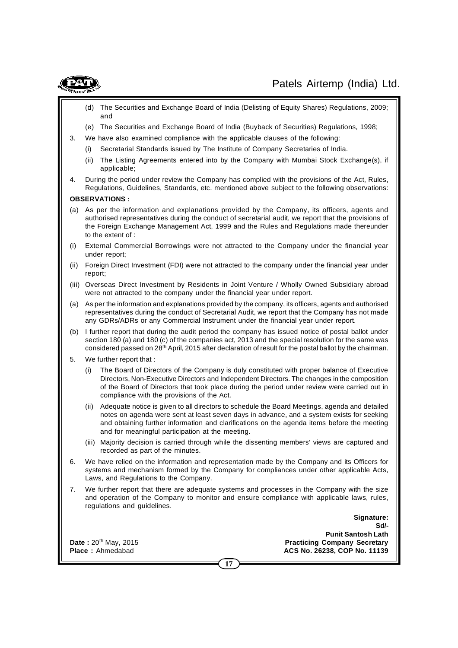

- (d) The Securities and Exchange Board of India (Delisting of Equity Shares) Regulations, 2009; and
- (e) The Securities and Exchange Board of India (Buyback of Securities) Regulations, 1998;
- 3. We have also examined compliance with the applicable clauses of the following:
	- (i) Secretarial Standards issued by The Institute of Company Secretaries of India.
	- (ii) The Listing Agreements entered into by the Company with Mumbai Stock Exchange(s), if applicable;
- 4. During the period under review the Company has complied with the provisions of the Act, Rules, Regulations, Guidelines, Standards, etc. mentioned above subject to the following observations:

#### **OBSERVATIONS :**

- (a) As per the information and explanations provided by the Company, its officers, agents and authorised representatives during the conduct of secretarial audit, we report that the provisions of the Foreign Exchange Management Act, 1999 and the Rules and Regulations made thereunder to the extent of :
- (i) External Commercial Borrowings were not attracted to the Company under the financial year under report;
- (ii) Foreign Direct Investment (FDI) were not attracted to the company under the financial year under report;
- (iii) Overseas Direct Investment by Residents in Joint Venture / Wholly Owned Subsidiary abroad were not attracted to the company under the financial year under report.
- (a) As per the information and explanations provided by the company, its officers, agents and authorised representatives during the conduct of Secretarial Audit, we report that the Company has not made any GDRs/ADRs or any Commercial Instrument under the financial year under report.
- (b) I further report that during the audit period the company has issued notice of postal ballot under section 180 (a) and 180 (c) of the companies act, 2013 and the special resolution for the same was considered passed on 28<sup>th</sup> April, 2015 after declaration of result for the postal ballot by the chairman.
- 5. We further report that :
	- (i) The Board of Directors of the Company is duly constituted with proper balance of Executive Directors, Non-Executive Directors and Independent Directors. The changes in the composition of the Board of Directors that took place during the period under review were carried out in compliance with the provisions of the Act.
	- (ii) Adequate notice is given to all directors to schedule the Board Meetings, agenda and detailed notes on agenda were sent at least seven days in advance, and a system exists for seeking and obtaining further information and clarifications on the agenda items before the meeting and for meaningful participation at the meeting.
	- (iii) Majority decision is carried through while the dissenting members' views are captured and recorded as part of the minutes.
- 6. We have relied on the information and representation made by the Company and its Officers for systems and mechanism formed by the Company for compliances under other applicable Acts, Laws, and Regulations to the Company.
- 7. We further report that there are adequate systems and processes in the Company with the size and operation of the Company to monitor and ensure compliance with applicable laws, rules, regulations and guidelines.

**Signature: Sd/- Punit Santosh Lath Date :**  $20^{\text{th}}$  May, 2015 **Practicing Company Secretary Place :** Ahmedabad **ACS No. 26238, COP No. 11139**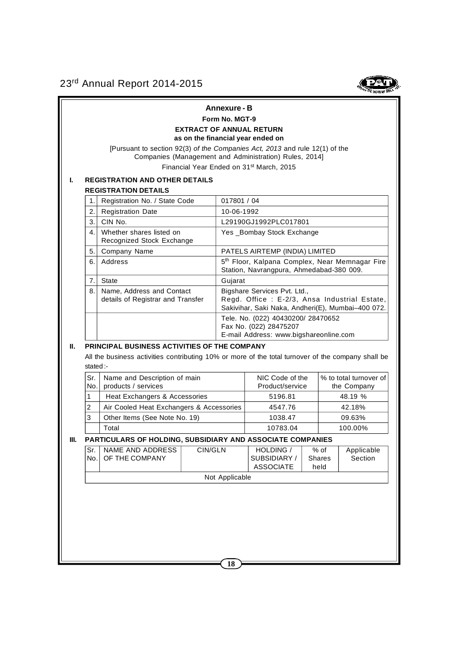

|    |                                                                                                                                       | Annexure - B                                                                                                                      |  |  |  |  |  |  |  |
|----|---------------------------------------------------------------------------------------------------------------------------------------|-----------------------------------------------------------------------------------------------------------------------------------|--|--|--|--|--|--|--|
|    | Form No. MGT-9                                                                                                                        |                                                                                                                                   |  |  |  |  |  |  |  |
|    | <b>EXTRACT OF ANNUAL RETURN</b><br>as on the financial year ended on                                                                  |                                                                                                                                   |  |  |  |  |  |  |  |
|    | [Pursuant to section 92(3) of the Companies Act, 2013 and rule 12(1) of the<br>Companies (Management and Administration) Rules, 2014] |                                                                                                                                   |  |  |  |  |  |  |  |
|    |                                                                                                                                       | Financial Year Ended on 31 <sup>st</sup> March, 2015                                                                              |  |  |  |  |  |  |  |
| L. | <b>REGISTRATION AND OTHER DETAILS</b>                                                                                                 |                                                                                                                                   |  |  |  |  |  |  |  |
|    | <b>REGISTRATION DETAILS</b>                                                                                                           |                                                                                                                                   |  |  |  |  |  |  |  |
| 1. | Registration No. / State Code                                                                                                         | 017801 / 04                                                                                                                       |  |  |  |  |  |  |  |
|    | 2.<br><b>Registration Date</b>                                                                                                        | 10-06-1992                                                                                                                        |  |  |  |  |  |  |  |
| 3. | $CIN$ $No.$                                                                                                                           | L29190GJ1992PLC017801                                                                                                             |  |  |  |  |  |  |  |
|    | 4.<br>Whether shares listed on<br>Recognized Stock Exchange                                                                           | Yes_Bombay Stock Exchange                                                                                                         |  |  |  |  |  |  |  |
| 5. | Company Name                                                                                                                          | PATELS AIRTEMP (INDIA) LIMITED                                                                                                    |  |  |  |  |  |  |  |
| 6. | Address                                                                                                                               | 5th Floor, Kalpana Complex, Near Memnagar Fire<br>Station, Navrangpura, Ahmedabad-380 009.                                        |  |  |  |  |  |  |  |
|    | 7.<br><b>State</b>                                                                                                                    | Gujarat                                                                                                                           |  |  |  |  |  |  |  |
| 8. | Name, Address and Contact<br>details of Registrar and Transfer                                                                        | Bigshare Services Pvt. Ltd.,<br>Regd. Office: E-2/3, Ansa Industrial Estate,<br>Sakivihar, Saki Naka, Andheri(E), Mumbai-400 072. |  |  |  |  |  |  |  |
|    |                                                                                                                                       | Tele. No. (022) 40430200/ 28470652<br>Fax No. (022) 28475207<br>E-mail Address: www.bigshareonline.com                            |  |  |  |  |  |  |  |
| Ш. | PRINCIPAL BUSINESS ACTIVITIES OF THE COMPANY<br>stated:-                                                                              | All the business activities contributing 10% or more of the total turnover of the company shall be                                |  |  |  |  |  |  |  |

| Sr.<br>No.l | Name and Description of main<br>products / services | NIC Code of the<br>Product/service | % to total turnover of<br>the Company |
|-------------|-----------------------------------------------------|------------------------------------|---------------------------------------|
|             | Heat Exchangers & Accessories                       | 5196.81                            | 48.19 %                               |
| 2           | Air Cooled Heat Exchangers & Accessories            | 4547.76                            | 42.18%                                |
| 3           | Other Items (See Note No. 19)                       | 1038.47                            | 09.63%                                |
|             | Total                                               | 10783.04                           | 100.00%                               |

# **III. PARTICULARS OF HOLDING, SUBSIDIARY AND ASSOCIATE COMPANIES**

| lSr.           | NAME AND ADDRESS<br>INo. I OF THE COMPANY | CIN/GLN | HOLDING /<br><b>SUBSIDIARY</b><br>ASSOCIATE | % of<br><b>Shares</b><br>held | Applicable<br>Section |  |  |
|----------------|-------------------------------------------|---------|---------------------------------------------|-------------------------------|-----------------------|--|--|
| Not Applicable |                                           |         |                                             |                               |                       |  |  |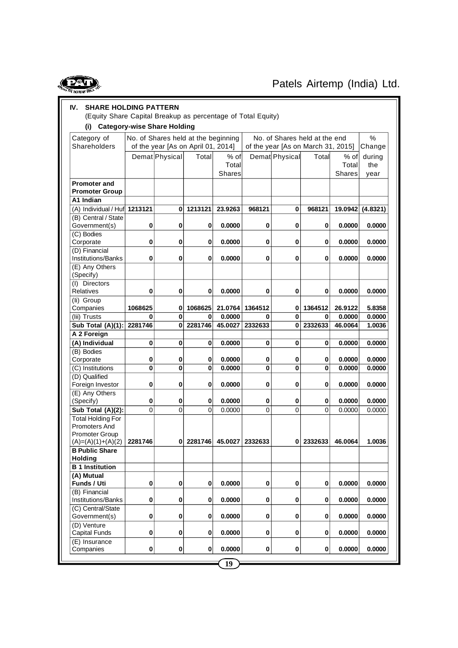

# **IV. SHARE HOLDING PATTERN**

(Equity Share Capital Breakup as percentage of Total Equity)

# **(i) Category-wise Share Holding**

| Category of<br>Shareholders                  |           | No. of Shares held at the beginning<br>of the year [As on April 01, 2014] |              |               |          | No. of Shares held at the end<br>of the year [As on March 31, 2015] |              |         | %<br>Change |
|----------------------------------------------|-----------|---------------------------------------------------------------------------|--------------|---------------|----------|---------------------------------------------------------------------|--------------|---------|-------------|
|                                              |           | Demat Physical                                                            | Total        | $%$ of        |          | Demat Physical                                                      | Total        | % of    | during      |
|                                              |           |                                                                           |              | Total         |          |                                                                     |              | Total   | the         |
|                                              |           |                                                                           |              | <b>Shares</b> |          |                                                                     |              | Shares  | year        |
|                                              |           |                                                                           |              |               |          |                                                                     |              |         |             |
| <b>Promoter and</b><br><b>Promoter Group</b> |           |                                                                           |              |               |          |                                                                     |              |         |             |
| A1 Indian                                    |           |                                                                           |              |               |          |                                                                     |              |         |             |
| (A) Individual / Huf 1213121                 |           | 0                                                                         | 1213121      | 23.9263       | 968121   | 0                                                                   | 968121       | 19.0942 | (4.8321)    |
| (B) Central / State                          |           |                                                                           |              |               |          |                                                                     |              |         |             |
| Government(s)                                | 0         | $\bf{0}$                                                                  | 0            | 0.0000        | 0        | 0                                                                   | 0            | 0.0000  | 0.0000      |
| (C) Bodies                                   |           |                                                                           |              |               |          |                                                                     |              |         |             |
| Corporate                                    | 0         | 0                                                                         | 0            | 0.0000        | 0        | 0                                                                   | 0            | 0.0000  | 0.0000      |
| (D) Financial                                |           |                                                                           |              |               |          |                                                                     |              |         |             |
| Institutions/Banks                           | 0         | 0                                                                         | 0            | 0.0000        | 0        | 0                                                                   | 0            | 0.0000  | 0.0000      |
| (E) Any Others                               |           |                                                                           |              |               |          |                                                                     |              |         |             |
| (Specify)                                    |           |                                                                           |              |               |          |                                                                     |              |         |             |
| (I) Directors                                |           |                                                                           |              |               |          |                                                                     |              |         |             |
| <b>Relatives</b>                             | 0         | 0                                                                         | 0            | 0.0000        | 0        | 0                                                                   | 0            | 0.0000  | 0.0000      |
| (li) Group                                   |           |                                                                           |              |               |          |                                                                     |              |         |             |
| Companies                                    | 1068625   | 0                                                                         | 1068625      | 21.0764       | 1364512  | 0                                                                   | 1364512      | 26.9122 | 5.8358      |
| (lii) Trusts                                 | 0         | $\bf{0}$                                                                  | 0            | 0.0000        | 0        | 0                                                                   | 0            | 0.0000  | 0.0000      |
| Sub Total (A)(1):                            | 2281746   | 0                                                                         | 2281746      | 45.0027       | 2332633  | 0                                                                   | 2332633      | 46.0064 | 1.0036      |
| A 2 Foreign                                  |           |                                                                           |              |               |          |                                                                     |              |         |             |
| (A) Individual                               | 0         | $\mathbf 0$                                                               | 0            | 0.0000        | 0        | 0                                                                   | 0            | 0.0000  | 0.0000      |
| (B) Bodies                                   |           |                                                                           |              |               |          |                                                                     |              |         |             |
| Corporate                                    | 0         | 0                                                                         | 0            | 0.0000        | 0        | 0                                                                   | 0            | 0.0000  | 0.0000      |
| (C) Institutions                             | 0         | 0                                                                         | 0            | 0.0000        | 0        | 0                                                                   | 0            | 0.0000  | 0.0000      |
| (D) Qualified                                |           |                                                                           |              |               |          |                                                                     |              |         |             |
| Foreign Investor                             | 0         | 0                                                                         | 0            | 0.0000        | 0        | 0                                                                   | 0            | 0.0000  | 0.0000      |
| (E) Any Others                               |           |                                                                           |              |               |          |                                                                     |              |         |             |
| (Specify)                                    | 0         | $\bf{0}$                                                                  | 0            | 0.0000        | 0        | 0                                                                   | 0            | 0.0000  | 0.0000      |
| Sub Total (A)(2):                            | 0         | 0                                                                         | $\Omega$     | 0.0000        | 0        | 0                                                                   | 0            | 0.0000  | 0.0000      |
| <b>Total Holding For</b>                     |           |                                                                           |              |               |          |                                                                     |              |         |             |
| Promoters And                                |           |                                                                           |              |               |          |                                                                     |              |         |             |
| Promoter Group                               | 2281746   | 01                                                                        | 2281746      | 45.0027       | 2332633  | $\mathbf{0}$                                                        | 2332633      | 46.0064 | 1.0036      |
| $(A)=(A)(1)+(A)(2)$<br><b>B Public Share</b> |           |                                                                           |              |               |          |                                                                     |              |         |             |
| <b>Holding</b>                               |           |                                                                           |              |               |          |                                                                     |              |         |             |
| <b>B</b> 1 Institution                       |           |                                                                           |              |               |          |                                                                     |              |         |             |
| (A) Mutual                                   |           |                                                                           |              |               |          |                                                                     |              |         |             |
| Funds / Uti                                  | $\pmb{0}$ | $\pmb{0}$                                                                 | $\pmb{0}$    | 0.0000        | $\bf{0}$ | 0                                                                   | $\pmb{0}$    | 0.0000  | 0.0000      |
| (B) Financial                                |           |                                                                           |              |               |          |                                                                     |              |         |             |
| Institutions/Banks                           | $\pmb{0}$ | $\mathbf{0}$                                                              | $\pmb{0}$    | 0.0000        | $\bf{0}$ | $\bf{0}$                                                            | $\mathbf{0}$ | 0.0000  | 0.0000      |
| (C) Central/State                            |           |                                                                           |              |               |          |                                                                     |              |         |             |
| Government(s)                                | 0         | $\boldsymbol{0}$                                                          | 0            | 0.0000        | 0        | 0                                                                   | 0            | 0.0000  | 0.0000      |
| (D) Venture                                  |           |                                                                           |              |               |          |                                                                     |              |         |             |
| Capital Funds                                | 0         | $\mathbf{0}$                                                              | $\pmb{0}$    | 0.0000        | 0        | 0                                                                   | $\mathbf{0}$ | 0.0000  | 0.0000      |
| (E) Insurance                                |           |                                                                           |              |               |          |                                                                     |              |         |             |
| Companies                                    | 0         | $\mathbf{0}$                                                              | $\mathbf{0}$ | 0.0000        | 0        | 0                                                                   | 0            | 0.0000  | 0.0000      |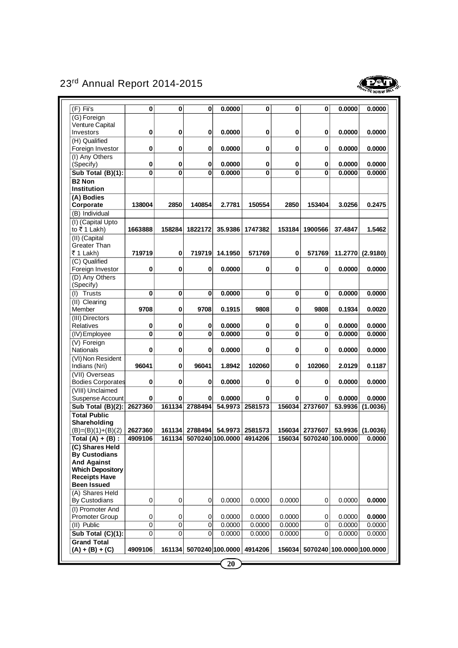

| $(F)$ Fii's             | $\mathbf 0$ | 0           | $\mathbf{0}$   | 0.0000                  | 0       | 0           | 0                | 0.0000                           | 0.0000   |
|-------------------------|-------------|-------------|----------------|-------------------------|---------|-------------|------------------|----------------------------------|----------|
| (G) Foreign             |             |             |                |                         |         |             |                  |                                  |          |
| Venture Capital         |             |             |                |                         |         |             |                  |                                  |          |
| Investors               | 0           | 0           | 0              | 0.0000                  | 0       | $\bf{0}$    | 0                | 0.0000                           | 0.0000   |
| (H) Qualified           |             |             |                |                         |         |             |                  |                                  |          |
| Foreign Investor        | 0           | $\bf{0}$    | 0              | 0.0000                  | 0       | $\mathbf 0$ | 0                | 0.0000                           | 0.0000   |
| (I) Any Others          |             |             |                |                         |         |             |                  |                                  |          |
| (Specify)               | 0           | $\bf{0}$    | 0              | 0.0000                  | 0       | 0           | 0                | 0.0000                           | 0.0000   |
| Sub Total (B)(1):       | 0           | 0           | 0              | 0.0000                  | 0       | 0           | $\bf{0}$         | 0.0000                           | 0.0000   |
| <b>B2 Non</b>           |             |             |                |                         |         |             |                  |                                  |          |
| Institution             |             |             |                |                         |         |             |                  |                                  |          |
| (A) Bodies              |             |             |                |                         |         |             |                  |                                  |          |
| Corporate               | 138004      | 2850        | 140854         | 2.7781                  | 150554  | 2850        | 153404           | 3.0256                           | 0.2475   |
| (B) Individual          |             |             |                |                         |         |             |                  |                                  |          |
|                         |             |             |                |                         |         |             |                  |                                  |          |
| (I) (Capital Upto       |             |             |                |                         |         |             |                  |                                  |          |
| to ₹ 1 Lakh)            | 1663888     | 158284      | 1822172        | 35.9386                 | 1747382 | 153184      | 1900566          | 37.4847                          | 1.5462   |
| (II) (Capital           |             |             |                |                         |         |             |                  |                                  |          |
| Greater Than            |             |             |                |                         |         |             |                  |                                  |          |
| ₹ 1 Lakh)               | 719719      | 0           | 719719         | 14.1950                 | 571769  | 0           | 571769           | 11.2770                          | (2.9180) |
| (C) Qualified           |             |             |                |                         |         |             |                  |                                  |          |
| Foreign Investor        | 0           | 0           | $\bf{0}$       | 0.0000                  | 0       | 0           | $\bf{0}$         | 0.0000                           | 0.0000   |
| (D) Any Others          |             |             |                |                         |         |             |                  |                                  |          |
| (Specify)               |             |             |                |                         |         |             |                  |                                  |          |
| (I) Trusts              | $\mathbf 0$ | $\mathbf 0$ | 0              | 0.0000                  | 0       | $\mathbf 0$ | $\bf{0}$         | 0.0000                           | 0.0000   |
| (II) Clearing           |             |             |                |                         |         |             |                  |                                  |          |
| Member                  | 9708        | 0           | 9708           | 0.1915                  | 9808    | 0           | 9808             | 0.1934                           | 0.0020   |
| (III) Directors         |             |             |                |                         |         |             |                  |                                  |          |
| Relatives               | 0           | $\bf{0}$    | 0              | 0.0000                  | 0       | $\bf{0}$    | 0                | 0.0000                           | 0.0000   |
| (IV) Employee           | 0           | $\bf{0}$    | 0              | 0.0000                  | 0       | 0           | 0                | 0.0000                           | 0.0000   |
| (V) Foreign             |             |             |                |                         |         |             |                  |                                  |          |
| Nationals               | 0           | $\bf{0}$    | 0              | 0.0000                  | 0       | $\mathbf 0$ | 0                | 0.0000                           | 0.0000   |
| (VI) Non Resident       |             |             |                |                         |         |             |                  |                                  |          |
| Indians (Nri)           | 96041       | 0           | 96041          | 1.8942                  | 102060  | 0           | 102060           | 2.0129                           | 0.1187   |
| (VII) Overseas          |             |             |                |                         |         |             |                  |                                  |          |
| Bodies Corporates       | 0           | $\bf{0}$    | 0              | 0.0000                  | 0       | $\mathbf 0$ | 0                | 0.0000                           | 0.0000   |
| (VIII) Unclaimed        |             |             |                |                         |         |             |                  |                                  |          |
| Suspense Account        | 0           | 0           | 0              | 0.0000                  | 0       | 0           | 0                | 0.0000                           | 0.0000   |
| Sub Total (B)(2):       | 2627360     | 161134      | 2788494        | 54.9973                 | 2581573 | 156034      | 2737607          | 53.9936                          | (1.0036) |
| <b>Total Public</b>     |             |             |                |                         |         |             |                  |                                  |          |
| Shareholding            |             |             |                |                         |         |             |                  |                                  |          |
| $(B)=(B)(1)+(B)(2)$     | 2627360     | 161134      | 2788494        | 54.9973                 | 2581573 | 156034      | 2737607          | 53.9936                          | (1.0036) |
| Total $(A) + (B)$ :     | 4909106     | 161134      |                | 5070240 100.0000        | 4914206 | 156034      | 5070240 100.0000 |                                  | 0.0000   |
| (C) Shares Held         |             |             |                |                         |         |             |                  |                                  |          |
| <b>By Custodians</b>    |             |             |                |                         |         |             |                  |                                  |          |
| <b>And Against</b>      |             |             |                |                         |         |             |                  |                                  |          |
| <b>Which Depository</b> |             |             |                |                         |         |             |                  |                                  |          |
| <b>Receipts Have</b>    |             |             |                |                         |         |             |                  |                                  |          |
| <b>Been Issued</b>      |             |             |                |                         |         |             |                  |                                  |          |
| (A) Shares Held         |             |             |                |                         |         |             |                  |                                  |          |
| By Custodians           | 0           | 0           | 0              | 0.0000                  | 0.0000  | 0.0000      | 0                | 0.0000                           | 0.0000   |
| (I) Promoter And        |             |             |                |                         |         |             |                  |                                  |          |
| Promoter Group          | 0           | $\mathbf 0$ | 0              | 0.0000                  | 0.0000  | 0.0000      | 0                | 0.0000                           | 0.0000   |
| (II) Public             | $\pmb{0}$   | $\pmb{0}$   | $\overline{0}$ | 0.0000                  | 0.0000  | 0.0000      | 0                | 0.0000                           | 0.0000   |
| Sub Total (C)(1):       | 0           | 0           | $\overline{0}$ | 0.0000                  | 0.0000  | 0.0000      | 0                | 0.0000                           | 0.0000   |
| <b>Grand Total</b>      |             |             |                |                         |         |             |                  |                                  |          |
|                         |             |             |                |                         |         |             |                  |                                  |          |
| $(A) + (B) + (C)$       | 4909106     |             |                | 161134 5070240 100.0000 | 4914206 |             |                  | 156034 5070240 100.0000 100.0000 |          |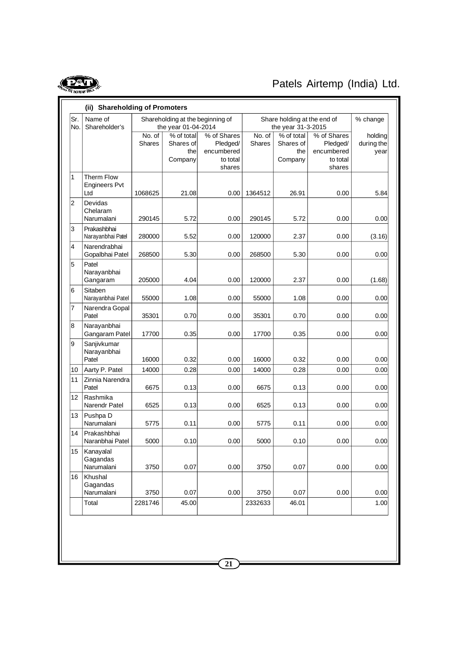

|                | (ii) Shareholding of Promoters            |                         |                                                         |                                                             |                  |                                                   |                                                             |                               |
|----------------|-------------------------------------------|-------------------------|---------------------------------------------------------|-------------------------------------------------------------|------------------|---------------------------------------------------|-------------------------------------------------------------|-------------------------------|
| Sr.<br>No.     | Name of<br>Shareholder's                  |                         | Shareholding at the beginning of<br>the year 01-04-2014 |                                                             |                  | Share holding at the end of<br>the year 31-3-2015 |                                                             | % change                      |
|                |                                           | No. of<br><b>Shares</b> | % of total<br>Shares of<br>the<br>Company               | % of Shares<br>Pledged/<br>encumbered<br>to total<br>shares | No. of<br>Shares | % of total<br>Shares of<br>the<br>Company         | % of Shares<br>Pledged/<br>encumbered<br>to total<br>shares | holding<br>during the<br>year |
| 1              | Therm Flow<br><b>Engineers Pvt</b><br>Ltd | 1068625                 | 21.08                                                   | 0.00                                                        | 1364512          | 26.91                                             | 0.00                                                        | 5.84                          |
| $\overline{2}$ | Devidas<br>Chelaram<br>Narumalani         | 290145                  | 5.72                                                    | 0.00                                                        | 290145           | 5.72                                              | 0.00                                                        | 0.00                          |
| 3              | Prakashbhai<br>Narayanbhai Patel          | 280000                  | 5.52                                                    | 0.00                                                        | 120000           | 2.37                                              | 0.00                                                        | (3.16)                        |
| 4              | Narendrabhai<br>Gopalbhai Patel           | 268500                  | 5.30                                                    | 0.00                                                        | 268500           | 5.30                                              | 0.00                                                        | 0.00                          |
| 5              | Patel<br>Narayanbhai<br>Gangaram          | 205000                  | 4.04                                                    | 0.00                                                        | 120000           | 2.37                                              | 0.00                                                        | (1.68)                        |
| 6              | Sitaben<br>Narayanbhai Patel              | 55000                   | 1.08                                                    | 0.00                                                        | 55000            | 1.08                                              | 0.00                                                        | 0.00                          |
| 7              | Narendra Gopal<br>Patel                   | 35301                   | 0.70                                                    | 0.00                                                        | 35301            | 0.70                                              | 0.00                                                        | 0.00                          |
| 8              | Narayanbhai<br>Gangaram Patel             | 17700                   | 0.35                                                    | 0.00                                                        | 17700            | 0.35                                              | 0.00                                                        | 0.00                          |
| 9              | Sanjivkumar<br>Narayanbhai<br>Patel       | 16000                   | 0.32                                                    | 0.00                                                        | 16000            | 0.32                                              | 0.00                                                        | 0.00                          |
| 10             | Aarty P. Patel                            | 14000                   | 0.28                                                    | 0.00                                                        | 14000            | 0.28                                              | 0.00                                                        | 0.00                          |
| 11             | Zinnia Narendra<br>Patel                  | 6675                    | 0.13                                                    | 0.00                                                        | 6675             | 0.13                                              | 0.00                                                        | 0.00                          |
| 12             | Rashmika<br>Narendr Patel                 | 6525                    | 0.13                                                    | 0.00                                                        | 6525             | 0.13                                              | 0.00                                                        | 0.00                          |
| 13             | Pushpa D<br>Narumalani                    | 5775                    | 0.11                                                    | 0.00                                                        | 5775             | 0.11                                              | 0.00                                                        | 0.00                          |
| 14             | Prakashbhai<br>Naranbhai Patel            | 5000                    | 0.10                                                    | 0.00                                                        | 5000             | 0.10                                              | 0.00                                                        | 0.00                          |
| 15             | Kanayalal<br>Gagandas<br>Narumalani       | 3750                    | 0.07                                                    | 0.00                                                        | 3750             | 0.07                                              | 0.00                                                        | 0.00                          |
| 16             | Khushal<br>Gagandas<br>Narumalani         | 3750                    | 0.07                                                    | 0.00                                                        | 3750             | 0.07                                              | 0.00                                                        | 0.00                          |
|                | Total                                     | 2281746                 | 45.00                                                   |                                                             | 2332633          | 46.01                                             |                                                             | 1.00                          |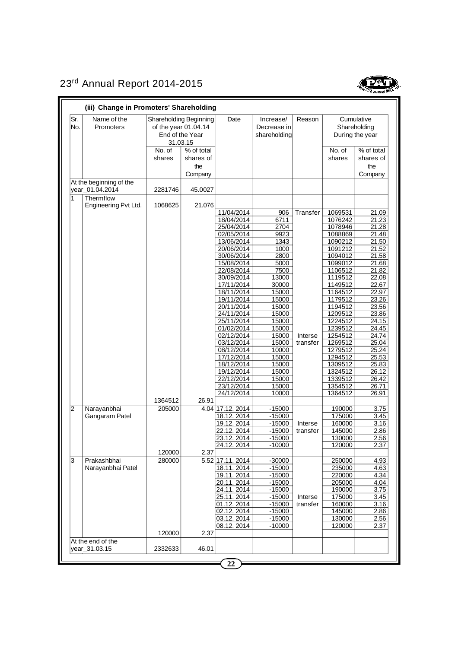

|            | (iii) Change in Promoters' Shareholding |          |                                                                   |                          |                                          |          |                    |                                               |
|------------|-----------------------------------------|----------|-------------------------------------------------------------------|--------------------------|------------------------------------------|----------|--------------------|-----------------------------------------------|
| Sr.<br>No. | Name of the<br>Promoters                | 31.03.15 | Shareholding Beginning<br>of the year 01.04.14<br>End of the Year | Date                     | Increase/<br>Decrease in<br>shareholding | Reason   |                    | Cumulative<br>Shareholding<br>During the year |
|            |                                         | No. of   | % of total                                                        |                          |                                          |          | No. of             | % of total                                    |
|            |                                         | shares   | shares of                                                         |                          |                                          |          | shares             | shares of                                     |
|            |                                         |          | the<br>Company                                                    |                          |                                          |          |                    | the<br>Company                                |
|            | At the beginning of the                 |          |                                                                   |                          |                                          |          |                    |                                               |
|            | year_01.04.2014                         | 2281746  | 45.0027                                                           |                          |                                          |          |                    |                                               |
| 1          | Thermflow                               |          |                                                                   |                          |                                          |          |                    |                                               |
|            | Engineering Pvt Ltd.                    | 1068625  | 21.076                                                            |                          |                                          |          |                    |                                               |
|            |                                         |          |                                                                   | 11/04/2014<br>18/04/2014 | 906<br>6711                              | Transfer | 1069531<br>1076242 | 21.09<br>21.23                                |
|            |                                         |          |                                                                   | 25/04/2014               | 2704                                     |          | 1078946            | 21.28                                         |
|            |                                         |          |                                                                   | 02/05/2014               | 9923                                     |          | 1088869            | 21.48                                         |
|            |                                         |          |                                                                   | 13/06/2014               | 1343                                     |          | 1090212            | 21.50                                         |
|            |                                         |          |                                                                   | 20/06/2014               | 1000                                     |          | 1091212            | 21.52                                         |
|            |                                         |          |                                                                   | 30/06/2014<br>15/08/2014 | 2800<br>5000                             |          | 1094012<br>1099012 | 21.58<br>21.68                                |
|            |                                         |          |                                                                   | 22/08/2014               | 7500                                     |          | 1106512            | 21.82                                         |
|            |                                         |          |                                                                   | 30/09/2014               | 13000                                    |          | 1119512            | 22.08                                         |
|            |                                         |          |                                                                   | 17/11/2014               | 30000                                    |          | 1149512            | 22.67                                         |
|            |                                         |          |                                                                   | 18/11/2014               | 15000                                    |          | 1164512            | 22.97                                         |
|            |                                         |          |                                                                   | 19/11/2014               | 15000                                    |          | 1179512            | 23.26                                         |
|            |                                         |          |                                                                   | 20/11/2014<br>24/11/2014 | 15000<br>15000                           |          | 1194512<br>1209512 | 23.56<br>23.86                                |
|            |                                         |          |                                                                   | 25/11/2014               | 15000                                    |          | 1224512            | 24.15                                         |
|            |                                         |          |                                                                   | 01/02/2014               | 15000                                    |          | 1239512            | 24.45                                         |
|            |                                         |          |                                                                   | 02/12/2014               | 15000                                    | Interse  | 1254512            | 24.74                                         |
|            |                                         |          |                                                                   | 03/12/2014               | 15000                                    | transfer | 1269512            | 25.04                                         |
|            |                                         |          |                                                                   | 08/12/2014               | 10000                                    |          | 1279512            | 25.24                                         |
|            |                                         |          |                                                                   | 17/12/2014<br>18/12/2014 | 15000<br>15000                           |          | 1294512<br>1309512 | 25.53<br>25.83                                |
|            |                                         |          |                                                                   | 19/12/2014               | 15000                                    |          | 1324512            | 26.12                                         |
|            |                                         |          |                                                                   | 22/12/2014               | 15000                                    |          | 1339512            | 26.42                                         |
|            |                                         |          |                                                                   | 23/12/2014               | 15000                                    |          | 1354512            | 26.71                                         |
|            |                                         |          |                                                                   | 24/12/2014               | 10000                                    |          | 1364512            | 26.91                                         |
|            |                                         | 1364512  | 26.91                                                             |                          |                                          |          |                    |                                               |
| 2          | Narayanbhai                             | 205000   | 4.04                                                              | 17.12.2014               | $-15000$                                 |          | 190000<br>175000   | 3.75                                          |
|            | Gangaram Patel                          |          |                                                                   | 18.12.2014<br>19.12.2014 | $-15000$<br>$-15000$                     | Interse  | 160000             | 3.45<br>3.16                                  |
|            |                                         |          |                                                                   | 22.12.2014               | $-15000$                                 | transfer | 145000             | 2.86                                          |
|            |                                         |          |                                                                   | 23.12.2014               | $-15000$                                 |          | 130000             | 2.56                                          |
|            |                                         |          |                                                                   | <u>24.12.2014</u>        | $-10000$                                 |          | 120000             | 2.37                                          |
|            |                                         | 120000   | 2.37                                                              |                          |                                          |          |                    |                                               |
| 3          | Prakashbhai                             | 280000   |                                                                   | 5.52 17.11. 2014         | $-30000$                                 |          | 250000             | 4.93                                          |
|            | Narayanbhai Patel                       |          |                                                                   | 18.11.2014<br>19.11.2014 | $-15000$<br>$-15000$                     |          | 235000<br>220000   | 4.63<br>4.34                                  |
|            |                                         |          |                                                                   | 20.11.2014               | $-15000$                                 |          | 205000             | 4.04                                          |
|            |                                         |          |                                                                   | 24.11.2014               | $-15000$                                 |          | 190000             | 3.75                                          |
|            |                                         |          |                                                                   | 25.11.2014               | $-15000$                                 | Interse  | 175000             | 3.45                                          |
|            |                                         |          |                                                                   | 01.12.2014               | $-15000$                                 | transfer | 160000             | 3.16                                          |
|            |                                         |          |                                                                   | 02.12.2014               | $-15000$                                 |          | 145000             | 2.86                                          |
|            |                                         |          |                                                                   | 03.12.2014<br>08.12.2014 | $-15000$<br>$-10000$                     |          | 130000<br>120000   | 2.56<br>2.37                                  |
|            |                                         | 120000   | 2.37                                                              |                          |                                          |          |                    |                                               |
|            | At the end of the                       |          |                                                                   |                          |                                          |          |                    |                                               |
|            | year_31.03.15                           | 2332633  | 46.01                                                             |                          |                                          |          |                    |                                               |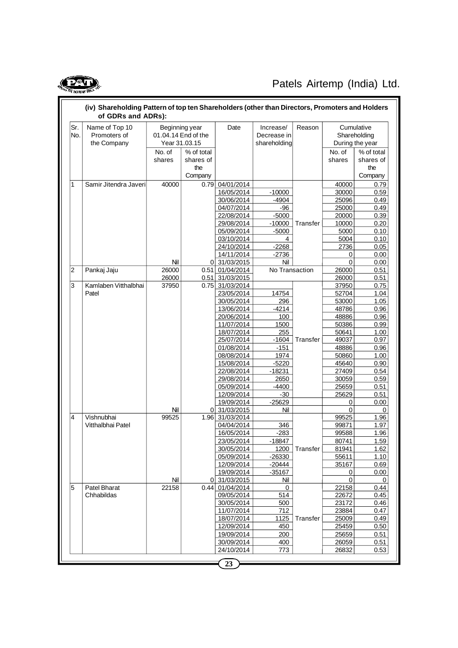

|            | (iv) Shareholding Pattern of top ten Shareholders (other than Directors, Promoters and Holders<br>of GDRs and ADRs): |                                                        |            |                          |                                          |          |                |                                               |
|------------|----------------------------------------------------------------------------------------------------------------------|--------------------------------------------------------|------------|--------------------------|------------------------------------------|----------|----------------|-----------------------------------------------|
| Sr.<br>No. | Name of Top 10<br>Promoters of<br>the Company                                                                        | Beginning year<br>01.04.14 End of the<br>Year 31.03.15 |            | Date                     | Increase/<br>Decrease in<br>shareholding | Reason   |                | Cumulative<br>Shareholding<br>During the year |
|            |                                                                                                                      | No. of                                                 | % of total |                          |                                          |          | No. of         | % of total                                    |
|            |                                                                                                                      | shares                                                 | shares of  |                          |                                          |          | shares         | shares of                                     |
|            |                                                                                                                      |                                                        | the        |                          |                                          |          |                | the                                           |
|            |                                                                                                                      |                                                        | Company    |                          |                                          |          |                | Company                                       |
| 1          | Samir Jitendra Javeri                                                                                                | 40000                                                  | 0.79       | 04/01/2014               |                                          |          | 40000          | 0.79                                          |
|            |                                                                                                                      |                                                        |            | 16/05/2014               | $-10000$                                 |          | 30000          | 0.59                                          |
|            |                                                                                                                      |                                                        |            | 30/06/2014               | $-4904$                                  |          | 25096          | 0.49                                          |
|            |                                                                                                                      |                                                        |            | 04/07/2014               | -96                                      |          | 25000          | 0.49                                          |
|            |                                                                                                                      |                                                        |            | 22/08/2014               | $-5000$                                  |          | 20000          | 0.39                                          |
|            |                                                                                                                      |                                                        |            | 29/08/2014               | $-10000$                                 | Transfer | 10000          | 0.20                                          |
|            |                                                                                                                      |                                                        |            | 05/09/2014               | $-5000$                                  |          | 5000           | 0.10                                          |
|            |                                                                                                                      |                                                        |            | 03/10/2014               | 4                                        |          | 5004           | 0.10                                          |
|            |                                                                                                                      |                                                        |            | 24/10/2014               | $-2268$                                  |          | 2736           | 0.05                                          |
|            |                                                                                                                      |                                                        |            | 14/11/2014               | $-2736$                                  |          | 0              | 0.00                                          |
|            |                                                                                                                      | Nil                                                    |            | 0 31/03/2015             | Nil                                      |          | 0              | 0.00                                          |
| 2          | Pankaj Jaju                                                                                                          | 26000                                                  |            | 0.51   01/04/2014        | No Transaction                           |          | 26000          | 0.51                                          |
|            |                                                                                                                      | 26000                                                  | 0.51       | 31/03/2015               |                                          |          | 26000          | 0.51                                          |
| 3          | Kamlaben Vitthalbhai                                                                                                 | 37950                                                  |            | 0.75 31/03/2014          |                                          |          | 37950          | 0.75                                          |
|            | Patel                                                                                                                |                                                        |            | 23/05/2014               | 14754                                    |          | 52704          | 1.04                                          |
|            |                                                                                                                      |                                                        |            | 30/05/2014               | 296                                      |          | 53000          | 1.05                                          |
|            |                                                                                                                      |                                                        |            | 13/06/2014               | $-4214$                                  |          | 48786          | 0.96                                          |
|            |                                                                                                                      |                                                        |            | 20/06/2014               | 100                                      |          | 48886          | 0.96                                          |
|            |                                                                                                                      |                                                        |            | 11/07/2014               | 1500                                     |          | 50386          | 0.99                                          |
|            |                                                                                                                      |                                                        |            | 18/07/2014               | 255                                      |          | 50641          | 1.00                                          |
|            |                                                                                                                      |                                                        |            | 25/07/2014               | $-1604$                                  | Transfer | 49037          | 0.97                                          |
|            |                                                                                                                      |                                                        |            | 01/08/2014               | $-151$                                   |          | 48886          | 0.96                                          |
|            |                                                                                                                      |                                                        |            | 08/08/2014               | 1974                                     |          | 50860          | 1.00                                          |
|            |                                                                                                                      |                                                        |            | 15/08/2014               | $-5220$                                  |          | 45640          | 0.90                                          |
|            |                                                                                                                      |                                                        |            | 22/08/2014               | $-18231$                                 |          | 27409          | 0.54                                          |
|            |                                                                                                                      |                                                        |            | 29/08/2014               | 2650                                     |          | 30059          | 0.59                                          |
|            |                                                                                                                      |                                                        |            | 05/09/2014               | $-4400$                                  |          | 25659          | 0.51                                          |
|            |                                                                                                                      |                                                        |            | 12/09/2014               | -30                                      |          | 25629          | 0.51                                          |
|            |                                                                                                                      |                                                        |            | 19/09/2014               | $-25629$                                 |          | 0              | 0.00                                          |
| 4          | Vishnubhai                                                                                                           | Nil<br>99525                                           |            | 0 31/03/2015             | Nil                                      |          | 0              | 0                                             |
|            | Vitthalbhai Patel                                                                                                    |                                                        | 1.96       | 31/03/2014<br>04/04/2014 | 346                                      |          | 99525<br>99871 | 1.96<br>1.97                                  |
|            |                                                                                                                      |                                                        |            | 16/05/2014               | $-283$                                   |          | 99588          | 1.96                                          |
|            |                                                                                                                      |                                                        |            | 23/05/2014               | $-18847$                                 |          | 80741          | 1.59                                          |
|            |                                                                                                                      |                                                        |            | 30/05/2014               | 1200                                     | Transfer | 81941          | 1.62                                          |
|            |                                                                                                                      |                                                        |            | 05/09/2014               | -26330                                   |          | 55611          | 1.10                                          |
|            |                                                                                                                      |                                                        |            | 12/09/2014               | $-20444$                                 |          | 35167          | 0.69                                          |
|            |                                                                                                                      |                                                        |            | 19/09/2014               | $-35167$                                 |          | 0              | 0.00                                          |
|            |                                                                                                                      | Nil                                                    |            | 0 31/03/2015             | Nil                                      |          | 0              | 0                                             |
| 15         | Patel Bharat                                                                                                         | 22158                                                  |            | 0.44 01/04/2014          | 0                                        |          | 22158          | 0.44                                          |
|            | Chhabildas                                                                                                           |                                                        |            | 09/05/2014               | 514                                      |          | 22672          | 0.45                                          |
|            |                                                                                                                      |                                                        |            | 30/05/2014               | 500                                      |          | 23172          | 0.46                                          |
|            |                                                                                                                      |                                                        |            | 11/07/2014               | 712                                      |          | 23884          | 0.47                                          |
|            |                                                                                                                      |                                                        |            | 18/07/2014               | 1125                                     | Transfer | 25009          | 0.49                                          |
|            |                                                                                                                      |                                                        |            | 12/09/2014               | 450                                      |          | 25459          | 0.50                                          |
|            |                                                                                                                      |                                                        |            | 19/09/2014               | 200                                      |          | 25659          | 0.51                                          |
|            |                                                                                                                      |                                                        |            |                          |                                          |          |                |                                               |
|            |                                                                                                                      |                                                        |            | 30/09/2014               | 400                                      |          | 26059          | 0.51                                          |

**23**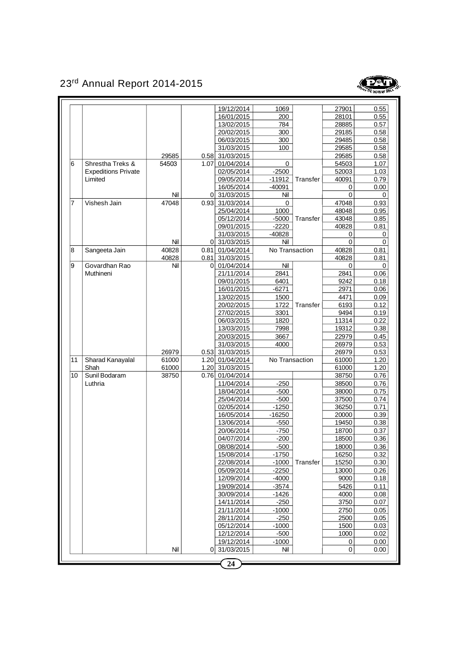

|    |                            |       |                | 19/12/2014      | 1069           |          | 27901    | 0.55 |
|----|----------------------------|-------|----------------|-----------------|----------------|----------|----------|------|
|    |                            |       |                | 16/01/2015      | 200            |          | 28101    | 0.55 |
|    |                            |       |                | 13/02/2015      | 784            |          | 28885    | 0.57 |
|    |                            |       |                | 20/02/2015      | 300            |          | 29185    | 0.58 |
|    |                            |       |                | 06/03/2015      | 300            |          | 29485    | 0.58 |
|    |                            |       |                | 31/03/2015      | 100            |          | 29585    | 0.58 |
|    |                            | 29585 | 0.58           | 31/03/2015      |                |          | 29585    | 0.58 |
| 6  | Shrestha Treks &           | 54503 | 1.07           | 01/04/2014      | 0              |          | 54503    | 1.07 |
|    | <b>Expeditions Private</b> |       |                | 02/05/2014      | $-2500$        |          | 52003    | 1.03 |
|    | Limited                    |       |                | 09/05/2014      | $-11912$       | Transfer | 40091    | 0.79 |
|    |                            |       |                | 16/05/2014      | $-40091$       |          | 0        | 0.00 |
|    |                            | Nil   | 0              | 31/03/2015      | Nil            |          | 0        | 0    |
| 7  | Vishesh Jain               | 47048 | 0.93           | 31/03/2014      | 0              |          | 47048    | 0.93 |
|    |                            |       |                | 25/04/2014      | 1000           |          | 48048    | 0.95 |
|    |                            |       |                | 05/12/2014      | $-5000$        | Transfer | 43048    | 0.85 |
|    |                            |       |                | 09/01/2015      | $-2220$        |          | 40828    | 0.81 |
|    |                            |       |                | 31/03/2015      | $-40828$       |          | 0        | 0    |
|    |                            | Nil   | 0              | 31/03/2015      | Nil            |          | $\Omega$ | 0    |
| 8  | Sangeeta Jain              | 40828 | 0.81           | 01/04/2014      | No Transaction |          | 40828    | 0.81 |
|    |                            | 40828 | 0.81           | 31/03/2015      |                |          | 40828    | 0.81 |
| l9 | Govardhan Rao              | Nil   | 0              | 01/04/2014      | Nil            |          | 0        | 0    |
|    | Muthineni                  |       |                | 21/11/2014      | 2841           |          | 2841     | 0.06 |
|    |                            |       |                | 09/01/2015      | 6401           |          | 9242     | 0.18 |
|    |                            |       |                | 16/01/2015      | $-6271$        |          | 2971     | 0.06 |
|    |                            |       |                | 13/02/2015      | 1500           |          | 4471     | 0.09 |
|    |                            |       |                | 20/02/2015      | 1722           | Transfer | 6193     | 0.12 |
|    |                            |       |                | 27/02/2015      | 3301           |          | 9494     | 0.19 |
|    |                            |       |                | 06/03/2015      | 1820           |          | 11314    | 0.22 |
|    |                            |       |                | 13/03/2015      | 7998           |          | 19312    | 0.38 |
|    |                            |       |                | 20/03/2015      | 3667           |          | 22979    | 0.45 |
|    |                            |       |                | 31/03/2015      | 4000           |          | 26979    | 0.53 |
|    |                            | 26979 | 0.53           | 31/03/2015      |                |          | 26979    | 0.53 |
| 11 | Sharad Kanayalal           | 61000 |                | 1.20 01/04/2014 | No Transaction |          | 61000    | 1.20 |
|    | Shah                       | 61000 | 1.20           | 31/03/2015      |                |          | 61000    | 1.20 |
| 10 | Sunil Bodaram              | 38750 | 0.76           | 01/04/2014      |                |          | 38750    | 0.76 |
|    | Luthria                    |       |                | 11/04/2014      | $-250$         |          | 38500    | 0.76 |
|    |                            |       |                | 18/04/2014      | $-500$         |          | 38000    | 0.75 |
|    |                            |       |                | 25/04/2014      | $-500$         |          | 37500    | 0.74 |
|    |                            |       |                | 02/05/2014      | $-1250$        |          | 36250    | 0.71 |
|    |                            |       |                |                 |                |          |          |      |
|    |                            |       |                | 16/05/2014      | $-16250$       |          | 20000    | 0.39 |
|    |                            |       |                | 13/06/2014      | $-550$         |          | 19450    | 0.38 |
|    |                            |       |                | 20/06/2014      | $-750$         |          | 18700    | 0.37 |
|    |                            |       |                | 04/07/2014      | $-200$         |          | 18500    | 0.36 |
|    |                            |       |                | 08/08/2014      | $-500$         |          | 18000    | 0.36 |
|    |                            |       |                | 15/08/2014      | $-1750$        |          | 16250    | 0.32 |
|    |                            |       |                | 22/08/2014      | $-1000$        | Transfer | 15250    | 0.30 |
|    |                            |       |                | 05/09/2014      | $-2250$        |          | 13000    | 0.26 |
|    |                            |       |                | 12/09/2014      | $-4000$        |          | 9000     | 0.18 |
|    |                            |       |                | 19/09/2014      | $-3574$        |          | 5426     | 0.11 |
|    |                            |       |                | 30/09/2014      | $-1426$        |          | 4000     | 0.08 |
|    |                            |       |                | 14/11/2014      | $-250$         |          | 3750     | 0.07 |
|    |                            |       |                | 21/11/2014      | $-1000$        |          | 2750     | 0.05 |
|    |                            |       |                | 28/11/2014      | $-250$         |          | 2500     | 0.05 |
|    |                            |       |                | 05/12/2014      | $-1000$        |          | 1500     | 0.03 |
|    |                            |       |                | 12/12/2014      | $-500$         |          | 1000     | 0.02 |
|    |                            |       |                | 19/12/2014      | $-1000$        |          | 0        | 0.00 |
|    |                            | Nil   | $\overline{0}$ | 31/03/2015      | Nil            |          | 0        | 0.00 |
|    |                            |       |                |                 |                |          |          |      |

**24**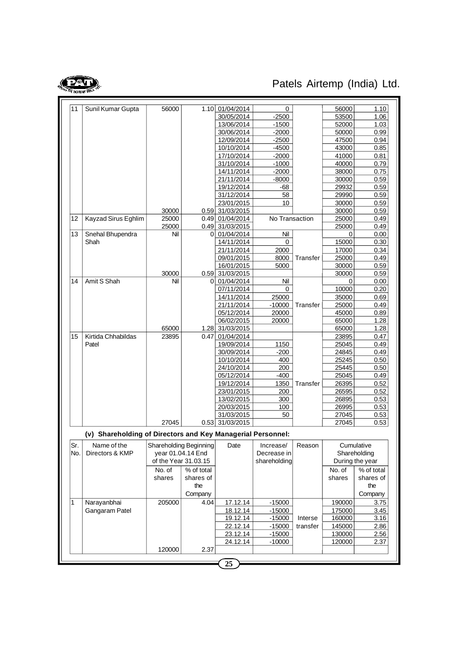transfer 145000 2.86

23.12.14 -15000 130000<br>24.12.14 -10000 120000

24.12.14 -10000 120000 2.37



| 11  | Sunil Kumar Gupta                                           | 56000                  |                      | 1.10 01/04/2014 | 0              |          | 56000  | 1.10            |
|-----|-------------------------------------------------------------|------------------------|----------------------|-----------------|----------------|----------|--------|-----------------|
|     |                                                             |                        |                      | 30/05/2014      | $-2500$        |          | 53500  | 1.06            |
|     |                                                             |                        |                      | 13/06/2014      | $-1500$        |          | 52000  | 1.03            |
|     |                                                             |                        |                      | 30/06/2014      | $-2000$        |          | 50000  | 0.99            |
|     |                                                             |                        |                      | 12/09/2014      | $-2500$        |          | 47500  | 0.94            |
|     |                                                             |                        |                      | 10/10/2014      | $-4500$        |          | 43000  | 0.85            |
|     |                                                             |                        |                      | 17/10/2014      | $-2000$        |          | 41000  | 0.81            |
|     |                                                             |                        |                      | 31/10/2014      | $-1000$        |          | 40000  | 0.79            |
|     |                                                             |                        |                      | 14/11/2014      | $-2000$        |          | 38000  | 0.75            |
|     |                                                             |                        |                      | 21/11/2014      | $-8000$        |          | 30000  | 0.59            |
|     |                                                             |                        |                      | 19/12/2014      | -68            |          | 29932  | 0.59            |
|     |                                                             |                        |                      | 31/12/2014      | 58             |          | 29990  | 0.59            |
|     |                                                             |                        |                      | 23/01/2015      | 10             |          | 30000  | 0.59            |
|     |                                                             | 30000                  |                      | 0.59 31/03/2015 |                |          | 30000  | 0.59            |
| 12  | Kayzad Sirus Eghlim                                         | 25000                  |                      | 0.49 01/04/2014 | No Transaction |          | 25000  | 0.49            |
|     |                                                             | 25000                  |                      | 0.49 31/03/2015 |                |          | 25000  | 0.49            |
| 13  | Snehal Bhupendra                                            | Nil                    |                      | 0 01/04/2014    | Nil            |          | 0      | 0.00            |
|     | Shah                                                        |                        |                      | 14/11/2014      | 0              |          | 15000  | 0.30            |
|     |                                                             |                        |                      | 21/11/2014      | 2000           |          | 17000  | 0.34            |
|     |                                                             |                        |                      | 09/01/2015      | 8000           | Transfer | 25000  | 0.49            |
|     |                                                             |                        |                      | 16/01/2015      | 5000           |          | 30000  | 0.59            |
|     |                                                             | 30000                  |                      | 0.59 31/03/2015 |                |          | 30000  | 0.59            |
| 14  | Amit S Shah                                                 | Nil                    | 0                    | 01/04/2014      | Nil            |          | 0      | 0.00            |
|     |                                                             |                        |                      | 07/11/2014      | 0              |          | 10000  | 0.20            |
|     |                                                             |                        |                      | 14/11/2014      | 25000          |          | 35000  | 0.69            |
|     |                                                             |                        |                      | 21/11/2014      | $-10000$       | Transfer | 25000  | 0.49            |
|     |                                                             |                        |                      | 05/12/2014      | 20000          |          | 45000  | 0.89            |
|     |                                                             |                        |                      | 06/02/2015      | 20000          |          | 65000  | 1.28            |
|     |                                                             | 65000                  |                      | 1.28 31/03/2015 |                |          | 65000  | 1.28            |
| 15  | Kirtida Chhabildas                                          | 23895                  | 0.47                 | 01/04/2014      |                |          | 23895  | 0.47            |
|     | Patel                                                       |                        |                      | 19/09/2014      | 1150           |          | 25045  | 0.49            |
|     |                                                             |                        |                      | 30/09/2014      | $-200$         |          | 24845  | 0.49            |
|     |                                                             |                        |                      | 10/10/2014      | 400            |          | 25245  | 0.50            |
|     |                                                             |                        |                      | 24/10/2014      | 200            |          | 25445  | 0.50            |
|     |                                                             |                        |                      | 05/12/2014      | $-400$         |          | 25045  | 0.49            |
|     |                                                             |                        |                      | 19/12/2014      | 1350           | Transfer | 26395  | 0.52            |
|     |                                                             |                        |                      | 23/01/2015      | 200            |          | 26595  | 0.52            |
|     |                                                             |                        |                      | 13/02/2015      | 300            |          | 26895  | 0.53            |
|     |                                                             |                        |                      | 20/03/2015      | 100            |          | 26995  | 0.53            |
|     |                                                             |                        |                      | 31/03/2015      | 50             |          | 27045  | 0.53            |
|     |                                                             | 27045                  | 0.53                 | 31/03/2015      |                |          | 27045  | 0.53            |
|     | (v) Shareholding of Directors and Key Managerial Personnel: |                        |                      |                 |                |          |        |                 |
| Sr. | Name of the                                                 | Shareholding Beginning |                      | Date            | Increase/      | Reason   |        | Cumulative      |
| No. | Directors & KMP                                             |                        | year 01.04.14 End    |                 | Decrease in    |          |        | Shareholding    |
|     |                                                             |                        | of the Year 31.03.15 |                 | shareholding   |          |        | During the year |
|     |                                                             |                        |                      |                 |                |          |        |                 |
|     |                                                             | No. of                 | % of total           |                 |                |          | No. of | % of total      |
|     |                                                             | shares                 | shares of            |                 |                |          | shares | shares of       |
|     |                                                             |                        | the                  |                 |                |          |        | the             |
|     |                                                             |                        | Company              |                 |                |          |        | Company         |
| 1   | Narayanbhai                                                 | 205000                 | 4.04                 | 17.12.14        | $-15000$       |          | 190000 | 3.75            |
|     | Gangaram Patel                                              |                        |                      | 18.12.14        | $-15000$       |          | 175000 | 3.45            |
|     |                                                             |                        |                      | 19.12.14        | $-15000$       | Interse  | 160000 | 3.16            |
|     |                                                             |                        |                      | 22.12.14        | $-15000$       | transfer | 145000 | 2.86            |

120000 2.37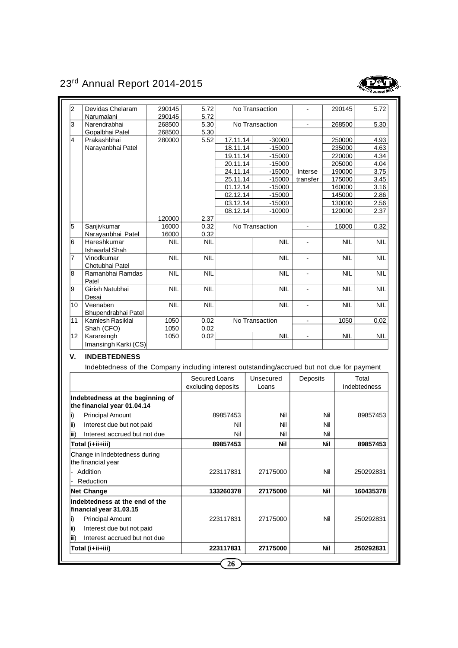

| 2              | Devidas Chelaram      | 290145     | 5.72       |          | No Transaction | $\overline{a}$ | 290145     | 5.72       |
|----------------|-----------------------|------------|------------|----------|----------------|----------------|------------|------------|
|                | Narumalani            | 290145     | 5.72       |          |                |                |            |            |
| 3              | Narendrabhai          | 268500     | 5.30       |          | No Transaction | ٠              | 268500     | 5.30       |
|                | Gopalbhai Patel       | 268500     | 5.30       |          |                |                |            |            |
| 4              | Prakashbhai           | 280000     | 5.52       | 17.11.14 | $-30000$       |                | 250000     | 4.93       |
|                | Narayanbhai Patel     |            |            | 18.11.14 | $-15000$       |                | 235000     | 4.63       |
|                |                       |            |            | 19.11.14 | $-15000$       |                | 220000     | 4.34       |
|                |                       |            |            | 20.11.14 | $-15000$       |                | 205000     | 4.04       |
|                |                       |            |            | 24.11.14 | $-15000$       | Interse        | 190000     | 3.75       |
|                |                       |            |            | 25.11.14 | $-15000$       | transfer       | 175000     | 3.45       |
|                |                       |            |            | 01.12.14 | $-15000$       |                | 160000     | 3.16       |
|                |                       |            |            | 02.12.14 | $-15000$       |                | 145000     | 2.86       |
|                |                       |            |            | 03.12.14 | $-15000$       |                | 130000     | 2.56       |
|                |                       |            |            | 08.12.14 | $-10000$       |                | 120000     | 2.37       |
|                |                       | 120000     | 2.37       |          |                |                |            |            |
| 5              | Sanjivkumar           | 16000      | 0.32       |          | No Transaction | $\overline{a}$ | 16000      | 0.32       |
|                | Narayanbhai Patel     | 16000      | 0.32       |          |                |                |            |            |
| 6              | Hareshkumar           | <b>NIL</b> | <b>NIL</b> |          | <b>NIL</b>     | $\overline{a}$ | <b>NIL</b> | <b>NIL</b> |
|                | <b>Ishwarlal Shah</b> |            |            |          |                |                |            |            |
| $\overline{7}$ | Vinodkumar            | <b>NIL</b> | <b>NIL</b> |          | <b>NIL</b>     |                | <b>NIL</b> | <b>NIL</b> |
|                | Chotubhai Patel       |            |            |          |                |                |            |            |
| 8              | Ramanbhai Ramdas      | <b>NIL</b> | <b>NIL</b> |          | <b>NIL</b>     | $\overline{a}$ | <b>NIL</b> | <b>NIL</b> |
|                | Patel                 |            |            |          |                |                |            |            |
| 19             | Girish Natubhai       | <b>NIL</b> | <b>NIL</b> |          | <b>NIL</b>     | $\overline{a}$ | <b>NIL</b> | <b>NIL</b> |
|                | Desai                 |            |            |          |                |                |            |            |
| 10             | Veenaben              | <b>NIL</b> | <b>NIL</b> |          | <b>NIL</b>     |                | <b>NIL</b> | <b>NIL</b> |
|                | Bhupendrabhai Patel   |            |            |          |                |                |            |            |
| 11             | Kamlesh Rasiklal      | 1050       | 0.02       |          | No Transaction | $\overline{a}$ | 1050       | 0.02       |
|                | Shah (CFO)            | 1050       | 0.02       |          |                |                |            |            |
| 12             | Karansingh            | 1050       | 0.02       |          | <b>NIL</b>     | ۰              | <b>NIL</b> | <b>NIL</b> |
|                | Imansingh Karki (CS)  |            |            |          |                |                |            |            |
|                |                       |            |            |          |                |                |            |            |

# **V. INDEBTEDNESS**

Indebtedness of the Company including interest outstanding/accrued but not due for payment

|                                                                 | Secured Loans      | Unsecured  | Deposits | Total<br>Indebtedness |
|-----------------------------------------------------------------|--------------------|------------|----------|-----------------------|
| Indebtedness at the beginning of<br>the financial year 01.04.14 | excluding deposits | Loans      |          |                       |
| <b>Principal Amount</b><br>$\vert$ i)                           | 89857453           | Nil        | Nil      | 89857453              |
| ii)<br>Interest due but not paid                                | Nil                | Nil        | Nil      |                       |
| Interest accrued but not due<br>liii)                           | Nil                | Nil        | Nil      |                       |
| Total (i+ii+iii)                                                | 89857453           | <b>Nil</b> | Nil      | 89857453              |
| Change in Indebtedness during<br>the financial year             |                    |            |          |                       |
| Addition                                                        | 223117831          | 27175000   | Nil      | 250292831             |
| Reduction                                                       |                    |            |          |                       |
| <b>Net Change</b>                                               | 133260378          | 27175000   | Nil      | 160435378             |
| Indebtedness at the end of the<br>financial year 31.03.15       |                    |            |          |                       |
| $\vert i)$<br><b>Principal Amount</b>                           | 223117831          | 27175000   | Nil      | 250292831             |
| ii)<br>Interest due but not paid                                |                    |            |          |                       |
| Interest accrued but not due<br>liii)                           |                    |            |          |                       |
| ∣Total (i+ii+iii)                                               | 223117831          | 27175000   | Nil      | 250292831             |

**26**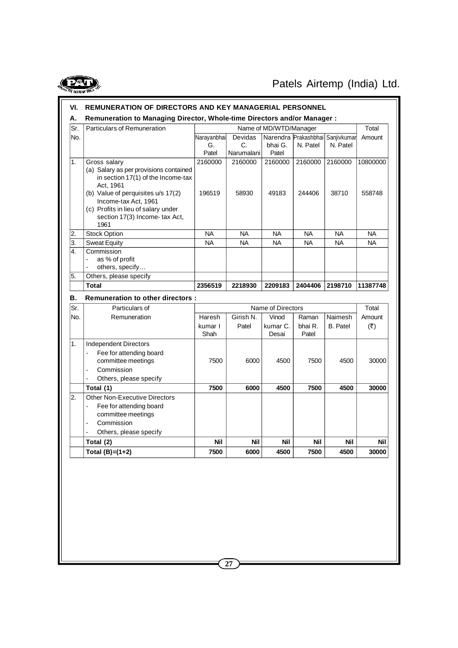

| VI. | <b>REMUNERATION OF DIRECTORS AND KEY MANAGERIAL PERSONNEL</b>                                                                                   |                            |                             |                            |                           |                                              |                                     |  |  |  |
|-----|-------------------------------------------------------------------------------------------------------------------------------------------------|----------------------------|-----------------------------|----------------------------|---------------------------|----------------------------------------------|-------------------------------------|--|--|--|
| Α.  | Remuneration to Managing Director, Whole-time Directors and/or Manager :                                                                        |                            |                             |                            |                           |                                              |                                     |  |  |  |
| Sr. | Particulars of Remuneration                                                                                                                     |                            |                             | Name of MD/WTD/Manager     |                           |                                              | Total                               |  |  |  |
| No. |                                                                                                                                                 | Narayanbhai<br>G.<br>Patel | Devidas<br>C.<br>Narumalani | bhai G.<br>Patel           | N. Patel                  | Narendra Prakashbhai Sanjivkumar<br>N. Patel | Amount                              |  |  |  |
| 1.  | Gross salary<br>(a) Salary as per provisions contained<br>in section 17(1) of the Income-tax<br>Act, 1961<br>(b) Value of perquisites u/s 17(2) | 2160000<br>196519          | 2160000<br>58930            | 2160000<br>49183           | 2160000<br>244406         | 2160000<br>38710                             | 10800000<br>558748                  |  |  |  |
|     | Income-tax Act, 1961<br>(c) Profits in lieu of salary under<br>section 17(3) Income- tax Act,<br>1961                                           |                            |                             |                            |                           |                                              |                                     |  |  |  |
| 2.  | <b>Stock Option</b>                                                                                                                             | <b>NA</b>                  | <b>NA</b>                   | <b>NA</b>                  | <b>NA</b>                 | <b>NA</b>                                    | <b>NA</b>                           |  |  |  |
| 3.  | <b>Sweat Equity</b>                                                                                                                             | <b>NA</b>                  | <b>NA</b>                   | <b>NA</b>                  | <b>NA</b>                 | <b>NA</b>                                    | <b>NA</b>                           |  |  |  |
| 4.  | Commission<br>as % of profit<br>others, specify                                                                                                 |                            |                             |                            |                           |                                              |                                     |  |  |  |
| 5.  | Others, please specify                                                                                                                          |                            |                             |                            |                           |                                              |                                     |  |  |  |
|     | <b>Total</b>                                                                                                                                    | 2356519                    | 2218930                     | 2209183                    | 2404406                   | 2198710                                      | 11387748                            |  |  |  |
| В.  | Remuneration to other directors:                                                                                                                |                            |                             |                            |                           |                                              |                                     |  |  |  |
| Sr. | Particulars of                                                                                                                                  |                            |                             | Name of Directors          |                           |                                              | Total                               |  |  |  |
| No. | Remuneration                                                                                                                                    | Haresh<br>kumar I<br>Shah  | Girish N.<br>Patel          | Vinod<br>kumar C.<br>Desai | Raman<br>bhai R.<br>Patel | Naimesh<br><b>B.</b> Patel                   | Amount<br>$(\overline{\mathbf{z}})$ |  |  |  |
| 1.  | <b>Independent Directors</b><br>Fee for attending board<br>committee meetings<br>Commission<br>$\blacksquare$<br>Others, please specify         | 7500                       | 6000                        | 4500                       | 7500                      | 4500                                         | 30000                               |  |  |  |
|     | Total (1)                                                                                                                                       | 7500                       | 6000                        | 4500                       | 7500                      | 4500                                         | 30000                               |  |  |  |
| 2.  | <b>Other Non-Executive Directors</b><br>Fee for attending board<br>committee meetings<br>Commission<br>Others, please specify                   |                            |                             |                            |                           |                                              |                                     |  |  |  |
|     | Total (2)                                                                                                                                       | <b>Nil</b>                 | <b>Nil</b>                  | Nil                        | Nil                       | Nil                                          | Nil                                 |  |  |  |
|     | Total $(B)=(1+2)$                                                                                                                               | 7500                       | 6000                        | 4500                       | 7500                      | 4500                                         | 30000                               |  |  |  |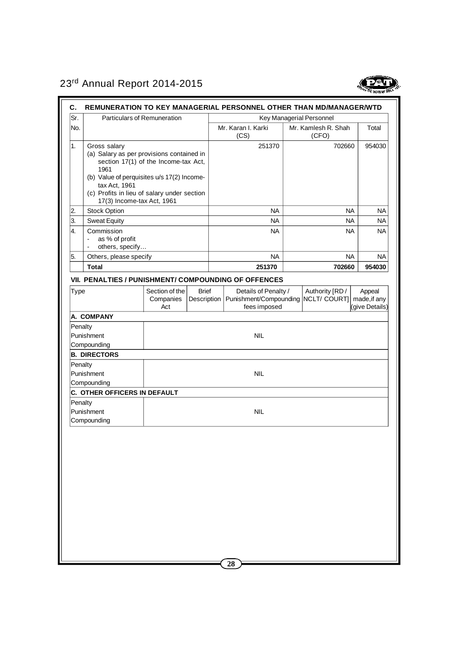

| C.         |                                                                                                                                                                                                                                                       |                                    |                             |           | REMUNERATION TO KEY MANAGERIAL PERSONNEL OTHER THAN MD/MANAGER/WTD |           |                                 |                                          |
|------------|-------------------------------------------------------------------------------------------------------------------------------------------------------------------------------------------------------------------------------------------------------|------------------------------------|-----------------------------|-----------|--------------------------------------------------------------------|-----------|---------------------------------|------------------------------------------|
| Sr.        | Particulars of Remuneration                                                                                                                                                                                                                           |                                    |                             |           |                                                                    |           | Key Managerial Personnel        |                                          |
| lNo.       |                                                                                                                                                                                                                                                       |                                    |                             |           | Mr. Karan I. Karki<br>(CS)                                         |           | Mr. Kamlesh R. Shah<br>(CFO)    | Total                                    |
| 1.         | Gross salary<br>(a) Salary as per provisions contained in<br>section 17(1) of the Income-tax Act,<br>1961<br>(b) Value of perquisites u/s 17(2) Income-<br>tax Act. 1961<br>(c) Profits in lieu of salary under section<br>17(3) Income-tax Act, 1961 |                                    |                             | 251370    |                                                                    | 702660    | 954030                          |                                          |
| 2.         | <b>Stock Option</b>                                                                                                                                                                                                                                   |                                    |                             |           | <b>NA</b>                                                          |           | <b>NA</b>                       | <b>NA</b>                                |
| 3.         | <b>Sweat Equity</b>                                                                                                                                                                                                                                   |                                    |                             |           | <b>NA</b>                                                          |           | <b>NA</b>                       | <b>NA</b>                                |
| 4.         | Commission<br>as % of profit<br>others, specify                                                                                                                                                                                                       |                                    |                             | <b>NA</b> |                                                                    | <b>NA</b> | <b>NA</b>                       |                                          |
| 5.         | Others, please specify                                                                                                                                                                                                                                |                                    |                             |           | <b>NA</b>                                                          |           | <b>NA</b>                       | <b>NA</b>                                |
|            | <b>Total</b>                                                                                                                                                                                                                                          |                                    |                             | 251370    |                                                                    |           | 702660                          | 954030                                   |
|            | <b>VII. PENALTIES / PUNISHMENT/ COMPOUNDING OF OFFENCES</b>                                                                                                                                                                                           |                                    |                             |           |                                                                    |           |                                 |                                          |
| Type       |                                                                                                                                                                                                                                                       | Section of the<br>Companies<br>Act | <b>Brief</b><br>Description |           | Details of Penalty /<br>Punishment/Compounding<br>fees imposed     |           | Authority [RD /<br>NCLT/ COURT] | Appeal<br>made, if any<br>(give Details) |
|            | A. COMPANY                                                                                                                                                                                                                                            |                                    |                             |           |                                                                    |           |                                 |                                          |
| Penalty    | Punishment<br>Compounding                                                                                                                                                                                                                             |                                    |                             |           | <b>NIL</b>                                                         |           |                                 |                                          |
|            | <b>B. DIRECTORS</b>                                                                                                                                                                                                                                   |                                    |                             |           |                                                                    |           |                                 |                                          |
| Penalty    |                                                                                                                                                                                                                                                       |                                    |                             |           |                                                                    |           |                                 |                                          |
| Punishment |                                                                                                                                                                                                                                                       |                                    |                             |           | <b>NIL</b>                                                         |           |                                 |                                          |
|            | Compounding                                                                                                                                                                                                                                           |                                    |                             |           |                                                                    |           |                                 |                                          |
|            | C. OTHER OFFICERS IN DEFAULT                                                                                                                                                                                                                          |                                    |                             |           |                                                                    |           |                                 |                                          |

| Penalty     |            |
|-------------|------------|
| Punishment  | <b>NIL</b> |
| Compounding |            |
|             |            |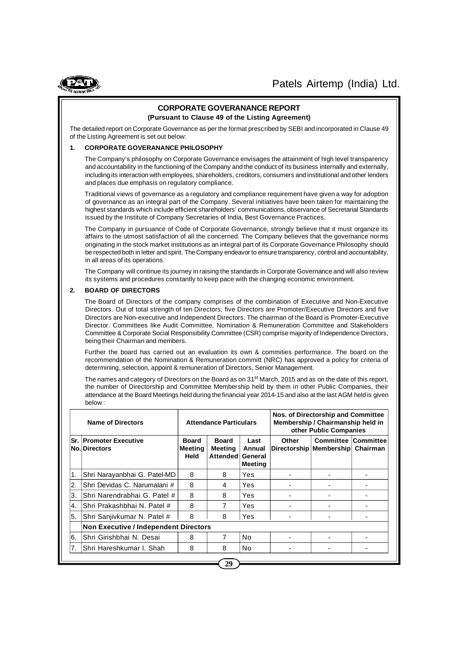

# **CORPORATE GOVERANANCE REPORT**

# **(Pursuant to Clause 49 of the Listing Agreement)**

The detailed report on Corporate Governance as per the format prescribed by SEBI and incorporated in Clause 49 of the Listing Agreement is set out below:

## **1. CORPORATE GOVERANANCE PHILOSOPHY**

The Company's philosophy on Corporate Governance envisages the attainment of high level transparency and accountability in the functioning of the Company and the conduct of its business internally and externally, including its interaction with employees, shareholders, creditors, consumers and institutional and other lenders and places due emphasis on regulatory compliance.

Traditional views of governance as a regulatory and compliance requirement have given a way for adoption of governance as an integral part of the Company. Several initiatives have been taken for maintaining the highest standards which include efficient shareholders' communications, observance of Secretarial Standards issued by the Institute of Company Secretaries of India, Best Governance Practices.

The Company in pursuance of Code of Corporate Governance, strongly believe that it must organize its affairs to the utmost satisfaction of all the concerned. The Company believes that the governance norms originating in the stock market institutions as an integral part of its Corporate Governance Philosophy should be respected both in letter and spirit. The Company endeavor to ensure transparency, control and accountability, in all areas of its operations.

The Company will continue its journey in raising the standards in Corporate Governance and will also review its systems and procedures constantly to keep pace with the changing economic environment.

#### **2. BOARD OF DIRECTORS**

The Board of Directors of the company comprises of the combination of Executive and Non-Executive Directors. Out of total strength of ten Directors, five Directors are Promoter/Executive Directors and five Directors are Non-executive and Independent Directors. The chairman of the Board is Promoter-Executive Director. Committees like Audit Committee, Nomination & Remuneration Committee and Stakeholders Committee & Corporate Social Responsibility Committee (CSR) comprise majority of Independence Directors, being their Chairman and members.

Further the board has carried out an evaluation its own & commities performance. The board on the recommendation of the Nomination & Remuneration committ (NRC) has approved a policy for criteria of determining, selection, appoint & remuneration of Directors, Senior Management.

The names and category of Directors on the Board as on 31<sup>st</sup> March, 2015 and as on the date of this report, the number of Directorship and Committee Membership held by them in other Public Companies, their attendance at the Board Meetings held during the financial year 2014-15 and also at the last AGM held is given below :

|    | <b>Name of Directors</b>                              |                                        | <b>Attendance Particulars</b>                     |                                             | Nos. of Directorship and Committee<br>Membership / Chairmanship held in<br>other Public Companies |                            |  |  |
|----|-------------------------------------------------------|----------------------------------------|---------------------------------------------------|---------------------------------------------|---------------------------------------------------------------------------------------------------|----------------------------|--|--|
|    | <b>Sr. Promoter Executive</b><br><b>No. Directors</b> | <b>Board</b><br><b>Meeting</b><br>Held | <b>Board</b><br><b>Meeting</b><br><b>Attended</b> | Last<br>Annual<br>General<br><b>Meeting</b> | Other<br>Directorship   Membership   Chairman                                                     | <b>Committee Committee</b> |  |  |
| 1. | Shri Narayanbhai G. Patel-MD                          | 8                                      | 8                                                 | Yes                                         |                                                                                                   |                            |  |  |
| 2. | Shri Devidas C. Narumalani #                          | 8                                      | 4                                                 | Yes                                         |                                                                                                   |                            |  |  |
| 3. | Shri Narendrabhai G. Patel #                          | 8                                      | 8                                                 | Yes                                         |                                                                                                   |                            |  |  |
| 4. | Shri Prakashbhai N. Patel #                           | 8                                      | $\overline{7}$                                    | Yes                                         |                                                                                                   |                            |  |  |
| 5. | Shri Sanjivkumar N. Patel #                           | 8                                      | 8                                                 | Yes                                         |                                                                                                   |                            |  |  |
|    | <b>Non Executive / Independent Directors</b>          |                                        |                                                   |                                             |                                                                                                   |                            |  |  |
| 6. | Shri Girishbhai N. Desai                              | 8                                      | $\overline{7}$                                    | No.                                         |                                                                                                   |                            |  |  |
| 7. | Shri Hareshkumar I. Shah                              | 8                                      | 8                                                 | No.                                         |                                                                                                   |                            |  |  |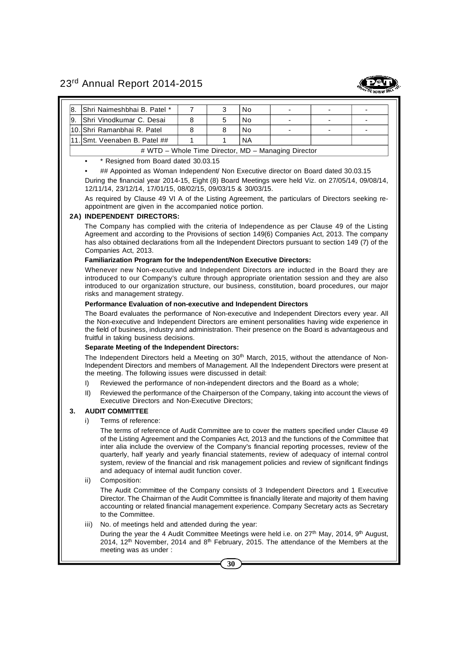

| 18. | IShri Naimeshbhai B. Patel *                        |  |  | Nο |  | - |  |  |  |  |
|-----|-----------------------------------------------------|--|--|----|--|---|--|--|--|--|
| 19. | Shri Vinodkumar C. Desai                            |  |  | Nο |  | - |  |  |  |  |
|     | 10. Shri Ramanbhai R. Patel                         |  |  | Nο |  | - |  |  |  |  |
|     | 11. Smt. Veenaben B. Patel ##<br><b>NA</b>          |  |  |    |  |   |  |  |  |  |
|     | # WTD – Whole Time Director, MD – Managing Director |  |  |    |  |   |  |  |  |  |

# • \* Resigned from Board dated 30.03.15

• ## Appointed as Woman Independent/ Non Executive director on Board dated 30.03.15

During the financial year 2014-15, Eight (8) Board Meetings were held Viz. on 27/05/14, 09/08/14, 12/11/14, 23/12/14, 17/01/15, 08/02/15, 09/03/15 & 30/03/15.

As required by Clause 49 VI A of the Listing Agreement, the particulars of Directors seeking reappointment are given in the accompanied notice portion.

#### **2A) INDEPENDENT DIRECTORS:**

The Company has complied with the criteria of Independence as per Clause 49 of the Listing Agreement and according to the Provisions of section 149(6) Companies Act, 2013. The company has also obtained declarations from all the Independent Directors pursuant to section 149 (7) of the Companies Act, 2013.

#### **Familiarization Program for the Independent/Non Executive Directors:**

Whenever new Non-executive and Independent Directors are inducted in the Board they are introduced to our Company's culture through appropriate orientation session and they are also introduced to our organization structure, our business, constitution, board procedures, our major risks and management strategy.

#### **Performance Evaluation of non-executive and Independent Directors**

The Board evaluates the performance of Non-executive and Independent Directors every year. All the Non-executive and Independent Directors are eminent personalities having wide experience in the field of business, industry and administration. Their presence on the Board is advantageous and fruitful in taking business decisions.

#### **Separate Meeting of the Independent Directors:**

The Independent Directors held a Meeting on  $30<sup>th</sup>$  March, 2015, without the attendance of Non-Independent Directors and members of Management. All the Independent Directors were present at the meeting. The following issues were discussed in detail:

- I) Reviewed the performance of non-independent directors and the Board as a whole;
- II) Reviewed the performance of the Chairperson of the Company, taking into account the views of Executive Directors and Non-Executive Directors;

#### **3. AUDIT COMMITTEE**

i) Terms of reference:

The terms of reference of Audit Committee are to cover the matters specified under Clause 49 of the Listing Agreement and the Companies Act, 2013 and the functions of the Committee that inter alia include the overview of the Company's financial reporting processes, review of the quarterly, half yearly and yearly financial statements, review of adequacy of internal control system, review of the financial and risk management policies and review of significant findings and adequacy of internal audit function cover.

ii) Composition:

The Audit Committee of the Company consists of 3 Independent Directors and 1 Executive Director. The Chairman of the Audit Committee is financially literate and majority of them having accounting or related financial management experience. Company Secretary acts as Secretary to the Committee.

iii) No. of meetings held and attended during the year:

During the year the 4 Audit Committee Meetings were held i.e. on 27<sup>th</sup> May, 2014, 9<sup>th</sup> August, 2014, 12<sup>th</sup> November, 2014 and 8<sup>th</sup> February, 2015. The attendance of the Members at the meeting was as under :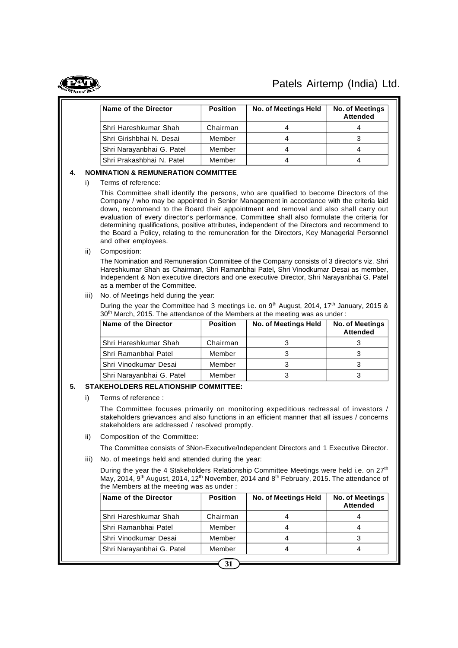

| Name of the Director      | <b>Position</b> | No. of Meetings Held | <b>No. of Meetings</b><br><b>Attended</b> |
|---------------------------|-----------------|----------------------|-------------------------------------------|
| Shri Hareshkumar Shah     | Chairman        |                      |                                           |
| Shri Girishbhai N. Desai  | Member          |                      |                                           |
| Shri Narayanbhai G. Patel | Member          |                      |                                           |
| Shri Prakashbhai N. Patel | Member          |                      |                                           |

#### **4. NOMINATION & REMUNERATION COMMITTEE**

i) Terms of reference:

This Committee shall identify the persons, who are qualified to become Directors of the Company / who may be appointed in Senior Management in accordance with the criteria laid down, recommend to the Board their appointment and removal and also shall carry out evaluation of every director's performance. Committee shall also formulate the criteria for determining qualifications, positive attributes, independent of the Directors and recommend to the Board a Policy, relating to the remuneration for the Directors, Key Managerial Personnel and other employees.

ii) Composition:

The Nomination and Remuneration Committee of the Company consists of 3 director's viz. Shri Hareshkumar Shah as Chairman, Shri Ramanbhai Patel, Shri Vinodkumar Desai as member, Independent & Non executive directors and one executive Director, Shri Narayanbhai G. Patel as a member of the Committee.

iii) No. of Meetings held during the year:

During the year the Committee had 3 meetings i.e. on  $9<sup>th</sup>$  August, 2014, 17<sup>th</sup> January, 2015 & 30<sup>th</sup> March, 2015. The attendance of the Members at the meeting was as under :

| Name of the Director      | <b>Position</b> | <b>No. of Meetings Held</b> | <b>No. of Meetings</b><br><b>Attended</b> |
|---------------------------|-----------------|-----------------------------|-------------------------------------------|
| Shri Hareshkumar Shah     | Chairman        |                             |                                           |
| Shri Ramanbhai Patel      | Member          |                             |                                           |
| Shri Vinodkumar Desai     | Member          |                             |                                           |
| Shri Narayanbhai G. Patel | Member          |                             |                                           |

# **5. STAKEHOLDERS RELATIONSHIP COMMITTEE:**

i) Terms of reference :

The Committee focuses primarily on monitoring expeditious redressal of investors / stakeholders grievances and also functions in an efficient manner that all issues / concerns stakeholders are addressed / resolved promptly.

ii) Composition of the Committee:

The Committee consists of 3Non-Executive/Independent Directors and 1 Executive Director.

iii) No. of meetings held and attended during the year:

During the year the 4 Stakeholders Relationship Committee Meetings were held i.e. on 27<sup>th</sup> May, 2014, 9<sup>th</sup> August, 2014, 12<sup>th</sup> November, 2014 and 8<sup>th</sup> February, 2015. The attendance of the Members at the meeting was as under :

| Name of the Director      | <b>Position</b> | <b>No. of Meetings Held</b> | <b>No. of Meetings</b><br><b>Attended</b> |
|---------------------------|-----------------|-----------------------------|-------------------------------------------|
| Shri Hareshkumar Shah     | Chairman        | 4                           |                                           |
| Shri Ramanbhai Patel      | Member          |                             |                                           |
| Shri Vinodkumar Desai     | Member          | 4                           |                                           |
| Shri Narayanbhai G. Patel | Member          | 4                           |                                           |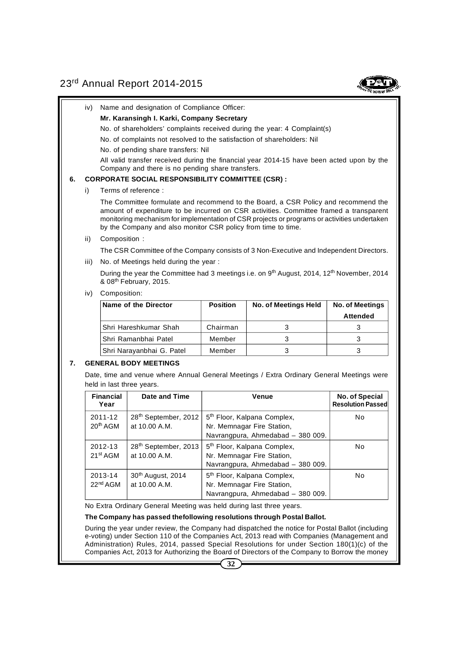

iv) Name and designation of Compliance Officer:

# **Mr. Karansingh I. Karki, Company Secretary**

No. of shareholders' complaints received during the year: 4 Complaint(s)

No. of complaints not resolved to the satisfaction of shareholders: Nil

No. of pending share transfers: Nil

All valid transfer received during the financial year 2014-15 have been acted upon by the Company and there is no pending share transfers.

# **6. CORPORATE SOCIAL RESPONSIBILITY COMMITTEE (CSR) :**

i) Terms of reference :

The Committee formulate and recommend to the Board, a CSR Policy and recommend the amount of expenditure to be incurred on CSR activities. Committee framed a transparent monitoring mechanism for implementation of CSR projects or programs or activities undertaken by the Company and also monitor CSR policy from time to time.

ii) Composition :

The CSR Committee of the Company consists of 3 Non-Executive and Independent Directors.

iii) No. of Meetings held during the year :

During the year the Committee had 3 meetings i.e. on 9<sup>th</sup> August, 2014, 12<sup>th</sup> November, 2014 & 08th February, 2015.

# iv) Composition:

| Name of the Director      | <b>Position</b> | No. of Meetings Held | <b>No. of Meetings</b> |  |
|---------------------------|-----------------|----------------------|------------------------|--|
|                           |                 |                      | Attended               |  |
| Shri Hareshkumar Shah     | Chairman        |                      |                        |  |
| Shri Ramanbhai Patel      | Member          |                      |                        |  |
| Shri Narayanbhai G. Patel | Member          |                      |                        |  |

# **7. GENERAL BODY MEETINGS**

Date, time and venue where Annual General Meetings / Extra Ordinary General Meetings were held in last three years.

| <b>Financial</b><br>Year        | Date and Time                                     | <b>Venue</b>                                                                                               | No. of Special<br><b>Resolution Passed</b> |  |
|---------------------------------|---------------------------------------------------|------------------------------------------------------------------------------------------------------------|--------------------------------------------|--|
| 2011-12<br>20 <sup>th</sup> AGM | 28 <sup>th</sup> September, 2012<br>at 10.00 A.M. | 5 <sup>th</sup> Floor, Kalpana Complex,<br>Nr. Memnagar Fire Station,<br>Navrangpura, Ahmedabad - 380 009. | No.                                        |  |
| 2012-13<br>21 <sup>st</sup> AGM | 28 <sup>th</sup> September, 2013<br>at 10.00 A.M. | 5 <sup>th</sup> Floor, Kalpana Complex,<br>Nr. Memnagar Fire Station,<br>Navrangpura, Ahmedabad - 380 009. | No.                                        |  |
| 2013-14<br>22 <sup>nd</sup> AGM | 30 <sup>th</sup> August, 2014<br>at 10.00 A.M.    | 5 <sup>th</sup> Floor, Kalpana Complex,<br>Nr. Memnagar Fire Station,<br>Navrangpura, Ahmedabad - 380 009. | No.                                        |  |

No Extra Ordinary General Meeting was held during last three years.

## **The Company has passed thefollowing resolutions through Postal Ballot.**

During the year under review, the Company had dispatched the notice for Postal Ballot (including e-voting) under Section 110 of the Companies Act, 2013 read with Companies (Management and Administration) Rules, 2014, passed Special Resolutions for under Section 180(1)(c) of the Companies Act, 2013 for Authorizing the Board of Directors of the Company to Borrow the money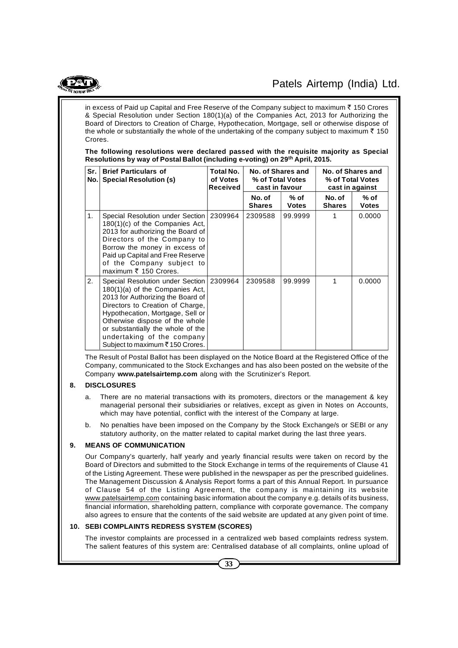

in excess of Paid up Capital and Free Reserve of the Company subject to maximum  $\bar{\tau}$  150 Crores & Special Resolution under Section 180(1)(a) of the Companies Act, 2013 for Authorizing the Board of Directors to Creation of Charge, Hypothecation, Mortgage, sell or otherwise dispose of the whole or substantially the whole of the undertaking of the company subject to maximum  $\bar{\tau}$  150 Crores.

**The following resolutions were declared passed with the requisite majority as Special Resolutions by way of Postal Ballot (including e-voting) on 29th April, 2015.**

| Sr.<br>No.l | <b>Brief Particulars of</b><br><b>Special Resolution (s)</b>                                                                                                                                                                                                                                                             | Total No.<br>of Votes<br>Received | No. of Shares and<br>% of Total Votes<br>cast in favour |                      | No. of Shares and<br>% of Total Votes<br>cast in against |                        |
|-------------|--------------------------------------------------------------------------------------------------------------------------------------------------------------------------------------------------------------------------------------------------------------------------------------------------------------------------|-----------------------------------|---------------------------------------------------------|----------------------|----------------------------------------------------------|------------------------|
|             |                                                                                                                                                                                                                                                                                                                          |                                   | No. of<br><b>Shares</b>                                 | % of<br><b>Votes</b> | No. of<br><b>Shares</b>                                  | $%$ of<br><b>Votes</b> |
| 1.          | Special Resolution under Section<br>180(1)(c) of the Companies Act,<br>2013 for authorizing the Board of<br>Directors of the Company to<br>Borrow the money in excess of<br>Paid up Capital and Free Reserve<br>of the Company subject to<br>maximum ₹ 150 Crores.                                                       | 2309964                           | 2309588                                                 | 99.9999              | 1                                                        | 0.0000                 |
| 2.          | Special Resolution under Section<br>180(1)(a) of the Companies Act,<br>2013 for Authorizing the Board of<br>Directors to Creation of Charge,<br>Hypothecation, Mortgage, Sell or<br>Otherwise dispose of the whole<br>or substantially the whole of the<br>undertaking of the company<br>Subject to maximum ₹150 Crores. | 2309964                           | 2309588                                                 | 99.9999              |                                                          | 0.0000                 |

The Result of Postal Ballot has been displayed on the Notice Board at the Registered Office of the Company, communicated to the Stock Exchanges and has also been posted on the website of the Company **www.patelsairtemp.com** along with the Scrutinizer's Report.

## **8. DISCLOSURES**

- a. There are no material transactions with its promoters, directors or the management & key managerial personal their subsidiaries or relatives, except as given in Notes on Accounts, which may have potential, conflict with the interest of the Company at large.
- b. No penalties have been imposed on the Company by the Stock Exchange/s or SEBI or any statutory authority, on the matter related to capital market during the last three years.

#### **9. MEANS OF COMMUNICATION**

Our Company's quarterly, half yearly and yearly financial results were taken on record by the Board of Directors and submitted to the Stock Exchange in terms of the requirements of Clause 41 of the Listing Agreement. These were published in the newspaper as per the prescribed guidelines. The Management Discussion & Analysis Report forms a part of this Annual Report. In pursuance of Clause 54 of the Listing Agreement, the company is maintaining its website www.patelsairtemp.com containing basic information about the company e.g. details of its business, financial information, shareholding pattern, compliance with corporate governance. The company also agrees to ensure that the contents of the said website are updated at any given point of time.

#### **10. SEBI COMPLAINTS REDRESS SYSTEM (SCORES)**

The investor complaints are processed in a centralized web based complaints redress system. The salient features of this system are: Centralised database of all complaints, online upload of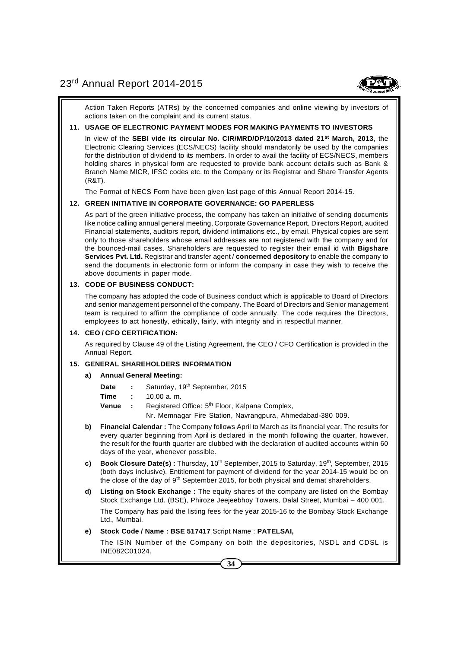

Action Taken Reports (ATRs) by the concerned companies and online viewing by investors of actions taken on the complaint and its current status.

# **11. USAGE OF ELECTRONIC PAYMENT MODES FOR MAKING PAYMENTS TO INVESTORS**

In view of the **SEBI vide its circular No. CIR/MRD/DP/10/2013 dated 21st March, 2013**, the Electronic Clearing Services (ECS/NECS) facility should mandatorily be used by the companies for the distribution of dividend to its members. In order to avail the facility of ECS/NECS, members holding shares in physical form are requested to provide bank account details such as Bank & Branch Name MICR, IFSC codes etc. to the Company or its Registrar and Share Transfer Agents (R&T).

The Format of NECS Form have been given last page of this Annual Report 2014-15.

# **12. GREEN INITIATIVE IN CORPORATE GOVERNANCE: GO PAPERLESS**

As part of the green initiative process, the company has taken an initiative of sending documents like notice calling annual general meeting, Corporate Governance Report, Directors Report, audited Financial statements, auditors report, dividend intimations etc., by email. Physical copies are sent only to those shareholders whose email addresses are not registered with the company and for the bounced-mail cases. Shareholders are requested to register their email id with **Bigshare Services Pvt. Ltd.** Registrar and transfer agent / **concerned depository** to enable the company to send the documents in electronic form or inform the company in case they wish to receive the above documents in paper mode.

## **13. CODE OF BUSINESS CONDUCT:**

The company has adopted the code of Business conduct which is applicable to Board of Directors and senior management personnel of the company. The Board of Directors and Senior management team is required to affirm the compliance of code annually. The code requires the Directors, employees to act honestly, ethically, fairly, with integrity and in respectful manner.

## **14. CEO / CFO CERTIFICATION:**

As required by Clause 49 of the Listing Agreement, the CEO / CFO Certification is provided in the Annual Report.

## **15. GENERAL SHAREHOLDERS INFORMATION**

## **a) Annual General Meeting:**

- Date : Saturday, 19<sup>th</sup> September, 2015
- **Time :** 10.00 a. m.
- **Venue** : Registered Office: 5<sup>th</sup> Floor, Kalpana Complex,

Nr. Memnagar Fire Station, Navrangpura, Ahmedabad-380 009.

- **b) Financial Calendar :** The Company follows April to March as its financial year. The results for every quarter beginning from April is declared in the month following the quarter, however, the result for the fourth quarter are clubbed with the declaration of audited accounts within 60 days of the year, whenever possible.
- **c) Book Closure Date(s)**: Thursday, 10<sup>th</sup> September, 2015 to Saturday, 19<sup>th</sup>, September, 2015 (both days inclusive). Entitlement for payment of dividend for the year 2014-15 would be on the close of the day of  $9<sup>th</sup>$  September 2015, for both physical and demat shareholders.
- **d) Listing on Stock Exchange :** The equity shares of the company are listed on the Bombay Stock Exchange Ltd. (BSE), Phiroze Jeejeebhoy Towers, Dalal Street, Mumbai – 400 001.

The Company has paid the listing fees for the year 2015-16 to the Bombay Stock Exchange Ltd., Mumbai.

**e) Stock Code / Name : BSE 517417** Script Name : **PATELSAI,**

The ISIN Number of the Company on both the depositories, NSDL and CDSL is INE082C01024.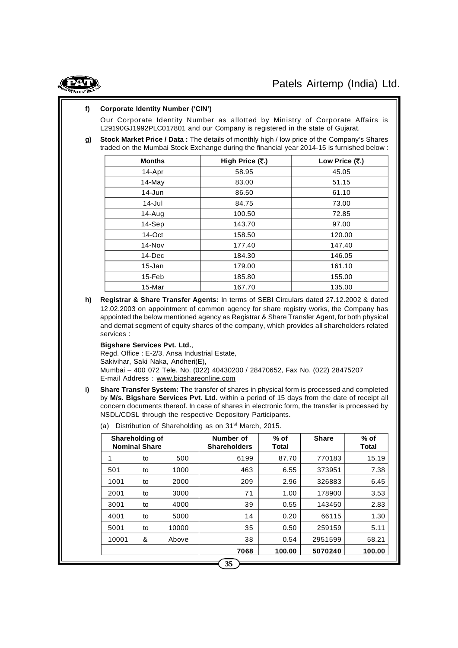

#### **f) Corporate Identity Number ('CIN')**

Our Corporate Identity Number as allotted by Ministry of Corporate Affairs is L29190GJ1992PLC017801 and our Company is registered in the state of Gujarat.

**g) Stock Market Price / Data :** The details of monthly high / low price of the Company's Shares traded on the Mumbai Stock Exchange during the financial year 2014-15 is furnished below :

| <b>Months</b> | High Price (そ.) | Low Price $(3)$ . |
|---------------|-----------------|-------------------|
| 14-Apr        | 58.95           | 45.05             |
| $14$ -May     | 83.00           | 51.15             |
| $14 - Jun$    | 86.50           | 61.10             |
| 14-Jul        | 84.75           | 73.00             |
| $14-Aug$      | 100.50          | 72.85             |
| 14-Sep        | 143.70          | 97.00             |
| $14$ -Oct     | 158.50          | 120.00            |
| 14-Nov        | 177.40          | 147.40            |
| $14$ -Dec     | 184.30          | 146.05            |
| 15-Jan        | 179.00          | 161.10            |
| $15-Feb$      | 185.80          | 155.00            |
| 15-Mar        | 167.70          | 135.00            |

**h) Registrar & Share Transfer Agents:** In terms of SEBI Circulars dated 27.12.2002 & dated 12.02.2003 on appointment of common agency for share registry works, the Company has appointed the below mentioned agency as Registrar & Share Transfer Agent, for both physical and demat segment of equity shares of the company, which provides all shareholders related services :

#### **Bigshare Services Pvt. Ltd.**,

Regd. Office : E-2/3, Ansa Industrial Estate, Sakivihar, Saki Naka, Andheri(E), Mumbai – 400 072 Tele. No. (022) 40430200 / 28470652, Fax No. (022) 28475207 E-mail Address : www.bigshareonline.com

**i) Share Transfer System:** The transfer of shares in physical form is processed and completed by **M/s. Bigshare Services Pvt. Ltd.** within a period of 15 days from the date of receipt all concern documents thereof. In case of shares in electronic form, the transfer is processed by NSDL/CDSL through the respective Depository Participants.

| Shareholding of<br><b>Nominal Share</b> |    |       | Number of<br><b>Shareholders</b> | $%$ of<br>Total | <b>Share</b> | $%$ of<br>Total |
|-----------------------------------------|----|-------|----------------------------------|-----------------|--------------|-----------------|
|                                         | to | 500   | 6199                             | 87.70           | 770183       | 15.19           |
| 501                                     | to | 1000  | 463                              | 6.55            | 373951       | 7.38            |
| 1001                                    | to | 2000  | 209                              | 2.96            | 326883       | 6.45            |
| 2001                                    | to | 3000  | 71                               | 1.00            | 178900       | 3.53            |
| 3001                                    | to | 4000  | 39                               | 0.55            | 143450       | 2.83            |
| 4001                                    | to | 5000  | 14                               | 0.20            | 66115        | 1.30            |
| 5001                                    | to | 10000 | 35                               | 0.50            | 259159       | 5.11            |
| 10001                                   | &  | Above | 38                               | 0.54            | 2951599      | 58.21           |
|                                         |    |       | 7068                             | 100.00          | 5070240      | 100.00          |

(a) Distribution of Shareholding as on 31<sup>st</sup> March, 2015.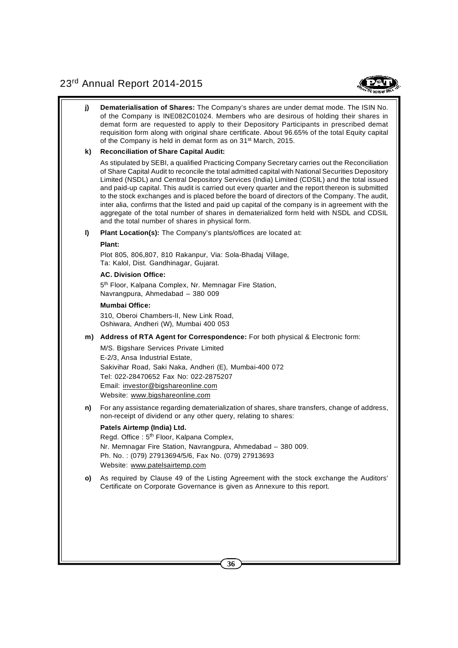

**j) Dematerialisation of Shares:** The Company's shares are under demat mode. The ISIN No. of the Company is INE082C01024. Members who are desirous of holding their shares in demat form are requested to apply to their Depository Participants in prescribed demat requisition form along with original share certificate. About 96.65% of the total Equity capital of the Company is held in demat form as on 31<sup>st</sup> March, 2015.

#### **k) Reconciliation of Share Capital Audit:**

As stipulated by SEBI, a qualified Practicing Company Secretary carries out the Reconciliation of Share Capital Audit to reconcile the total admitted capital with National Securities Depository Limited (NSDL) and Central Depository Services (India) Limited (CDSIL) and the total issued and paid-up capital. This audit is carried out every quarter and the report thereon is submitted to the stock exchanges and is placed before the board of directors of the Company. The audit, inter alia, confirms that the listed and paid up capital of the company is in agreement with the aggregate of the total number of shares in dematerialized form held with NSDL and CDSIL and the total number of shares in physical form.

**l) Plant Location(s):** The Company's plants/offices are located at:

#### **Plant:**

Plot 805, 806,807, 810 Rakanpur, Via: Sola-Bhadaj Village, Ta: Kalol, Dist. Gandhinagar, Gujarat.

#### **AC. Division Office:**

5<sup>th</sup> Floor, Kalpana Complex, Nr. Memnagar Fire Station, Navrangpura, Ahmedabad – 380 009

#### **Mumbai Office:**

310, Oberoi Chambers-II, New Link Road, Oshiwara, Andheri (W), Mumbai 400 053

**m) Address of RTA Agent for Correspondence:** For both physical & Electronic form:

M/S. Bigshare Services Private Limited E-2/3, Ansa Industrial Estate, Sakivihar Road, Saki Naka, Andheri (E), Mumbai-400 072 Tel: 022-28470652 Fax No: 022-2875207 Email: investor@bigshareonline.com Website: www.bigshareonline.com

**n)** For any assistance regarding dematerialization of shares, share transfers, change of address, non-receipt of dividend or any other query, relating to shares:

#### **Patels Airtemp (India) Ltd.**

Regd. Office : 5<sup>th</sup> Floor, Kalpana Complex, Nr. Memnagar Fire Station, Navrangpura, Ahmedabad – 380 009. Ph. No. : (079) 27913694/5/6, Fax No. (079) 27913693 Website: www.patelsairtemp.com

**o)** As required by Clause 49 of the Listing Agreement with the stock exchange the Auditors' Certificate on Corporate Governance is given as Annexure to this report.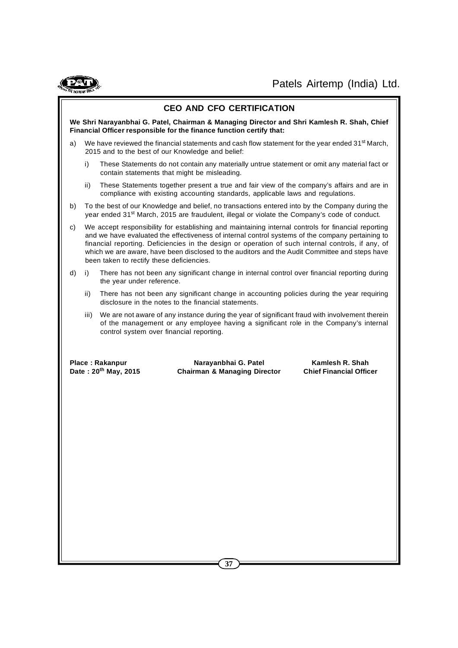

### **CEO AND CFO CERTIFICATION**

**We Shri Narayanbhai G. Patel, Chairman & Managing Director and Shri Kamlesh R. Shah, Chief Financial Officer responsible for the finance function certify that:**

- a) We have reviewed the financial statements and cash flow statement for the year ended  $31<sup>st</sup>$  March, 2015 and to the best of our Knowledge and belief:
	- i) These Statements do not contain any materially untrue statement or omit any material fact or contain statements that might be misleading.
	- ii) These Statements together present a true and fair view of the company's affairs and are in compliance with existing accounting standards, applicable laws and regulations.
- b) To the best of our Knowledge and belief, no transactions entered into by the Company during the year ended 31<sup>st</sup> March, 2015 are fraudulent, illegal or violate the Company's code of conduct.
- c) We accept responsibility for establishing and maintaining internal controls for financial reporting and we have evaluated the effectiveness of internal control systems of the company pertaining to financial reporting. Deficiencies in the design or operation of such internal controls, if any, of which we are aware, have been disclosed to the auditors and the Audit Committee and steps have been taken to rectify these deficiencies.
- d) i) There has not been any significant change in internal control over financial reporting during the year under reference.
	- ii) There has not been any significant change in accounting policies during the year requiring disclosure in the notes to the financial statements.
	- iii) We are not aware of any instance during the year of significant fraud with involvement therein of the management or any employee having a significant role in the Company's internal control system over financial reporting.

**Place : Rakanpur Narayanbhai G. Patel Kamlesh R. Shah Date : 20th May, 2015 Chairman & Managing Director Chief Financial Officer**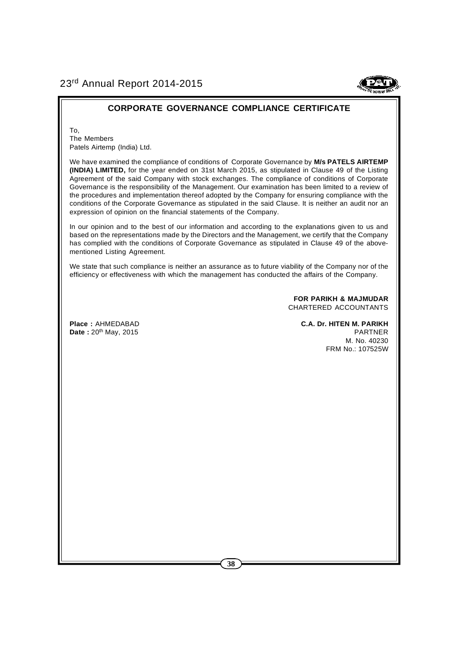

### **CORPORATE GOVERNANCE COMPLIANCE CERTIFICATE**

To, The Members Patels Airtemp (India) Ltd.

We have examined the compliance of conditions of Corporate Governance by **M/s PATELS AIRTEMP (INDIA) LIMITED,** for the year ended on 31st March 2015, as stipulated in Clause 49 of the Listing Agreement of the said Company with stock exchanges. The compliance of conditions of Corporate Governance is the responsibility of the Management. Our examination has been limited to a review of the procedures and implementation thereof adopted by the Company for ensuring compliance with the conditions of the Corporate Governance as stipulated in the said Clause. It is neither an audit nor an expression of opinion on the financial statements of the Company.

In our opinion and to the best of our information and according to the explanations given to us and based on the representations made by the Directors and the Management, we certify that the Company has complied with the conditions of Corporate Governance as stipulated in Clause 49 of the abovementioned Listing Agreement.

We state that such compliance is neither an assurance as to future viability of the Company nor of the efficiency or effectiveness with which the management has conducted the affairs of the Company.

> **FOR PARIKH & MAJMUDAR** CHARTERED ACCOUNTANTS

**Date :** 20<sup>th</sup> May, 2015 **PARTNER** 

**Place :** AHMEDABAD **C.A. Dr. HITEN M. PARIKH**

M. No. 40230 FRM No.: 107525W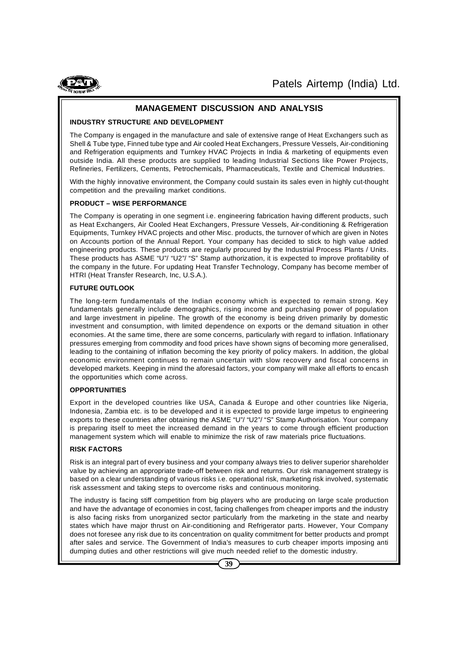

### **MANAGEMENT DISCUSSION AND ANALYSIS**

#### **INDUSTRY STRUCTURE AND DEVELOPMENT**

The Company is engaged in the manufacture and sale of extensive range of Heat Exchangers such as Shell & Tube type, Finned tube type and Air cooled Heat Exchangers, Pressure Vessels, Air-conditioning and Refrigeration equipments and Turnkey HVAC Projects in India & marketing of equipments even outside India. All these products are supplied to leading Industrial Sections like Power Projects, Refineries, Fertilizers, Cements, Petrochemicals, Pharmaceuticals, Textile and Chemical Industries.

With the highly innovative environment, the Company could sustain its sales even in highly cut-thought competition and the prevailing market conditions.

#### **PRODUCT – WISE PERFORMANCE**

The Company is operating in one segment i.e. engineering fabrication having different products, such as Heat Exchangers, Air Cooled Heat Exchangers, Pressure Vessels, Air-conditioning & Refrigeration Equipments, Turnkey HVAC projects and other Misc. products, the turnover of which are given in Notes on Accounts portion of the Annual Report. Your company has decided to stick to high value added engineering products. These products are regularly procured by the Industrial Process Plants / Units. These products has ASME "U"/ "U2"/ "S" Stamp authorization, it is expected to improve profitability of the company in the future. For updating Heat Transfer Technology, Company has become member of HTRI (Heat Transfer Research, Inc, U.S.A.).

#### **FUTURE OUTLOOK**

The long-term fundamentals of the Indian economy which is expected to remain strong. Key fundamentals generally include demographics, rising income and purchasing power of population and large investment in pipeline. The growth of the economy is being driven primarily by domestic investment and consumption, with limited dependence on exports or the demand situation in other economies. At the same time, there are some concerns, particularly with regard to inflation. Inflationary pressures emerging from commodity and food prices have shown signs of becoming more generalised, leading to the containing of inflation becoming the key priority of policy makers. In addition, the global economic environment continues to remain uncertain with slow recovery and fiscal concerns in developed markets. Keeping in mind the aforesaid factors, your company will make all efforts to encash the opportunities which come across.

#### **OPPORTUNITIES**

Export in the developed countries like USA, Canada & Europe and other countries like Nigeria, Indonesia, Zambia etc. is to be developed and it is expected to provide large impetus to engineering exports to these countries after obtaining the ASME "U"/ "U2"/ "S" Stamp Authorisation. Your company is preparing itself to meet the increased demand in the years to come through efficient production management system which will enable to minimize the risk of raw materials price fluctuations.

#### **RISK FACTORS**

Risk is an integral part of every business and your company always tries to deliver superior shareholder value by achieving an appropriate trade-off between risk and returns. Our risk management strategy is based on a clear understanding of various risks i.e. operational risk, marketing risk involved, systematic risk assessment and taking steps to overcome risks and continuous monitoring.

The industry is facing stiff competition from big players who are producing on large scale production and have the advantage of economies in cost, facing challenges from cheaper imports and the industry is also facing risks from unorganized sector particularly from the marketing in the state and nearby states which have major thrust on Air-conditioning and Refrigerator parts. However, Your Company does not foresee any risk due to its concentration on quality commitment for better products and prompt after sales and service. The Government of India's measures to curb cheaper imports imposing anti dumping duties and other restrictions will give much needed relief to the domestic industry.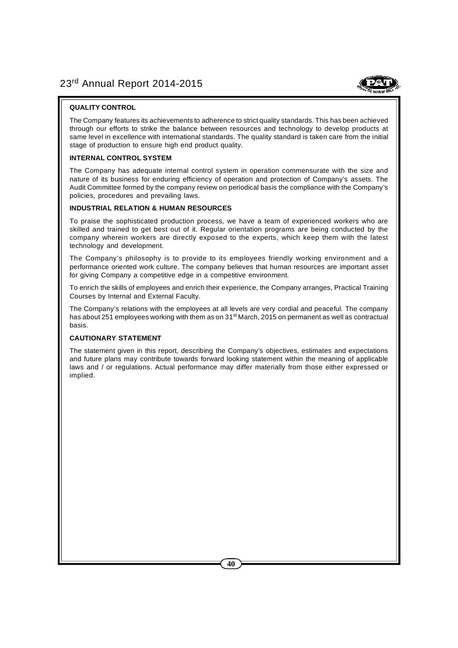

#### **QUALITY CONTROL**

The Company features its achievements to adherence to strict quality standards. This has been achieved through our efforts to strike the balance between resources and technology to develop products at same level in excellence with international standards. The quality standard is taken care from the initial stage of production to ensure high end product quality.

#### **INTERNAL CONTROL SYSTEM**

The Company has adequate internal control system in operation commensurate with the size and nature of its business for enduring efficiency of operation and protection of Company's assets. The Audit Committee formed by the company review on periodical basis the compliance with the Company's policies, procedures and prevailing laws.

#### **INDUSTRIAL RELATION & HUMAN RESOURCES**

To praise the sophisticated production process, we have a team of experienced workers who are skilled and trained to get best out of it. Regular orientation programs are being conducted by the company wherein workers are directly exposed to the experts, which keep them with the latest technology and development.

The Company's philosophy is to provide to its employees friendly working environment and a performance oriented work culture. The company believes that human resources are important asset for giving Company a competitive edge in a competitive environment.

To enrich the skills of employees and enrich their experience, the Company arranges, Practical Training Courses by Internal and External Faculty.

The Company's relations with the employees at all levels are very cordial and peaceful. The company has about 251 employees working with them as on 31<sup>st</sup> March, 2015 on permanent as well as contractual basis.

#### **CAUTIONARY STATEMENT**

The statement given in this report, describing the Company's objectives, estimates and expectations and future plans may contribute towards forward looking statement within the meaning of applicable laws and / or regulations. Actual performance may differ materially from those either expressed or implied.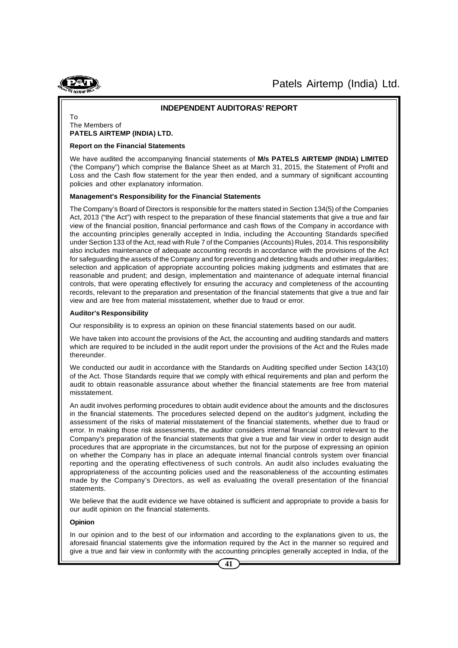

### **INDEPENDENT AUDITORAS' REPORT**

#### To The Members of **PATELS AIRTEMP (INDIA) LTD.**

#### **Report on the Financial Statements**

We have audited the accompanying financial statements of **M/s PATELS AIRTEMP (INDIA) LIMITED** ('the Company") which comprise the Balance Sheet as at March 31, 2015, the Statement of Profit and Loss and the Cash flow statement for the year then ended, and a summary of significant accounting policies and other explanatory information.

#### **Management's Responsibility for the Financial Statements**

The Company's Board of Directors is responsible for the matters stated in Section 134(5) of the Companies Act, 2013 ("the Act") with respect to the preparation of these financial statements that give a true and fair view of the financial position, financial performance and cash flows of the Company in accordance with the accounting principles generally accepted in India, including the Accounting Standards specified under Section 133 of the Act, read with Rule 7 of the Companies (Accounts) Rules, 2014. This responsibility also includes maintenance of adequate accounting records in accordance with the provisions of the Act for safeguarding the assets of the Company and for preventing and detecting frauds and other irregularities; selection and application of appropriate accounting policies making judgments and estimates that are reasonable and prudent; and design, implementation and maintenance of adequate internal financial controls, that were operating effectively for ensuring the accuracy and completeness of the accounting records, relevant to the preparation and presentation of the financial statements that give a true and fair view and are free from material misstatement, whether due to fraud or error.

#### **Auditor's Responsibility**

Our responsibility is to express an opinion on these financial statements based on our audit.

We have taken into account the provisions of the Act, the accounting and auditing standards and matters which are required to be included in the audit report under the provisions of the Act and the Rules made thereunder.

We conducted our audit in accordance with the Standards on Auditing specified under Section 143(10) of the Act. Those Standards require that we comply with ethical requirements and plan and perform the audit to obtain reasonable assurance about whether the financial statements are free from material misstatement.

An audit involves performing procedures to obtain audit evidence about the amounts and the disclosures in the financial statements. The procedures selected depend on the auditor's judgment, including the assessment of the risks of material misstatement of the financial statements, whether due to fraud or error. In making those risk assessments, the auditor considers internal financial control relevant to the Company's preparation of the financial statements that give a true and fair view in order to design audit procedures that are appropriate in the circumstances, but not for the purpose of expressing an opinion on whether the Company has in place an adequate internal financial controls system over financial reporting and the operating effectiveness of such controls. An audit also includes evaluating the appropriateness of the accounting policies used and the reasonableness of the accounting estimates made by the Company's Directors, as well as evaluating the overall presentation of the financial statements.

We believe that the audit evidence we have obtained is sufficient and appropriate to provide a basis for our audit opinion on the financial statements.

#### **Opinion**

In our opinion and to the best of our information and according to the explanations given to us, the aforesaid financial statements give the information required by the Act in the manner so required and give a true and fair view in conformity with the accounting principles generally accepted in India, of the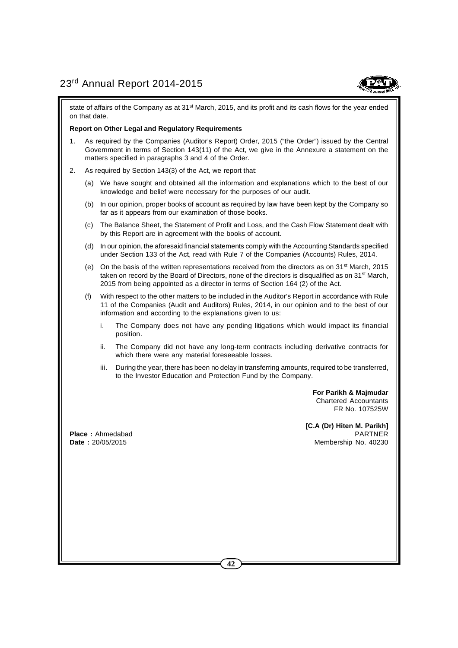

state of affairs of the Company as at 31<sup>st</sup> March, 2015, and its profit and its cash flows for the year ended on that date.

#### **Report on Other Legal and Regulatory Requirements**

- 1. As required by the Companies (Auditor's Report) Order, 2015 ("the Order") issued by the Central Government in terms of Section 143(11) of the Act, we give in the Annexure a statement on the matters specified in paragraphs 3 and 4 of the Order.
- 2. As required by Section 143(3) of the Act, we report that:
	- (a) We have sought and obtained all the information and explanations which to the best of our knowledge and belief were necessary for the purposes of our audit.
	- (b) In our opinion, proper books of account as required by law have been kept by the Company so far as it appears from our examination of those books.
	- (c) The Balance Sheet, the Statement of Profit and Loss, and the Cash Flow Statement dealt with by this Report are in agreement with the books of account.
	- (d) In our opinion, the aforesaid financial statements comply with the Accounting Standards specified under Section 133 of the Act, read with Rule 7 of the Companies (Accounts) Rules, 2014.
	- (e) On the basis of the written representations received from the directors as on  $31<sup>st</sup>$  March, 2015 taken on record by the Board of Directors, none of the directors is disqualified as on 31<sup>st</sup> March, 2015 from being appointed as a director in terms of Section 164 (2) of the Act.
	- (f) With respect to the other matters to be included in the Auditor's Report in accordance with Rule 11 of the Companies (Audit and Auditors) Rules, 2014, in our opinion and to the best of our information and according to the explanations given to us:
		- i. The Company does not have any pending litigations which would impact its financial position.
		- ii. The Company did not have any long-term contracts including derivative contracts for which there were any material foreseeable losses.
		- iii. During the year, there has been no delay in transferring amounts, required to be transferred, to the Investor Education and Protection Fund by the Company.

**For Parikh & Majmudar** Chartered Accountants FR No. 107525W

**[C.A (Dr) Hiten M. Parikh] Place :** Ahmedabad PARTNER **Date :**  $20/05/2015$  Membership No. 40230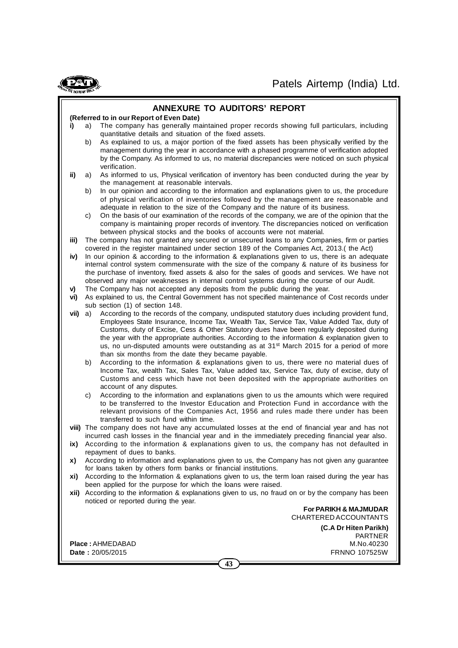

### **ANNEXURE TO AUDITORS' REPORT**

#### **(Referred to in our Report of Even Date)**

- **i)** a) The company has generally maintained proper records showing full particulars, including quantitative details and situation of the fixed assets.
	- b) As explained to us, a major portion of the fixed assets has been physically verified by the management during the year in accordance with a phased programme of verification adopted by the Company. As informed to us, no material discrepancies were noticed on such physical verification.
- **ii)** a) As informed to us, Physical verification of inventory has been conducted during the year by the management at reasonable intervals.
	- b) In our opinion and according to the information and explanations given to us, the procedure of physical verification of inventories followed by the management are reasonable and adequate in relation to the size of the Company and the nature of its business.
	- c) On the basis of our examination of the records of the company, we are of the opinion that the company is maintaining proper records of inventory. The discrepancies noticed on verification between physical stocks and the books of accounts were not material.
- **iii)** The company has not granted any secured or unsecured loans to any Companies, firm or parties covered in the register maintained under section 189 of the Companies Act, 2013.( the Act)
- **iv)** In our opinion & according to the information & explanations given to us, there is an adequate internal control system commensurate with the size of the company & nature of its business for the purchase of inventory, fixed assets & also for the sales of goods and services. We have not observed any major weaknesses in internal control systems during the course of our Audit.
- **v)** The Company has not accepted any deposits from the public during the year.
- **vi)** As explained to us, the Central Government has not specified maintenance of Cost records under sub section (1) of section 148.
- **vii)** a) According to the records of the company, undisputed statutory dues including provident fund, Employees State Insurance, Income Tax, Wealth Tax, Service Tax, Value Added Tax, duty of Customs, duty of Excise, Cess & Other Statutory dues have been regularly deposited during the year with the appropriate authorities. According to the information & explanation given to us, no un-disputed amounts were outstanding as at 31<sup>st</sup> March 2015 for a period of more than six months from the date they became payable.
	- b) According to the information & explanations given to us, there were no material dues of Income Tax, wealth Tax, Sales Tax, Value added tax, Service Tax, duty of excise, duty of Customs and cess which have not been deposited with the appropriate authorities on account of any disputes.
	- c) According to the information and explanations given to us the amounts which were required to be transferred to the Investor Education and Protection Fund in accordance with the relevant provisions of the Companies Act, 1956 and rules made there under has been transferred to such fund within time.
- **viii)** The company does not have any accumulated losses at the end of financial year and has not incurred cash losses in the financial year and in the immediately preceding financial year also.
- **ix)** According to the information & explanations given to us, the company has not defaulted in repayment of dues to banks.
- **x)** According to information and explanations given to us, the Company has not given any quarantee for loans taken by others form banks or financial institutions.
- **xi)** According to the Information & explanations given to us, the term loan raised during the year has been applied for the purpose for which the loans were raised.
- **xii)** According to the information & explanations given to us, no fraud on or by the company has been noticed or reported during the year.

**For PARIKH & MAJMUDAR** CHARTERED ACCOUNTANTS

**(C.A Dr Hiten Parikh)** PARTNER **Place :** AHMEDABAD M.No.40230 **Date :** 20/05/2015 FRNNO 107525W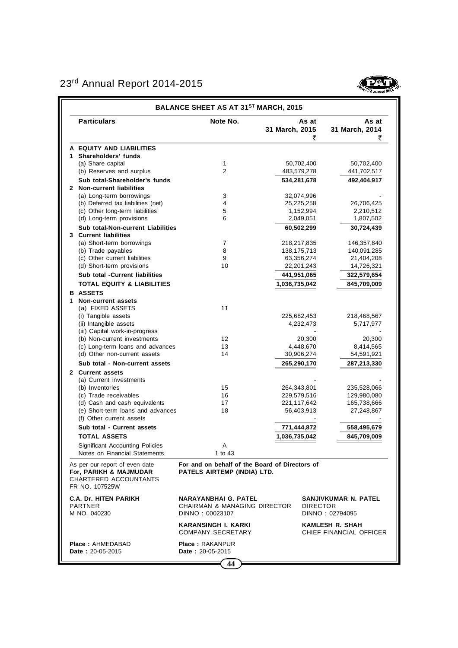

|   | BALANCE SHEET AS AT 31ST MARCH, 2015                                                                                                                               |                |                          |                         |  |
|---|--------------------------------------------------------------------------------------------------------------------------------------------------------------------|----------------|--------------------------|-------------------------|--|
|   | <b>Particulars</b>                                                                                                                                                 | Note No.       | As at                    | As at                   |  |
|   |                                                                                                                                                                    |                | 31 March, 2015<br>₹      | 31 March, 2014<br>₹     |  |
|   | A EQUITY AND LIABILITIES                                                                                                                                           |                |                          |                         |  |
|   | 1 Shareholders' funds                                                                                                                                              |                |                          |                         |  |
|   | (a) Share capital                                                                                                                                                  | $\mathbf{1}$   | 50,702,400               | 50,702,400              |  |
|   | (b) Reserves and surplus                                                                                                                                           | $\overline{2}$ | 483,579,278              | 441,702,517             |  |
|   | Sub total-Shareholder's funds                                                                                                                                      |                | 534,281,678              | 492,404,917             |  |
|   | 2 Non-current liabilities                                                                                                                                          |                |                          |                         |  |
|   | (a) Long-term borrowings<br>(b) Deferred tax liabilities (net)                                                                                                     | 3<br>4         | 32,074,996<br>25,225,258 | 26,706,425              |  |
|   | (c) Other long-term liabilities                                                                                                                                    | 5              | 1,152,994                | 2,210,512               |  |
|   | (d) Long-term provisions                                                                                                                                           | 6              | 2,049,051                | 1,807,502               |  |
|   | Sub total-Non-current Liabilities                                                                                                                                  |                | 60,502,299               | 30,724,439              |  |
|   | 3 Current liabilities                                                                                                                                              |                |                          |                         |  |
|   | (a) Short-term borrowings                                                                                                                                          | 7              | 218,217,835              | 146,357,840             |  |
|   | (b) Trade payables                                                                                                                                                 | 8              | 138, 175, 713            | 140,091,285             |  |
|   | (c) Other current liabilities                                                                                                                                      | 9              | 63,356,274               | 21,404,208              |  |
|   | (d) Short-term provisions                                                                                                                                          | 10             | 22,201,243               | 14,726,321              |  |
|   | Sub total -Current liabilities                                                                                                                                     |                | 441,951,065              | 322,579,654             |  |
|   | <b>TOTAL EQUITY &amp; LIABILITIES</b>                                                                                                                              |                | 1,036,735,042            | 845,709,009             |  |
|   | <b>B ASSETS</b>                                                                                                                                                    |                |                          |                         |  |
| 1 | <b>Non-current assets</b>                                                                                                                                          |                |                          |                         |  |
|   | (a) FIXED ASSETS                                                                                                                                                   | 11             |                          |                         |  |
|   | (i) Tangible assets                                                                                                                                                |                | 225,682,453              | 218,468,567             |  |
|   | (ii) Intangible assets                                                                                                                                             |                | 4,232,473                | 5,717,977               |  |
|   | (iii) Capital work-in-progress                                                                                                                                     |                |                          |                         |  |
|   | (b) Non-current investments                                                                                                                                        | 12<br>13       | 20,300                   | 20,300                  |  |
|   | (c) Long-term loans and advances<br>(d) Other non-current assets                                                                                                   | 14             | 4,448,670<br>30,906,274  | 8,414,565<br>54,591,921 |  |
|   | Sub total - Non-current assets                                                                                                                                     |                |                          |                         |  |
|   |                                                                                                                                                                    |                | 265,290,170              | 287,213,330             |  |
|   | 2 Current assets<br>(a) Current investments                                                                                                                        |                |                          |                         |  |
|   | (b) Inventories                                                                                                                                                    | 15             | 264,343,801              | 235,528,066             |  |
|   | (c) Trade receivables                                                                                                                                              | 16             | 229,579,516              | 129,980,080             |  |
|   | (d) Cash and cash equivalents                                                                                                                                      | 17             | 221,117,642              | 165,738,666             |  |
|   | (e) Short-term loans and advances                                                                                                                                  | 18             | 56,403,913               | 27,248,867              |  |
|   | (f) Other current assets                                                                                                                                           |                |                          |                         |  |
|   | Sub total - Current assets                                                                                                                                         |                | 771,444,872              | 558,495,679             |  |
|   | <b>TOTAL ASSETS</b>                                                                                                                                                |                | 1,036,735,042            | 845,709,009             |  |
|   | <b>Significant Accounting Policies</b>                                                                                                                             | Α              |                          |                         |  |
|   | Notes on Financial Statements                                                                                                                                      | 1 to 43        |                          |                         |  |
|   | For and on behalf of the Board of Directors of<br>As per our report of even date<br>For, PARIKH & MAJMUDAR<br>PATELS AIRTEMP (INDIA) LTD.<br>CHARTERED ACCOUNTANTS |                |                          |                         |  |

FR NO. 107525W **C.A. Dr. HITEN PARIKH NARAYANBHAI G. PATEL SANJIVKUMAR N. PATEL**

**Place :** AHMEDABAD **Place :** RAKANPUR **Date :** 20-05-2015 **Date :** 20-05-2015

PARTNER CHAIRMAN & MANAGING DIRECTOR DIRECTOR<br>M NO. 040230 DINNO : 00023107 DINNO : 027 DINNO : 00023107 DINNO : 02794095

**KARANSINGH I. KARKI KAMLESH R. SHAH**

COMPANY SECRETARY CHIEF FINANCIAL OFFICER

**44**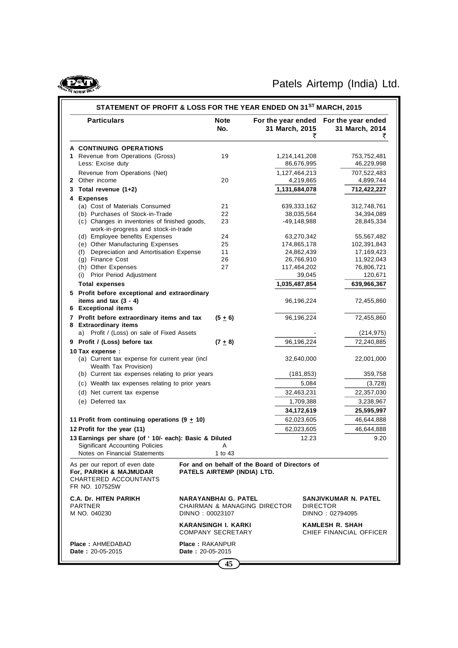

| STATEMENT OF PROFIT & LOSS FOR THE YEAR ENDED ON 31ST MARCH, 2015                                      |                                                                         |                                                |                                                              |
|--------------------------------------------------------------------------------------------------------|-------------------------------------------------------------------------|------------------------------------------------|--------------------------------------------------------------|
| <b>Particulars</b>                                                                                     | <b>Note</b><br>No.                                                      | 31 March, 2015                                 | For the year ended For the year ended<br>31 March, 2014<br>₹ |
| A CONTINUING OPERATIONS                                                                                |                                                                         |                                                |                                                              |
| 1 Revenue from Operations (Gross)                                                                      | 19                                                                      | 1,214,141,208                                  | 753,752,481                                                  |
| Less: Excise duty                                                                                      |                                                                         | 86,676,995                                     | 46,229,998                                                   |
| Revenue from Operations (Net)                                                                          |                                                                         | 1,127,464,213                                  | 707,522,483                                                  |
| 2 Other income                                                                                         | 20                                                                      | 4,219,865                                      | 4,899,744                                                    |
| 3 Total revenue (1+2)                                                                                  |                                                                         | 1,131,684,078                                  | 712,422,227                                                  |
| 4 Expenses                                                                                             |                                                                         |                                                |                                                              |
| (a) Cost of Materials Consumed                                                                         | 21                                                                      | 639,333,162                                    | 312,748,761                                                  |
| (b) Purchases of Stock-in-Trade<br>(c) Changes in inventories of finished goods,                       | 22<br>23                                                                | 38,035,564                                     | 34,394,089                                                   |
| work-in-progress and stock-in-trade                                                                    |                                                                         | -49,148,988                                    | 28,845,334                                                   |
| (d) Employee benefits Expenses                                                                         | 24                                                                      | 63,270,342                                     | 55,567,482                                                   |
| (e) Other Manufacturing Expenses                                                                       | 25                                                                      | 174,865,178                                    | 102,391,843                                                  |
| (f) Depreciation and Amortisation Expense                                                              | 11                                                                      | 24,862,439                                     | 17,169,423                                                   |
| (g) Finance Cost                                                                                       | 26                                                                      | 26,766,910                                     | 11,922,043                                                   |
| (h) Other Expenses                                                                                     | 27                                                                      | 117,464,202                                    | 76,806,721                                                   |
| (i) Prior Period Adjustment                                                                            |                                                                         | 39,045                                         | 120,671                                                      |
| <b>Total expenses</b>                                                                                  |                                                                         | 1,035,487,854                                  | 639,966,367                                                  |
| 5 Profit before exceptional and extraordinary<br>items and tax $(3 - 4)$<br><b>6</b> Exceptional items |                                                                         | 96,196,224                                     | 72,455,860                                                   |
| 7 Profit before extraordinary items and tax<br>8 Extraordinary items                                   | $(5 + 6)$                                                               | 96,196,224                                     | 72,455,860                                                   |
| a) Profit / (Loss) on sale of Fixed Assets                                                             |                                                                         |                                                | (214, 975)                                                   |
| 9 Profit / (Loss) before tax                                                                           | $(7 \pm 8)$                                                             | 96,196,224                                     | 72,240,885                                                   |
| 10 Tax expense :<br>(a) Current tax expense for current year (incl<br>Wealth Tax Provision)            |                                                                         | 32,640,000                                     | 22,001,000                                                   |
| (b) Current tax expenses relating to prior years                                                       |                                                                         | (181, 853)                                     | 359,758                                                      |
| (c) Wealth tax expenses relating to prior years                                                        |                                                                         | 5,084                                          | (3,728)                                                      |
| (d) Net current tax expense                                                                            |                                                                         | 32,463,231                                     | 22,357,030                                                   |
| (e) Deferred tax                                                                                       |                                                                         | 1,709,388                                      | 3,238,967                                                    |
|                                                                                                        |                                                                         | 34,172,619                                     | 25,595,997                                                   |
| 11 Profit from continuing operations $(9 + 10)$                                                        |                                                                         | 62,023,605                                     | 46,644,888                                                   |
| 12 Profit for the year (11)                                                                            |                                                                         | 62,023,605                                     | 46,644,888                                                   |
| 13 Earnings per share (of ' 10/- each): Basic & Diluted                                                |                                                                         | 12.23                                          | 9.20                                                         |
| <b>Significant Accounting Policies</b>                                                                 | Α                                                                       |                                                |                                                              |
| Notes on Financial Statements                                                                          | 1 to 43                                                                 |                                                |                                                              |
| As per our report of even date<br>For, PARIKH & MAJMUDAR<br>CHARTERED ACCOUNTANTS<br>FR NO. 107525W    | PATELS AIRTEMP (INDIA) LTD.                                             | For and on behalf of the Board of Directors of |                                                              |
| <b>C.A. Dr. HITEN PARIKH</b><br>PARTNER<br>M NO. 040230                                                | NARAYANBHAI G. PATEL<br>CHAIRMAN & MANAGING DIRECTOR<br>DINNO: 00023107 |                                                | SANJIVKUMAR N. PATEL<br><b>DIRECTOR</b><br>DINNO: 02794095   |
|                                                                                                        | KARANSINGH I. KARKI<br>COMPANY SECRETARY                                |                                                | KAMLESH R. SHAH<br>CHIEF FINANCIAL OFFICER                   |
| <b>Place: AHMEDABAD</b><br>Date: 20-05-2015                                                            | Place: RAKANPUR<br><b>Date: 20-05-2015</b>                              |                                                |                                                              |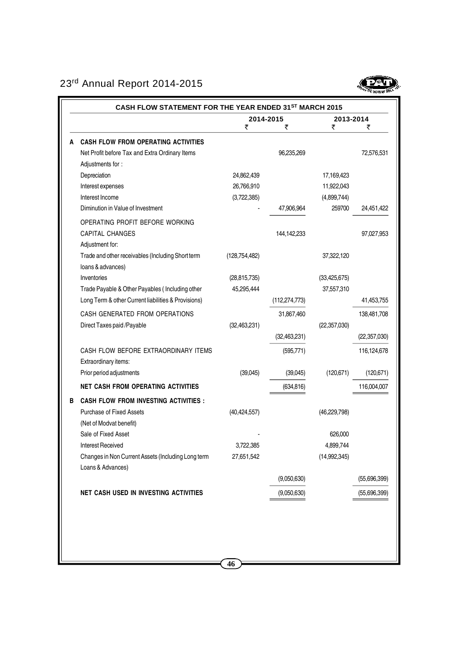

|   | CASH FLOW STATEMENT FOR THE YEAR ENDED 31ST MARCH 2015 |                 |                 |                |                |
|---|--------------------------------------------------------|-----------------|-----------------|----------------|----------------|
|   |                                                        | ₹               | 2014-2015<br>₹  | 2013-2014<br>₹ | ₹              |
| A | <b>CASH FLOW FROM OPERATING ACTIVITIES</b>             |                 |                 |                |                |
|   | Net Profit before Tax and Extra Ordinary Items         |                 | 96,235,269      |                | 72,576,531     |
|   | Adjustments for:                                       |                 |                 |                |                |
|   | Depreciation                                           | 24,862,439      |                 | 17,169,423     |                |
|   | Interest expenses                                      | 26,766,910      |                 | 11,922,043     |                |
|   | Interest Income                                        | (3,722,385)     |                 | (4,899,744)    |                |
|   | Diminution in Value of Investment                      |                 | 47,906,964      | 259700         | 24,451,422     |
|   | OPERATING PROFIT BEFORE WORKING                        |                 |                 |                |                |
|   | <b>CAPITAL CHANGES</b>                                 |                 | 144,142,233     |                | 97,027,953     |
|   | Adjustment for:                                        |                 |                 |                |                |
|   | Trade and other receivables (Including Short term      | (128, 754, 482) |                 | 37,322,120     |                |
|   | loans & advances)                                      |                 |                 |                |                |
|   | Inventories                                            | (28, 815, 735)  |                 | (33, 425, 675) |                |
|   | Trade Payable & Other Payables (Including other        | 45,295,444      |                 | 37,557,310     |                |
|   | Long Term & other Current liabilities & Provisions)    |                 | (112, 274, 773) |                | 41,453,755     |
|   | CASH GENERATED FROM OPERATIONS                         |                 | 31,867,460      |                | 138,481,708    |
|   | Direct Taxes paid /Payable                             | (32, 463, 231)  |                 | (22, 357, 030) |                |
|   |                                                        |                 | (32, 463, 231)  |                | (22, 357, 030) |
|   | CASH FLOW BEFORE EXTRAORDINARY ITEMS                   |                 | (595, 771)      |                | 116,124,678    |
|   | Extraordinary items:                                   |                 |                 |                |                |
|   | Prior period adjustments                               | (39,045)        | (39,045)        | (120, 671)     | (120, 671)     |
|   | <b>NET CASH FROM OPERATING ACTIVITIES</b>              |                 | (634, 816)      |                | 116,004,007    |
| В | <b>CASH FLOW FROM INVESTING ACTIVITIES:</b>            |                 |                 |                |                |
|   | Purchase of Fixed Assets                               | (40, 424, 557)  |                 | (46, 229, 798) |                |
|   | (Net of Modvat benefit)                                |                 |                 |                |                |
|   | Sale of Fixed Asset                                    |                 |                 | 626,000        |                |
|   | <b>Interest Received</b>                               | 3,722,385       |                 | 4,899,744      |                |
|   | Changes in Non Current Assets (Including Long term     | 27,651,542      |                 | (14,992,345)   |                |
|   | Loans & Advances)                                      |                 |                 |                |                |
|   |                                                        |                 | (9,050,630)     |                | (55,696,399)   |
|   | NET CASH USED IN INVESTING ACTIVITIES                  |                 | (9,050,630)     |                | (55,696,399)   |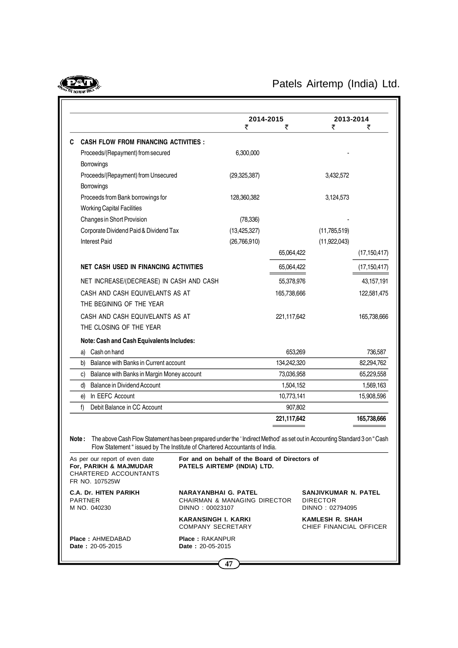

|   |                                                  | 2014-2015      |             | 2013-2014    |                |  |
|---|--------------------------------------------------|----------------|-------------|--------------|----------------|--|
|   |                                                  | ₹              | ₹           | ₹            | ₹              |  |
| C | <b>CASH FLOW FROM FINANCING ACTIVITIES:</b>      |                |             |              |                |  |
|   | Proceeds/(Repayment) from secured                | 6,300,000      |             |              |                |  |
|   | Borrowings                                       |                |             |              |                |  |
|   | Proceeds/(Repayment) from Unsecured              | (29, 325, 387) |             | 3,432,572    |                |  |
|   | Borrowings                                       |                |             |              |                |  |
|   | Proceeds from Bank borrowings for                | 128,360,382    |             | 3,124,573    |                |  |
|   | <b>Working Capital Facilities</b>                |                |             |              |                |  |
|   | Changes in Short Provision                       | (78, 336)      |             |              |                |  |
|   | Corporate Dividend Paid & Dividend Tax           | (13, 425, 327) |             | (11,785,519) |                |  |
|   | <b>Interest Paid</b>                             | (26,766,910)   |             | (11,922,043) |                |  |
|   |                                                  |                | 65,064,422  |              | (17, 150, 417) |  |
|   | <b>NET CASH USED IN FINANCING ACTIVITIES</b>     |                | 65,064,422  |              | (17, 150, 417) |  |
|   | NET INCREASE/(DECREASE) IN CASH AND CASH         |                | 55,378,976  |              | 43,157,191     |  |
|   | CASH AND CASH EQUIVELANTS AS AT                  |                | 165,738,666 |              | 122,581,475    |  |
|   | THE BEGINING OF THE YEAR                         |                |             |              |                |  |
|   | CASH AND CASH EQUIVELANTS AS AT                  |                | 221,117,642 |              | 165,738,666    |  |
|   | THE CLOSING OF THE YEAR                          |                |             |              |                |  |
|   | Note: Cash and Cash Equivalents Includes:        |                |             |              |                |  |
|   | Cash on hand<br>a)                               |                | 653,269     |              | 736,587        |  |
|   | Balance with Banks in Current account<br>b)      |                | 134,242,320 |              | 82,294,762     |  |
|   | Balance with Banks in Margin Money account<br>C) |                | 73,036,958  |              | 65,229,558     |  |
|   | Balance in Dividend Account<br>d)                |                | 1,504,152   |              | 1,569,163      |  |
|   | In EEFC Account<br>e)                            |                | 10,773,141  |              | 15,908,596     |  |
|   | Debit Balance in CC Account<br>f                 |                | 907,802     |              |                |  |
|   |                                                  |                | 221,117,642 |              | 165,738,666    |  |

**Note :** The above Cash Flow Statement has been prepared under the ' Indirect Method' as set out in Accounting Standard 3 on " Cash Flow Statement " issued by The Institute of Chartered Accountants of India.

CHARTERED ACCOUNTANTS FR NO. 107525W

**Place :** AHMEDABAD **Place :** RAKANPUR **Date :** 20-05-2015 **Date :** 20-05-2015

As per our report of even date **For and on behalf of the Board of Directors of For, PARIKH & MAJMUDAR PATELS AIRTEMP (INDIA) LTD.**

**C.A. Dr. HITEN PARIKH NARAYANBHAI G. PATEL SANJIVKUMAR N. PATEL** PARTNER CHAIRMAN & MANAGING DIRECTOR DIRECTOR M NO. 040230 DINNO : 00023107 DINNO : 02794095

**KARANSINGH I. KARKI KAMLESH R. SHAH**

CHIEF FINANCIAL OFFICER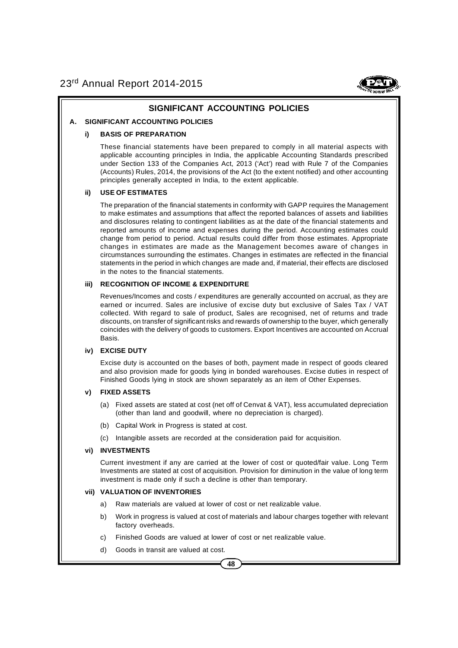

### **SIGNIFICANT ACCOUNTING POLICIES**

#### **A. SIGNIFICANT ACCOUNTING POLICIES**

#### **i) BASIS OF PREPARATION**

These financial statements have been prepared to comply in all material aspects with applicable accounting principles in India, the applicable Accounting Standards prescribed under Section 133 of the Companies Act, 2013 ('Act') read with Rule 7 of the Companies (Accounts) Rules, 2014, the provisions of the Act (to the extent notified) and other accounting principles generally accepted in India, to the extent applicable.

#### **ii) USE OF ESTIMATES**

The preparation of the financial statements in conformity with GAPP requires the Management to make estimates and assumptions that affect the reported balances of assets and liabilities and disclosures relating to contingent liabilities as at the date of the financial statements and reported amounts of income and expenses during the period. Accounting estimates could change from period to period. Actual results could differ from those estimates. Appropriate changes in estimates are made as the Management becomes aware of changes in circumstances surrounding the estimates. Changes in estimates are reflected in the financial statements in the period in which changes are made and, if material, their effects are disclosed in the notes to the financial statements.

#### **iii) RECOGNITION OF INCOME & EXPENDITURE**

Revenues/Incomes and costs / expenditures are generally accounted on accrual, as they are earned or incurred. Sales are inclusive of excise duty but exclusive of Sales Tax / VAT collected. With regard to sale of product, Sales are recognised, net of returns and trade discounts, on transfer of significant risks and rewards of ownership to the buyer, which generally coincides with the delivery of goods to customers. Export Incentives are accounted on Accrual Basis.

#### **iv) EXCISE DUTY**

Excise duty is accounted on the bases of both, payment made in respect of goods cleared and also provision made for goods lying in bonded warehouses. Excise duties in respect of Finished Goods lying in stock are shown separately as an item of Other Expenses.

#### **v) FIXED ASSETS**

- (a) Fixed assets are stated at cost (net off of Cenvat & VAT), less accumulated depreciation (other than land and goodwill, where no depreciation is charged).
- (b) Capital Work in Progress is stated at cost.
- (c) Intangible assets are recorded at the consideration paid for acquisition.

#### **vi) INVESTMENTS**

Current investment if any are carried at the lower of cost or quoted/fair value. Long Term Investments are stated at cost of acquisition. Provision for diminution in the value of long term investment is made only if such a decline is other than temporary.

#### **vii) VALUATION OF INVENTORIES**

- a) Raw materials are valued at lower of cost or net realizable value.
- b) Work in progress is valued at cost of materials and labour charges together with relevant factory overheads.
- c) Finished Goods are valued at lower of cost or net realizable value.
- d) Goods in transit are valued at cost.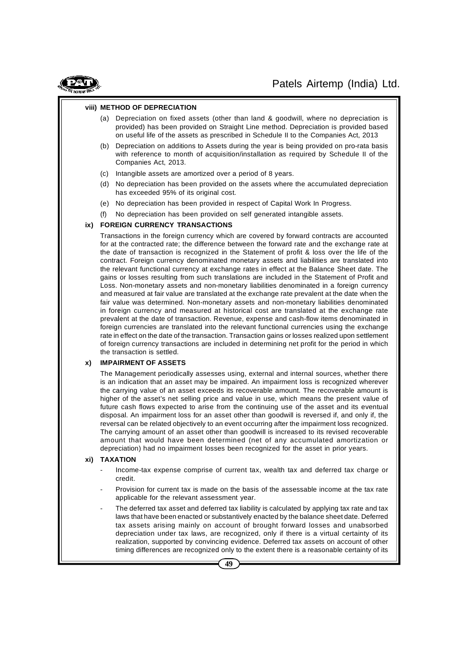

#### **viii) METHOD OF DEPRECIATION**

- (a) Depreciation on fixed assets (other than land & goodwill, where no depreciation is provided) has been provided on Straight Line method. Depreciation is provided based on useful life of the assets as prescribed in Schedule II to the Companies Act, 2013
- (b) Depreciation on additions to Assets during the year is being provided on pro-rata basis with reference to month of acquisition/installation as required by Schedule II of the Companies Act, 2013.
- (c) Intangible assets are amortized over a period of 8 years.
- (d) No depreciation has been provided on the assets where the accumulated depreciation has exceeded 95% of its original cost.
- (e) No depreciation has been provided in respect of Capital Work In Progress.
- (f) No depreciation has been provided on self generated intangible assets.

#### **ix) FOREIGN CURRENCY TRANSACTIONS**

Transactions in the foreign currency which are covered by forward contracts are accounted for at the contracted rate; the difference between the forward rate and the exchange rate at the date of transaction is recognized in the Statement of profit & loss over the life of the contract. Foreign currency denominated monetary assets and liabilities are translated into the relevant functional currency at exchange rates in effect at the Balance Sheet date. The gains or losses resulting from such translations are included in the Statement of Profit and Loss. Non-monetary assets and non-monetary liabilities denominated in a foreign currency and measured at fair value are translated at the exchange rate prevalent at the date when the fair value was determined. Non-monetary assets and non-monetary liabilities denominated in foreign currency and measured at historical cost are translated at the exchange rate prevalent at the date of transaction. Revenue, expense and cash-flow items denominated in foreign currencies are translated into the relevant functional currencies using the exchange rate in effect on the date of the transaction. Transaction gains or losses realized upon settlement of foreign currency transactions are included in determining net profit for the period in which the transaction is settled.

#### **x) IMPAIRMENT OF ASSETS**

The Management periodically assesses using, external and internal sources, whether there is an indication that an asset may be impaired. An impairment loss is recognized wherever the carrying value of an asset exceeds its recoverable amount. The recoverable amount is higher of the asset's net selling price and value in use, which means the present value of future cash flows expected to arise from the continuing use of the asset and its eventual disposal. An impairment loss for an asset other than goodwill is reversed if, and only if, the reversal can be related objectively to an event occurring after the impairment loss recognized. The carrying amount of an asset other than goodwill is increased to its revised recoverable amount that would have been determined (net of any accumulated amortization or depreciation) had no impairment losses been recognized for the asset in prior years.

#### **xi) TAXATION**

- Income-tax expense comprise of current tax, wealth tax and deferred tax charge or credit.
- Provision for current tax is made on the basis of the assessable income at the tax rate applicable for the relevant assessment year.
- The deferred tax asset and deferred tax liability is calculated by applying tax rate and tax laws that have been enacted or substantively enacted by the balance sheet date. Deferred tax assets arising mainly on account of brought forward losses and unabsorbed depreciation under tax laws, are recognized, only if there is a virtual certainty of its realization, supported by convincing evidence. Deferred tax assets on account of other timing differences are recognized only to the extent there is a reasonable certainty of its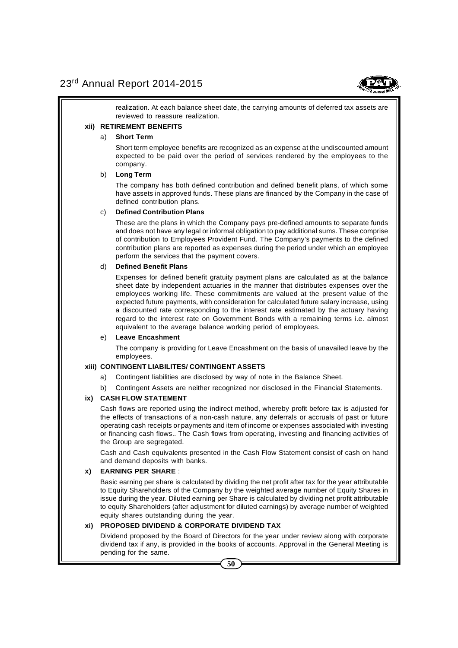

realization. At each balance sheet date, the carrying amounts of deferred tax assets are reviewed to reassure realization.

#### **xii) RETIREMENT BENEFITS**

#### a) **Short Term**

Short term employee benefits are recognized as an expense at the undiscounted amount expected to be paid over the period of services rendered by the employees to the company.

#### b) **Long Term**

The company has both defined contribution and defined benefit plans, of which some have assets in approved funds. These plans are financed by the Company in the case of defined contribution plans.

#### c) **Defined Contribution Plans**

These are the plans in which the Company pays pre-defined amounts to separate funds and does not have any legal or informal obligation to pay additional sums. These comprise of contribution to Employees Provident Fund. The Company's payments to the defined contribution plans are reported as expenses during the period under which an employee perform the services that the payment covers.

#### d) **Defined Benefit Plans**

Expenses for defined benefit gratuity payment plans are calculated as at the balance sheet date by independent actuaries in the manner that distributes expenses over the employees working life. These commitments are valued at the present value of the expected future payments, with consideration for calculated future salary increase, using a discounted rate corresponding to the interest rate estimated by the actuary having regard to the interest rate on Government Bonds with a remaining terms i.e. almost equivalent to the average balance working period of employees.

#### e) **Leave Encashment**

The company is providing for Leave Encashment on the basis of unavailed leave by the employees.

#### **xiii) CONTINGENT LIABILITES/ CONTINGENT ASSETS**

- a) Contingent liabilities are disclosed by way of note in the Balance Sheet.
- b) Contingent Assets are neither recognized nor disclosed in the Financial Statements.

#### **ix) CASH FLOW STATEMENT**

Cash flows are reported using the indirect method, whereby profit before tax is adjusted for the effects of transactions of a non-cash nature, any deferrals or accruals of past or future operating cash receipts or payments and item of income or expenses associated with investing or financing cash flows.. The Cash flows from operating, investing and financing activities of the Group are segregated.

Cash and Cash equivalents presented in the Cash Flow Statement consist of cash on hand and demand deposits with banks.

#### **x) EARNING PER SHARE** :

Basic earning per share is calculated by dividing the net profit after tax for the year attributable to Equity Shareholders of the Company by the weighted average number of Equity Shares in issue during the year. Diluted earning per Share is calculated by dividing net profit attributable to equity Shareholders (after adjustment for diluted earnings) by average number of weighted equity shares outstanding during the year.

#### **xi) PROPOSED DIVIDEND & CORPORATE DIVIDEND TAX**

Dividend proposed by the Board of Directors for the year under review along with corporate dividend tax if any, is provided in the books of accounts. Approval in the General Meeting is pending for the same.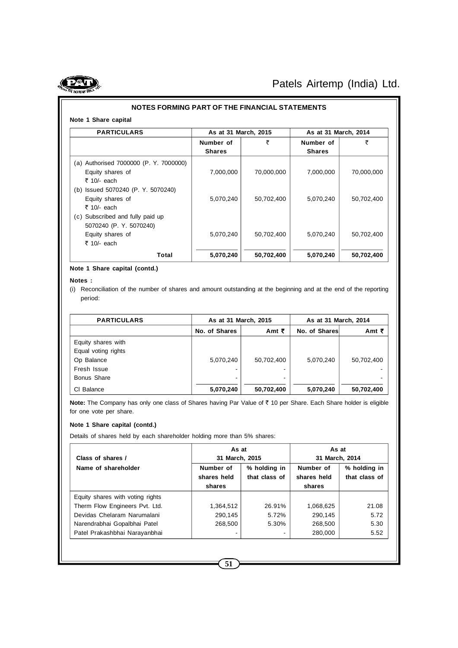

#### **NOTES FORMING PART OF THE FINANCIAL STATEMENTS**

#### **Note 1 Share capital**

| <b>PARTICULARS</b>                                                                                        |                            | As at 31 March, 2015 |                            | As at 31 March, 2014 |
|-----------------------------------------------------------------------------------------------------------|----------------------------|----------------------|----------------------------|----------------------|
|                                                                                                           | Number of<br><b>Shares</b> | ₹                    | Number of<br><b>Shares</b> | ₹                    |
| (a) Authorised 7000000 (P. Y. 7000000)<br>Equity shares of<br>₹ 10/- each                                 | 7,000,000                  | 70,000,000           | 7,000,000                  | 70,000,000           |
| (b) Issued 5070240 (P. Y. 5070240)<br>Equity shares of<br>₹ 10/- each<br>(c) Subscribed and fully paid up | 5,070,240                  | 50,702,400           | 5,070,240                  | 50,702,400           |
| 5070240 (P. Y. 5070240)<br>Equity shares of<br>$\overline{z}$ 10/- each                                   | 5,070,240                  | 50,702,400           | 5,070,240                  | 50,702,400           |
| Total                                                                                                     | 5,070,240                  | 50,702,400           | 5,070,240                  | 50,702,400           |

#### **Note 1 Share capital (contd.)**

#### **Notes :**

(i) Reconciliation of the number of shares and amount outstanding at the beginning and at the end of the reporting period:

| <b>PARTICULARS</b>  | As at 31 March, 2015 |                | As at 31 March, 2014 |            |
|---------------------|----------------------|----------------|----------------------|------------|
|                     | No. of Shares        | Amt ₹          | No. of Shares        | Amt ₹      |
| Equity shares with  |                      |                |                      |            |
| Equal voting rights |                      |                |                      |            |
| Op Balance          | 5,070,240            | 50,702,400     | 5,070,240            | 50,702,400 |
| Fresh Issue         |                      |                |                      |            |
| Bonus Share         |                      | $\blacksquare$ |                      |            |
| CI Balance          | 5,070,240            | 50,702,400     | 5,070,240            | 50,702,400 |

**Note:** The Company has only one class of Shares having Par Value of ₹ 10 per Share. Each Share holder is eligible for one vote per share.

#### **Note 1 Share capital (contd.)**

Details of shares held by each shareholder holding more than 5% shares:

| Class of shares /                | As at<br>31 March, 2015            |                               | As at<br>31 March, 2014            |                               |
|----------------------------------|------------------------------------|-------------------------------|------------------------------------|-------------------------------|
| Name of shareholder              | Number of<br>shares held<br>shares | % holding in<br>that class of | Number of<br>shares held<br>shares | % holding in<br>that class of |
| Equity shares with voting rights |                                    |                               |                                    |                               |
| Therm Flow Engineers Pvt. Ltd.   | 1,364,512                          | 26.91%                        | 1,068,625                          | 21.08                         |
| Devidas Chelaram Narumalani      | 290.145                            | 5.72%                         | 290.145                            | 5.72                          |
| Narendrabhai Gopalbhai Patel     | 268,500                            | 5.30%                         | 268,500                            | 5.30                          |
| Patel Prakashbhai Narayanbhai    |                                    | -                             | 280,000                            | 5.52                          |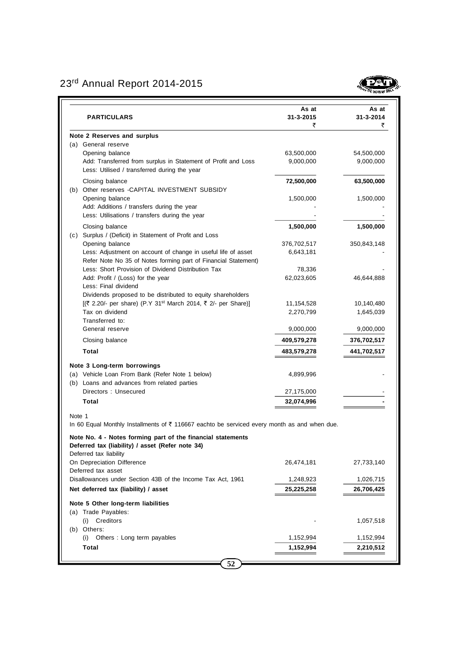### 23 rd Annual Report 2014-2015



|        | <b>PARTICULARS</b>                                                                                                              | As at<br>31-3-2015<br>₹ | As at<br>31-3-2014<br>₹ |
|--------|---------------------------------------------------------------------------------------------------------------------------------|-------------------------|-------------------------|
|        | Note 2 Reserves and surplus                                                                                                     |                         |                         |
|        | (a) General reserve                                                                                                             |                         |                         |
|        | Opening balance                                                                                                                 | 63,500,000              | 54,500,000              |
|        | Add: Transferred from surplus in Statement of Profit and Loss<br>Less: Utilised / transferred during the year                   | 9,000,000               | 9,000,000               |
|        | Closing balance                                                                                                                 | 72,500,000              | 63,500,000              |
|        | (b) Other reserves -CAPITAL INVESTMENT SUBSIDY                                                                                  |                         |                         |
|        | Opening balance                                                                                                                 | 1,500,000               | 1,500,000               |
|        | Add: Additions / transfers during the year<br>Less: Utilisations / transfers during the year                                    |                         |                         |
|        | Closing balance                                                                                                                 | 1,500,000               | 1,500,000               |
|        | (c) Surplus / (Deficit) in Statement of Profit and Loss                                                                         |                         |                         |
|        | Opening balance                                                                                                                 | 376,702,517             | 350,843,148             |
|        | Less: Adjustment on account of change in useful life of asset<br>Refer Note No 35 of Notes forming part of Financial Statement) | 6,643,181               |                         |
|        | Less: Short Provision of Dividend Distribution Tax                                                                              | 78,336                  |                         |
|        | Add: Profit / (Loss) for the year                                                                                               | 62,023,605              | 46,644,888              |
|        | Less: Final dividend                                                                                                            |                         |                         |
|        | Dividends proposed to be distributed to equity shareholders                                                                     |                         |                         |
|        | [(₹ 2.20/- per share) (P.Y 31 <sup>st</sup> March 2014, ₹ 2/- per Share)]<br>Tax on dividend                                    | 11,154,528              | 10,140,480              |
|        | Transferred to:                                                                                                                 | 2,270,799               | 1,645,039               |
|        | General reserve                                                                                                                 | 9,000,000               | 9,000,000               |
|        | Closing balance                                                                                                                 | 409,579,278             | 376,702,517             |
|        | Total                                                                                                                           | 483,579,278             | 441,702,517             |
|        | Note 3 Long-term borrowings                                                                                                     |                         |                         |
|        | (a) Vehicle Loan From Bank (Refer Note 1 below)                                                                                 | 4,899,996               |                         |
|        | (b) Loans and advances from related parties                                                                                     |                         |                         |
|        | Directors: Unsecured                                                                                                            | 27,175,000              |                         |
|        | Total                                                                                                                           | 32,074,996              |                         |
|        |                                                                                                                                 |                         |                         |
| Note 1 | In 60 Equal Monthly Installments of $\bar{\tau}$ 116667 eachto be serviced every month as and when due.                         |                         |                         |
|        | Note No. 4 - Notes forming part of the financial statements<br>Deferred tax (liability) / asset (Refer note 34)                 |                         |                         |
|        | Deferred tax liability                                                                                                          |                         |                         |
|        | On Depreciation Difference<br>Deferred tax asset                                                                                | 26,474,181              | 27,733,140              |
|        | Disallowances under Section 43B of the Income Tax Act, 1961                                                                     | 1,248,923               | 1,026,715               |
|        | Net deferred tax (liability) / asset                                                                                            | 25,225,258              | 26,706,425              |
|        | Note 5 Other long-term liabilities                                                                                              |                         |                         |
|        | (a) Trade Payables:                                                                                                             |                         |                         |
|        | Creditors<br>(i)<br>Others:                                                                                                     |                         | 1,057,518               |
| (b)    | (i)<br>Others: Long term payables                                                                                               | 1,152,994               | 1,152,994               |
|        | Total                                                                                                                           | 1,152,994               | 2,210,512               |
|        |                                                                                                                                 |                         |                         |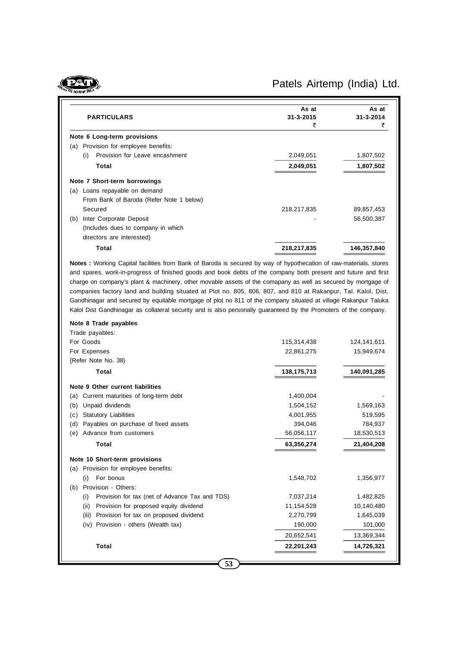

|                                         |                                          | As at       | As at       |  |
|-----------------------------------------|------------------------------------------|-------------|-------------|--|
| <b>PARTICULARS</b>                      |                                          | 31-3-2015   | 31-3-2014   |  |
|                                         |                                          | ₹           | ₹           |  |
| Note 6 Long-term provisions             |                                          |             |             |  |
| Provision for employee benefits:<br>(a) |                                          |             |             |  |
| (i)                                     | Provision for Leave encashment           | 2,049,051   | 1,807,502   |  |
| Total                                   |                                          | 2,049,051   | 1,807,502   |  |
| Note 7 Short-term borrowings            |                                          |             |             |  |
| Loans repayable on demand<br>(a)        |                                          |             |             |  |
|                                         | From Bank of Baroda (Refer Note 1 below) |             |             |  |
| Secured                                 |                                          | 218,217,835 | 89,857,453  |  |
| Inter Corporate Deposit<br>(b)          |                                          |             | 56,500,387  |  |
| (Includes dues to company in which      |                                          |             |             |  |
| directors are interested)               |                                          |             |             |  |
| Total                                   |                                          | 218,217,835 | 146,357,840 |  |

**Notes :** Working Capital facilities from Bank of Baroda is secured by way of hypothecation of raw-materials, stores and spares, work-in-progress of finished goods and book debts of the company both present and future and first charge on company's plant & machinery, other movable assets of the comapany as well as secured by mortgage of companies factory land and building situated at Plot no. 805, 806, 807, and 810 at Rakanpur, Tal. Kalol, Dist. Gandhinagar and secured by equitable mortgage of plot no 811 of the company situated at village Rakanpur Taluka Kalol Dist Gandhinagar as collateral security and is also personally guaranteed by the Promoters of the company.

|  |  |  | Note 8 Trade payables |  |
|--|--|--|-----------------------|--|
|--|--|--|-----------------------|--|

| Trade payables:                                       |             |               |
|-------------------------------------------------------|-------------|---------------|
| For Goods                                             | 115,314,438 | 124, 141, 611 |
| For Expenses                                          | 22,861,275  | 15,949,674    |
| {Refer Note No. 38}                                   |             |               |
| Total                                                 | 138,175,713 | 140,091,285   |
| Note 9 Other current liabilities                      |             |               |
| Current maturities of long-term debt<br>(a)           | 1,400,004   |               |
| Unpaid dividends<br>(b)                               | 1,504,152   | 1,569,163     |
| <b>Statutory Liabilities</b><br>(c)                   | 4,001,955   | 519,595       |
| Payables on purchase of fixed assets<br>(d)           | 394,046     | 784,937       |
| Advance from customers<br>(e)                         | 56,056,117  | 18,530,513    |
| <b>Total</b>                                          | 63,356,274  | 21,404,208    |
| Note 10 Short-term provisions                         |             |               |
| Provision for employee benefits:<br>(a)               |             |               |
| For bonus<br>(i)                                      | 1,548,702   | 1,356,977     |
| Provision - Others:<br>(b)                            |             |               |
| (i)<br>Provision for tax (net of Advance Tax and TDS) | 7,037,214   | 1,482,825     |
| (ii)<br>Provision for proposed equity dividend        | 11,154,528  | 10,140,480    |
| Provision for tax on proposed dividend<br>(iii)       | 2,270,799   | 1,645,039     |
| (iv) Provision - others (Wealth tax)                  | 190,000     | 101,000       |
|                                                       | 20,652,541  | 13,369,344    |
| <b>Total</b>                                          | 22,201,243  | 14,726,321    |
|                                                       |             |               |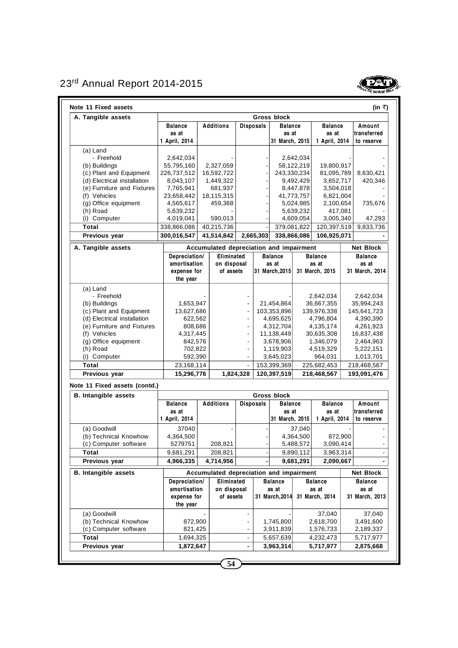

| Note 11 Fixed assets<br>A. Tangible assets |                                          |                                         |                          |                  | Gross block                               |             |                                          | (in ₹)                              |
|--------------------------------------------|------------------------------------------|-----------------------------------------|--------------------------|------------------|-------------------------------------------|-------------|------------------------------------------|-------------------------------------|
|                                            | <b>Balance</b><br>as at<br>1 April, 2014 | <b>Additions</b>                        |                          | <b>Disposals</b> | <b>Balance</b><br>as at<br>31 March, 2015 |             | <b>Balance</b><br>as at<br>1 April, 2014 | Amount<br>transferred<br>to reserve |
| (a) Land                                   |                                          |                                         |                          |                  |                                           |             |                                          |                                     |
| - Freehold                                 | 2,642,034                                |                                         |                          |                  |                                           | 2,642,034   |                                          |                                     |
| (b) Buildings                              | 55,795,160                               | 2,327,059                               |                          |                  |                                           | 58,122,219  | 19,800,917                               |                                     |
| (c) Plant and Equipment                    | 226,737,512                              | 16,592,722                              |                          |                  |                                           | 243,330,234 | 81,095,789                               | 8,630,421                           |
| (d) Electrical installation                | 8,043,107                                | 1,449,322                               |                          |                  |                                           | 9,492,429   | 3,652,717                                | 420,346                             |
| (e) Furniture and Fixtures                 | 7,765,941                                | 681,937                                 |                          |                  |                                           | 8,447,878   | 3,504,018                                |                                     |
| (f) Vehicles                               | 23,658,442                               | 18,115,315                              |                          |                  |                                           | 41,773,757  | 6,821,004                                |                                     |
| (g) Office equipment                       | 4,565,617                                | 459,368                                 |                          |                  |                                           | 5,024,985   | 2,100,654                                | 735,676                             |
| (h) Road                                   | 5,639,232                                |                                         |                          |                  |                                           | 5,639,232   | 417,081                                  |                                     |
| (i) Computer                               | 4,019,041                                | 590,013                                 |                          |                  |                                           | 4,609,054   | 3,005,340                                | 47,293                              |
| <b>Total</b>                               | 338,866,086                              | 40,215,736<br>379,081,822               |                          |                  | 120,397,519                               | 9,833,736   |                                          |                                     |
| Previous year                              | 300.016.547                              | 41,514,842                              |                          | 2,665,303        |                                           | 338,866,086 | 106,925,071                              |                                     |
| A. Tangible assets                         |                                          | Accumulated depreciation and impairment |                          |                  |                                           |             |                                          | <b>Net Block</b>                    |
|                                            | Depreciation/                            | Eliminated                              |                          |                  | <b>Balance</b>                            |             | <b>Balance</b>                           | <b>Balance</b>                      |
|                                            | amortisation                             | on disposal                             |                          |                  | as at                                     |             | as at                                    | as at                               |
|                                            | expense for                              | of assets                               |                          |                  | 31 March, 2015                            |             | 31 March, 2015                           | 31 March, 2014                      |
|                                            | the year                                 |                                         |                          |                  |                                           |             |                                          |                                     |
| (a) Land                                   |                                          |                                         |                          |                  |                                           |             |                                          |                                     |
| - Freehold                                 |                                          |                                         |                          |                  |                                           |             | 2,642,034                                | 2,642,034                           |
| (b) Buildings                              | 1,653,947                                |                                         |                          |                  | 21,454,864                                |             | 36,667,355                               | 35,994,243                          |
| (c) Plant and Equipment                    | 13,627,686                               |                                         |                          |                  | 103,353,896                               |             | 139,976,338                              | 145,641,723                         |
| (d) Electrical installation                | 622,562                                  |                                         |                          |                  | 4,695,625                                 |             | 4,796,804                                | 4,390,390                           |
| (e) Furniture and Fixtures                 | 808,686                                  |                                         |                          |                  | 4,312,704                                 |             | 4,135,174                                | 4,261,923                           |
| (f) Vehicles                               | 4,317,445                                |                                         | $\overline{\phantom{a}}$ |                  | 11,138,449                                |             | 30,635,308                               | 16,837,438                          |
| (g) Office equipment                       | 842,576                                  |                                         |                          |                  | 3,678,906                                 |             | 1,346,079                                | 2,464,963                           |
| (h) Road                                   | 702,822                                  |                                         |                          |                  | 1,119,903                                 |             | 4,519,329                                | 5,222,151                           |
| (i) Computer                               | 592,390                                  |                                         |                          |                  | 3,645,023                                 |             | 964,031                                  | 1,013,701                           |
| <b>Total</b>                               | 23,168,114                               |                                         |                          |                  | 153,399,369                               |             | 225,682,453                              | 218,468,567                         |
| Previous year                              | 15,296,776                               |                                         | 1,824,328                |                  | 120,397,519                               |             | 218,468,567                              | 193,091,476                         |

#### **Note 11 Fixed assets (contd.)**

| <b>B.</b> Intangible assets |                |                                         |   |                                  | Gross block    |           |                |                    |
|-----------------------------|----------------|-----------------------------------------|---|----------------------------------|----------------|-----------|----------------|--------------------|
|                             | <b>Balance</b> | <b>Additions</b><br>Disposals           |   | <b>Balance</b><br><b>Balance</b> |                | Amount    |                |                    |
|                             | as at          |                                         |   |                                  | as at          |           | as at          | <b>transferred</b> |
|                             | 1 April, 2014  |                                         |   |                                  | 31 March, 2015 |           | 1 April, 2014  | to reserve         |
| (a) Goodwill                | 37040          |                                         |   |                                  |                | 37,040    |                |                    |
| (b) Technical Knowhow       | 4,364,500      |                                         |   |                                  |                | 4,364,500 | 872,900        |                    |
| (c) Computer software       | 5279751        | 208,821                                 |   |                                  |                | 5,488,572 | 3,090,414      |                    |
| Total                       | 9,681,291      | 208,821                                 |   |                                  |                | 9,890,112 | 3,963,314      |                    |
| Previous year               | 4,966,335      | 4,714,956                               |   |                                  | 9,681,291      | 2,090,667 |                |                    |
| <b>B.</b> Intangible assets |                | Accumulated depreciation and impairment |   |                                  |                |           |                | <b>Net Block</b>   |
|                             | Depreciation/  | Eliminated                              |   |                                  | <b>Balance</b> |           | <b>Balance</b> | <b>Balance</b>     |
|                             | amortisation   | on disposal                             |   |                                  | as at          |           | as at          | as at              |
|                             | expense for    | of assets                               |   |                                  | 31 March, 2014 |           | 31 March, 2014 | 31 March, 2013     |
|                             | the year       |                                         |   |                                  |                |           |                |                    |
| (a) Goodwill                |                |                                         |   |                                  |                |           | 37,040         | 37,040             |
| (b) Technical Knowhow       | 872,900        |                                         | - | 1,745,800                        |                |           | 2,618,700      | 3,491,600          |
| (c) Computer software       | 821,425        |                                         | - |                                  | 3,911,839      |           | 1,576,733      | 2,189,337          |
| Total                       |                | 1,694,325                               |   |                                  | 5,657,639      |           | 4,232,473      | 5,717,977          |
| Previous year               | 1,872,647      |                                         |   |                                  | 3,963,314      |           | 5,717,977      | 2,875,668          |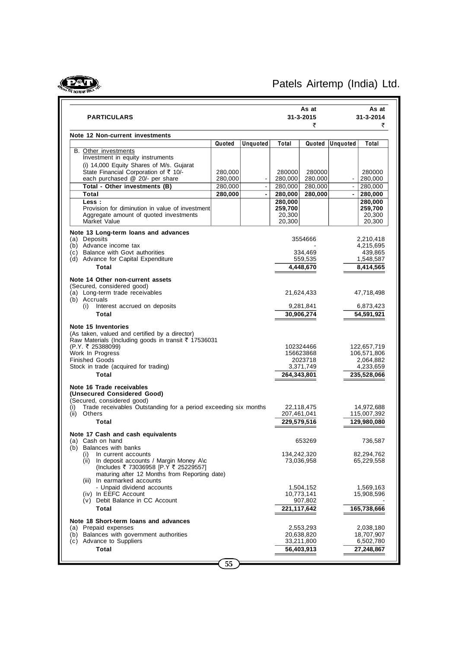

| <b>PARTICULARS</b>                                                                                                                                                                                                         |         |                |                             | As at<br>31-3-2015<br>₹                        |                         | As at<br>31-3-2014                                                  |  |
|----------------------------------------------------------------------------------------------------------------------------------------------------------------------------------------------------------------------------|---------|----------------|-----------------------------|------------------------------------------------|-------------------------|---------------------------------------------------------------------|--|
| Note 12 Non-current investments                                                                                                                                                                                            |         |                |                             |                                                |                         |                                                                     |  |
|                                                                                                                                                                                                                            | Quoted  | Unquoted       | Total                       | Quoted                                         | Unquoted                | Total                                                               |  |
| <b>B.</b> Other investments<br>Investment in equity instruments                                                                                                                                                            |         |                |                             |                                                |                         |                                                                     |  |
| (i) 14,000 Equity Shares of M/s. Gujarat<br>State Financial Corporation of ₹ 10/-                                                                                                                                          | 280,000 |                | 280000                      | 280000                                         |                         | 280000                                                              |  |
| each purchased @ 20/- per share                                                                                                                                                                                            | 280,000 |                | 280,000                     | 280,000                                        |                         | 280,000                                                             |  |
| Total - Other investments (B)                                                                                                                                                                                              | 280,000 | $\blacksquare$ | 280,000                     | 280,000                                        |                         | 280,000                                                             |  |
| Total                                                                                                                                                                                                                      | 280,000 |                | 280,000                     | 280,000                                        |                         | 280,000                                                             |  |
| Less:                                                                                                                                                                                                                      |         |                | 280,000                     |                                                |                         | 280,000                                                             |  |
| Provision for diminution in value of investment<br>Aggregate amount of quoted investments<br>Market Value                                                                                                                  |         |                | 259,700<br>20,300<br>20,300 |                                                |                         | 259,700<br>20,300<br>20,300                                         |  |
| Note 13 Long-term loans and advances<br>(a) Deposits                                                                                                                                                                       |         |                |                             | 3554666                                        |                         | 2,210,418                                                           |  |
| (b) Advance income tax                                                                                                                                                                                                     |         |                |                             |                                                |                         | 4,215,695                                                           |  |
| (c) Balance with Govt authorities                                                                                                                                                                                          |         |                |                             | 334,469                                        |                         | 439,865                                                             |  |
| (d) Advance for Capital Expenditure                                                                                                                                                                                        |         |                |                             | 559,535                                        |                         | 1,548,587                                                           |  |
| Total                                                                                                                                                                                                                      |         |                |                             | 4,448,670                                      |                         | 8,414,565                                                           |  |
| Note 14 Other non-current assets<br>(Secured, considered good)<br>(a) Long-term trade receivables                                                                                                                          |         |                |                             | 21,624,433                                     |                         | 47,718,498                                                          |  |
| (b) Accruals<br>(i)<br>Interest accrued on deposits                                                                                                                                                                        |         |                |                             | 9,281,841                                      |                         |                                                                     |  |
| Total                                                                                                                                                                                                                      |         |                |                             | 30,906,274                                     | 6,873,423<br>54,591,921 |                                                                     |  |
| (As taken, valued and certified by a director)<br>Raw Materials (Including goods in transit ₹ 17536031<br>(P.Y. ₹ 25388099)<br>Work In Progress<br><b>Finished Goods</b><br>Stock in trade (acquired for trading)<br>Total |         |                | 264,343,801                 | 102324466<br>156623868<br>2023718<br>3,371,749 |                         | 122,657,719<br>106,571,806<br>2,064,882<br>4,233,659<br>235,528,066 |  |
| Note 16 Trade receivables<br>(Unsecured Considered Good)<br>(Secured, considered good)<br>Trade receivables Outstanding for a period exceeding six months<br>(i)<br>Others<br>(ii)<br>Total                                |         |                | 207,461,041<br>229,579,516  | 22,118,475                                     |                         | 14,972,688<br>115,007,392<br>129,980,080                            |  |
| Note 17 Cash and cash equivalents                                                                                                                                                                                          |         |                |                             |                                                |                         |                                                                     |  |
| (a) Cash on hand<br>(b) Balances with banks                                                                                                                                                                                |         |                |                             | 653269                                         |                         | 736,587                                                             |  |
| In current accounts<br>(i)<br>In deposit accounts / Margin Money A\c<br>(ii)<br>(Includes ₹ 73036958 [P.Y ₹ 25229557]<br>maturing after 12 Months from Reporting date)                                                     |         |                | 134,242,320                 | 73,036,958                                     |                         | 82,294,762<br>65,229,558                                            |  |
| (iii) In earmarked accounts<br>- Unpaid dividend accounts<br>(iv) In EEFC Account<br>(v) Debit Balance in CC Account                                                                                                       |         |                |                             | 1,504,152<br>10,773,141<br>907,802             |                         | 1,569,163<br>15,908,596                                             |  |
| Total                                                                                                                                                                                                                      |         |                | 221,117,642                 |                                                |                         | 165,738,666                                                         |  |
| Note 18 Short-term loans and advances                                                                                                                                                                                      |         |                |                             |                                                |                         |                                                                     |  |
| (a) Prepaid expenses<br>(b) Balances with government authorities                                                                                                                                                           |         |                |                             | 2,553,293<br>20,638,820                        |                         | 2,038,180<br>18,707,907                                             |  |
| (c) Advance to Suppliers                                                                                                                                                                                                   |         |                |                             | 33,211,800                                     |                         | 6,502,780                                                           |  |
| Total                                                                                                                                                                                                                      |         |                |                             | 56,403,913                                     |                         | 27,248,867                                                          |  |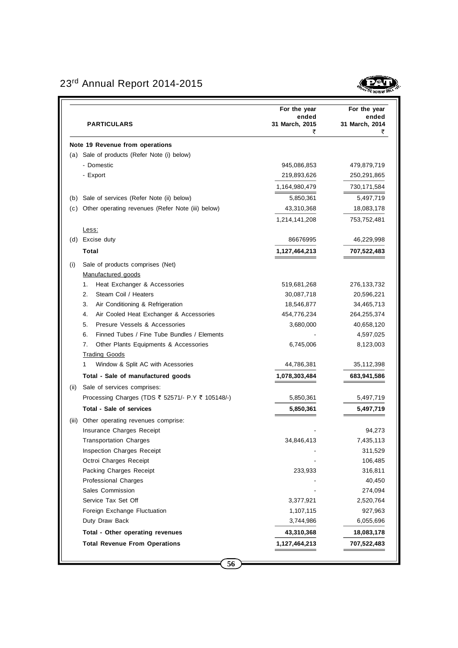### 23 rd Annual Report 2014-2015



|       |                                                   | For the year<br>ended | For the year<br>ended |
|-------|---------------------------------------------------|-----------------------|-----------------------|
|       | <b>PARTICULARS</b>                                | 31 March, 2015<br>₹   | 31 March, 2014<br>₹   |
|       | Note 19 Revenue from operations                   |                       |                       |
|       | (a) Sale of products (Refer Note (i) below)       |                       |                       |
|       | - Domestic                                        | 945,086,853           | 479,879,719           |
|       | - Export                                          | 219,893,626           | 250,291,865           |
|       |                                                   | 1,164,980,479         | 730,171,584           |
| (b)   | Sale of services (Refer Note (ii) below)          | 5,850,361             | 5,497,719             |
| (c)   | Other operating revenues (Refer Note (iii) below) | 43,310,368            | 18,083,178            |
|       |                                                   | 1,214,141,208         | 753,752,481           |
|       | <u>Less:</u>                                      |                       |                       |
|       | (d) Excise duty                                   | 86676995              | 46,229,998            |
|       | Total                                             | 1,127,464,213         | 707,522,483           |
| (i)   | Sale of products comprises (Net)                  |                       |                       |
|       | Manufactured goods                                |                       |                       |
| 1.    | Heat Exchanger & Accessories                      | 519,681,268           | 276,133,732           |
| 2.    | Steam Coil / Heaters                              | 30,087,718            | 20,596,221            |
| 3.    | Air Conditioning & Refrigeration                  | 18,546,877            | 34,465,713            |
| 4.    | Air Cooled Heat Exchanger & Accessories           | 454,776,234           | 264,255,374           |
| 5.    | Presure Vessels & Accessories                     | 3,680,000             | 40,658,120            |
| 6.    | Finned Tubes / Fine Tube Bundles / Elements       |                       | 4,597,025             |
| 7.    | Other Plants Equipments & Accessories             | 6,745,006             | 8,123,003             |
|       | <b>Trading Goods</b>                              |                       |                       |
| 1     | Window & Split AC with Acessories                 | 44,786,381            | 35,112,398            |
|       | Total - Sale of manufactured goods                | 1,078,303,484         | 683,941,586           |
| (ii)  | Sale of services comprises:                       |                       |                       |
|       | Processing Charges (TDS ₹ 52571/- P.Y ₹ 105148/-) | 5,850,361             | 5,497,719             |
|       | <b>Total - Sale of services</b>                   | 5,850,361             | 5,497,719             |
| (iii) | Other operating revenues comprise:                |                       |                       |
|       | Insurance Charges Receipt                         |                       | 94,273                |
|       | <b>Transportation Charges</b>                     | 34,846,413            | 7,435,113             |
|       | Inspection Charges Receipt                        |                       | 311,529               |
|       | Octroi Charges Receipt                            |                       | 106,485               |
|       | Packing Charges Receipt                           | 233,933               | 316,811               |
|       | <b>Professional Charges</b>                       |                       | 40,450                |
|       | Sales Commission                                  |                       | 274,094               |
|       | Service Tax Set Off                               | 3,377,921             | 2,520,764             |
|       | Foreign Exchange Fluctuation                      | 1,107,115             | 927,963               |
|       | Duty Draw Back                                    | 3,744,986             | 6,055,696             |
|       | Total - Other operating revenues                  | 43,310,368            | 18,083,178            |
|       | <b>Total Revenue From Operations</b>              | 1,127,464,213         | 707,522,483           |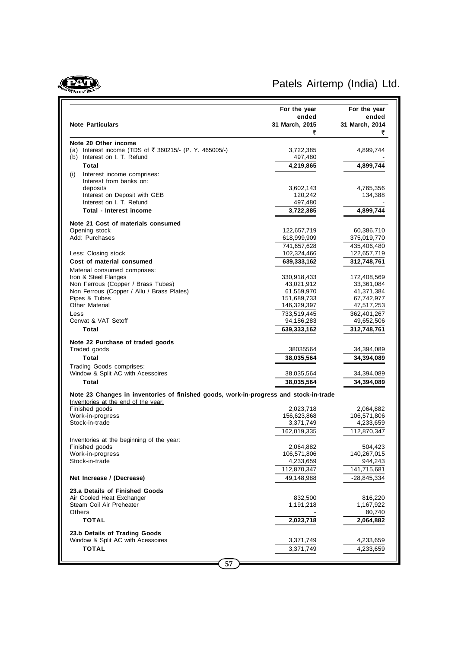

|                                                                                                                              | For the year              | For the year              |
|------------------------------------------------------------------------------------------------------------------------------|---------------------------|---------------------------|
|                                                                                                                              | ended                     | ended                     |
| <b>Note Particulars</b>                                                                                                      | 31 March, 2015            | 31 March, 2014            |
|                                                                                                                              | ₹                         | ₹                         |
| Note 20 Other income                                                                                                         |                           |                           |
| (a) Interest income (TDS of ₹ 360215/- (P. Y. 465005/-)                                                                      | 3,722,385                 | 4,899,744                 |
| (b) Interest on I. T. Refund                                                                                                 | 497,480                   |                           |
| Total                                                                                                                        | 4,219,865                 | 4,899,744                 |
| (i)<br>Interest income comprises:<br>Interest from banks on:                                                                 |                           |                           |
| deposits                                                                                                                     | 3,602,143                 | 4,765,356                 |
| Interest on Deposit with GEB                                                                                                 | 120,242                   | 134,388                   |
| Interest on I. T. Refund                                                                                                     | 497,480                   |                           |
| Total - Interest income                                                                                                      | 3,722,385                 | 4,899,744                 |
| Note 21 Cost of materials consumed                                                                                           |                           |                           |
| Opening stock                                                                                                                | 122,657,719               | 60,386,710                |
| Add: Purchases                                                                                                               | 618,999,909               | 375,019,770               |
|                                                                                                                              | 741,657,628               | 435,406,480               |
| Less: Closing stock                                                                                                          | 102,324,466               | 122,657,719               |
| Cost of material consumed                                                                                                    | 639,333,162               | 312,748,761               |
| Material consumed comprises:                                                                                                 |                           |                           |
| Iron & Steel Flanges                                                                                                         | 330,918,433               | 172,408,569               |
| Non Ferrous (Copper / Brass Tubes)                                                                                           | 43,021,912                | 33,361,084                |
| Non Ferrous (Copper / Allu / Brass Plates)                                                                                   | 61,559,970                | 41,371,384                |
| Pipes & Tubes<br>Other Material                                                                                              | 151,689,733               | 67,742,977                |
|                                                                                                                              | 146,329,397               | 47,517,253                |
| Less<br>Cenvat & VAT Setoff                                                                                                  | 733,519,445               | 362,401,267               |
| Total                                                                                                                        | 94,186,283<br>639,333,162 | 49,652,506<br>312,748,761 |
|                                                                                                                              |                           |                           |
| Note 22 Purchase of traded goods                                                                                             |                           |                           |
| Traded goods                                                                                                                 | 38035564                  | 34,394,089                |
| Total                                                                                                                        | 38,035,564                | 34,394,089                |
| Trading Goods comprises:<br>Window & Split AC with Acessoires                                                                |                           |                           |
| Total                                                                                                                        | 38,035,564<br>38,035,564  | 34,394,089<br>34,394,089  |
|                                                                                                                              |                           |                           |
| Note 23 Changes in inventories of finished goods, work-in-progress and stock-in-trade<br>Inventories at the end of the year: |                           |                           |
| Finished goods                                                                                                               | 2,023,718                 | 2,064,882                 |
| Work-in-progress                                                                                                             | 156,623,868               | 106,571,806               |
| Stock-in-trade                                                                                                               | 3,371,749                 | 4,233,659                 |
|                                                                                                                              | 162,019,335               | 112,870,347               |
| Inventories at the beginning of the year:                                                                                    |                           |                           |
| Finished goods                                                                                                               | 2,064,882                 | 504,423                   |
| Work-in-progress<br>Stock-in-trade                                                                                           | 106,571,806<br>4,233,659  | 140,267,015<br>944,243    |
|                                                                                                                              | 112,870,347               | 141,715,681               |
| Net Increase / (Decrease)                                                                                                    | 49,148,988                | -28,845,334               |
|                                                                                                                              |                           |                           |
| 23.a Details of Finished Goods                                                                                               |                           |                           |
| Air Cooled Heat Exchanger                                                                                                    | 832,500                   | 816,220                   |
| Steam Coil Air Preheater<br>Others                                                                                           | 1,191,218                 | 1,167,922<br>80,740       |
| TOTAL                                                                                                                        | 2,023,718                 | 2,064,882                 |
|                                                                                                                              |                           |                           |
| 23.b Details of Trading Goods                                                                                                |                           |                           |
| Window & Split AC with Acessoires                                                                                            | 3,371,749                 | 4,233,659                 |
| TOTAL                                                                                                                        | 3,371,749                 | 4,233,659                 |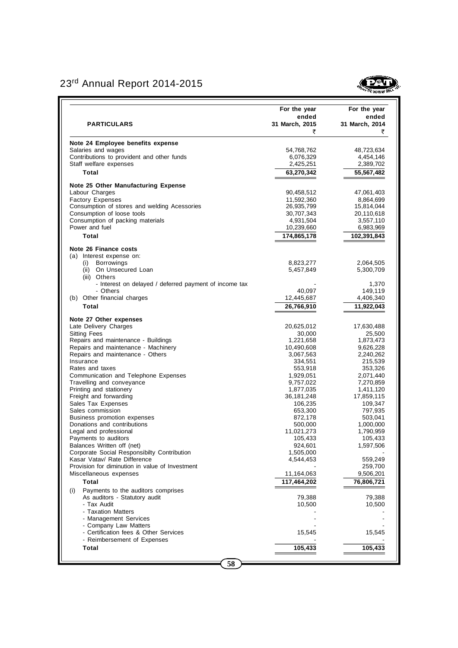### 23 rd Annual Report 2014-2015



|                                                                         | For the year            | For the year           |
|-------------------------------------------------------------------------|-------------------------|------------------------|
|                                                                         | ended                   | ended                  |
| <b>PARTICULARS</b>                                                      | 31 March, 2015          | 31 March, 2014         |
|                                                                         | ₹                       |                        |
| Note 24 Employee benefits expense                                       |                         |                        |
| Salaries and wages                                                      | 54,768,762              | 48,723,634             |
| Contributions to provident and other funds                              | 6,076,329               | 4,454,146              |
| Staff welfare expenses                                                  | 2,425,251               | 2,389,702              |
| Total                                                                   | 63,270,342              | 55,567,482             |
| Note 25 Other Manufacturing Expense                                     |                         |                        |
| Labour Charges                                                          | 90,458,512              | 47,061,403             |
| <b>Factory Expenses</b>                                                 | 11,592,360              | 8,864,699              |
| Consumption of stores and welding Acessories                            | 26,935,799              | 15,814,044             |
| Consumption of loose tools<br>Consumption of packing materials          | 30,707,343              | 20,110,618             |
| Power and fuel                                                          | 4,931,504<br>10,239,660 | 3,557,110<br>6,983,969 |
| <b>Total</b>                                                            |                         | 102,391,843            |
|                                                                         | 174,865,178             |                        |
| Note 26 Finance costs                                                   |                         |                        |
| (a) Interest expense on:                                                |                         |                        |
| <b>Borrowings</b><br>$\mathbf{(i)}$<br>On Unsecured Loan<br>(ii)        | 8,823,277<br>5,457,849  | 2,064,505<br>5,300,709 |
| (iii) Others                                                            |                         |                        |
| - Interest on delayed / deferred payment of income tax                  |                         | 1,370                  |
| - Others                                                                | 40,097                  | 149,119                |
| (b) Other financial charges                                             | 12,445,687              | 4,406,340              |
| <b>Total</b>                                                            | 26,766,910              | 11,922,043             |
|                                                                         |                         |                        |
| Note 27 Other expenses                                                  |                         |                        |
| Late Delivery Charges                                                   | 20,625,012              | 17,630,488             |
| <b>Sitting Fees</b>                                                     | 30,000                  | 25,500                 |
| Repairs and maintenance - Buildings                                     | 1,221,658               | 1,873,473              |
| Repairs and maintenance - Machinery<br>Repairs and maintenance - Others | 10,490,608<br>3,067,563 | 9,626,228<br>2,240,262 |
| Insurance                                                               | 334,551                 | 215,539                |
| Rates and taxes                                                         | 553,918                 | 353,326                |
| Communication and Telephone Expenses                                    | 1,929,051               | 2,071,440              |
| Travelling and conveyance                                               | 9,757,022               | 7,270,859              |
| Printing and stationery                                                 | 1,877,035               | 1,411,120              |
| Freight and forwarding                                                  | 36, 181, 248            | 17,859,115             |
| Sales Tax Expenses                                                      | 106,235                 | 109,347                |
| Sales commission                                                        | 653,300                 | 797,935                |
| Business promotion expenses                                             | 872,178                 | 503,041                |
| Donations and contributions                                             | 500,000                 | 1,000,000<br>1,790,959 |
| Legal and professional<br>Payments to auditors                          | 11,021,273<br>105,433   | 105,433                |
| Balances Written off (net)                                              | 924,601                 | 1,597,506              |
| Corporate Social Responsibilty Contribution                             | 1,505,000               |                        |
| Kasar Vatav/ Rate Difference                                            | 4,544,453               | 559,249                |
| Provision for diminution in value of Investment                         |                         | 259,700                |
| Miscellaneous expenses                                                  | 11,164,063              | 9,506,201              |
| Total                                                                   | 117,464,202             | 76,806,721             |
| (i)<br>Payments to the auditors comprises                               |                         |                        |
| As auditors - Statutory audit                                           | 79,388                  | 79,388                 |
| - Tax Audit                                                             | 10,500                  | 10,500                 |
| - Taxation Matters                                                      |                         |                        |
| - Management Services                                                   |                         |                        |
| - Company Law Matters                                                   |                         |                        |
| - Certification fees & Other Services<br>- Reimbersement of Expenses    | 15,545                  | 15,545                 |
|                                                                         |                         |                        |
| Total                                                                   | 105,433                 | 105,433                |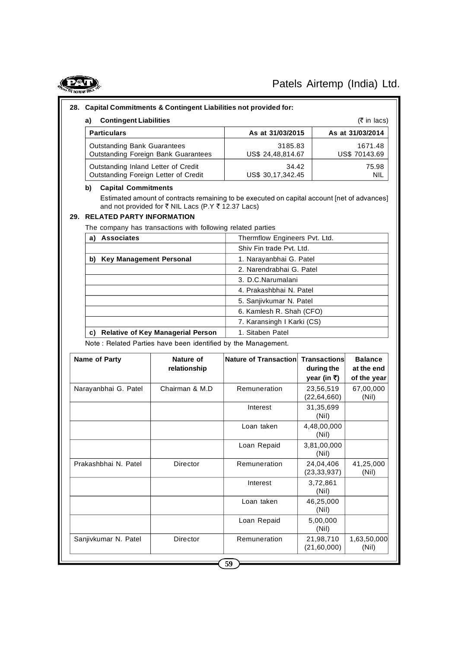

#### **28. Capital Commitments & Contingent Liabilities not provided for:**

#### **a) Contingent Liabilities** (` in lacs)

| a, vonungent Liabilities             |                   | (1 11 1000)      |
|--------------------------------------|-------------------|------------------|
| <b>Particulars</b>                   | As at 31/03/2015  | As at 31/03/2014 |
| <b>Outstanding Bank Guarantees</b>   | 3185.83           | 1671.48          |
| Outstanding Foreign Bank Guarantees  | US\$ 24,48,814.67 | US\$ 70143.69    |
| Outstanding Inland Letter of Credit  | 34.42             | 75.98            |
| Outstanding Foreign Letter of Credit | US\$ 30,17,342.45 | NIL              |

#### **b) Capital Commitments**

Estimated amount of contracts remaining to be executed on capital account [net of advances] and not provided for  $\bar{\tau}$  NIL Lacs (P.Y  $\bar{\tau}$  12.37 Lacs)

#### **29. RELATED PARTY INFORMATION**

The company has transactions with following related parties

| <b>Associates</b><br>a)                        | Thermflow Engineers Pvt. Ltd. |  |  |  |
|------------------------------------------------|-------------------------------|--|--|--|
|                                                | Shiv Fin trade Pvt. Ltd.      |  |  |  |
| Key Management Personal<br>b)                  | 1. Narayanbhai G. Patel       |  |  |  |
|                                                | 2. Narendrabhai G. Patel      |  |  |  |
|                                                | 3. D.C.Narumalani             |  |  |  |
|                                                | 4. Prakashbhai N. Patel       |  |  |  |
|                                                | 5. Sanjivkumar N. Patel       |  |  |  |
|                                                | 6. Kamlesh R. Shah (CFO)      |  |  |  |
|                                                | 7. Karansingh I Karki (CS)    |  |  |  |
| <b>Relative of Key Managerial Person</b><br>C) | 1. Sitaben Patel              |  |  |  |

Note : Related Parties have been identified by the Management.

| Name of Party        | Nature of<br>relationship | Nature of Transaction | <b>Transactions</b><br>during the<br>year (in ₹) | <b>Balance</b><br>at the end<br>of the year |
|----------------------|---------------------------|-----------------------|--------------------------------------------------|---------------------------------------------|
| Narayanbhai G. Patel | Chairman & M.D            | Remuneration          | 23,56,519<br>(22, 64, 660)                       | 67,00,000<br>(Nil)                          |
|                      |                           | Interest              | 31,35,699<br>(Nil)                               |                                             |
|                      |                           | Loan taken            | 4,48,00,000<br>(Nil)                             |                                             |
|                      |                           | Loan Repaid           | 3,81,00,000<br>(Nil)                             |                                             |
| Prakashbhai N. Patel | Director                  | Remuneration          | 24,04,406<br>(23, 33, 937)                       | 41,25,000<br>(Nil)                          |
|                      |                           | Interest              | 3,72,861<br>(Nil)                                |                                             |
|                      |                           | Loan taken            | 46,25,000<br>(Nil)                               |                                             |
|                      |                           | Loan Repaid           | 5,00,000<br>(Nil)                                |                                             |
| Sanjivkumar N. Patel | Director                  | Remuneration          | 21,98,710<br>(21,60,000)                         | 1,63,50,000<br>(Nil)                        |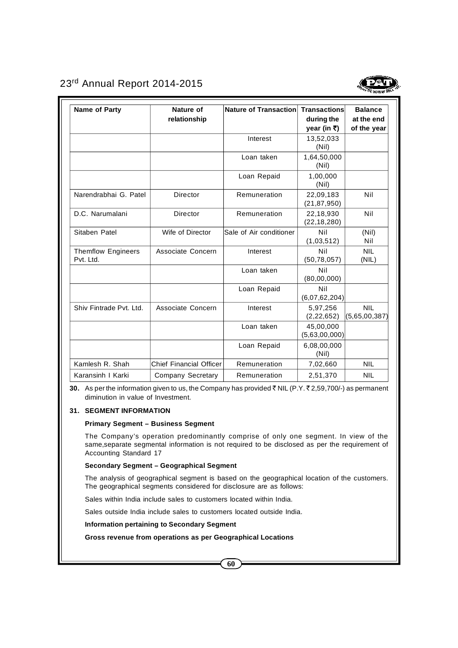

| Name of Party             | Nature of                      | <b>Nature of Transaction</b> | <b>Transactions</b>  | <b>Balance</b> |
|---------------------------|--------------------------------|------------------------------|----------------------|----------------|
|                           | relationship                   |                              | during the           | at the end     |
|                           |                                |                              | year (in $\bar{z}$ ) | of the year    |
|                           |                                | Interest                     | 13,52,033            |                |
|                           |                                |                              | (Nil)                |                |
|                           |                                | Loan taken                   | 1,64,50,000          |                |
|                           |                                |                              | (Nil)                |                |
|                           |                                | Loan Repaid                  | 1,00,000             |                |
|                           |                                |                              | (Nil)                |                |
| Narendrabhai G. Patel     | Director                       | Remuneration                 | 22,09,183            | Nil            |
|                           |                                |                              | (21, 87, 950)        |                |
| D.C. Narumalani           | Director                       | Remuneration                 | 22,18,930            | Nil            |
|                           |                                |                              | (22, 18, 280)        |                |
| Sitaben Patel             | Wife of Director               | Sale of Air conditioner      | Nil                  | (Nil)          |
|                           |                                |                              | (1,03,512)           | Nil            |
| <b>Themflow Engineers</b> | Associate Concern              | Interest                     | Nil                  | <b>NIL</b>     |
| Pvt. Ltd.                 |                                |                              | (50, 78, 057)        | (NIL)          |
|                           |                                | Loan taken                   | Nil                  |                |
|                           |                                |                              | (80,00,000)          |                |
|                           |                                | Loan Repaid                  | Nil                  |                |
|                           |                                |                              | (6,07,62,204)        |                |
| Shiv Fintrade Pvt. Ltd.   | Associate Concern              | Interest                     | 5,97,256             | <b>NIL</b>     |
|                           |                                |                              | (2, 22, 652)         | (5,65,00,387)  |
|                           |                                | Loan taken                   | 45,00,000            |                |
|                           |                                |                              | (5,63,00,000)        |                |
|                           |                                | Loan Repaid                  | 6,08,00,000          |                |
|                           |                                |                              | (Nil)                |                |
| Kamlesh R. Shah           | <b>Chief Financial Officer</b> | Remuneration                 | 7,02,660             | <b>NIL</b>     |
| Karansinh I Karki         | Company Secretary              | Remuneration                 | 2,51,370             | <b>NIL</b>     |

**30.** As per the information given to us, the Company has provided  $\bar{\tau}$  NIL (P.Y.  $\bar{\tau}$  2,59,700/-) as permanent diminution in value of Investment.

#### **31. SEGMENT INFORMATION**

#### **Primary Segment – Business Segment**

The Company's operation predominantly comprise of only one segment. In view of the same,separate segmental information is not required to be disclosed as per the requirement of Accounting Standard 17

#### **Secondary Segment – Geographical Segment**

The analysis of geographical segment is based on the geographical location of the customers. The geographical segments considered for disclosure are as follows:

Sales within India include sales to customers located within India.

Sales outside India include sales to customers located outside India.

#### **Information pertaining to Secondary Segment**

**Gross revenue from operations as per Geographical Locations**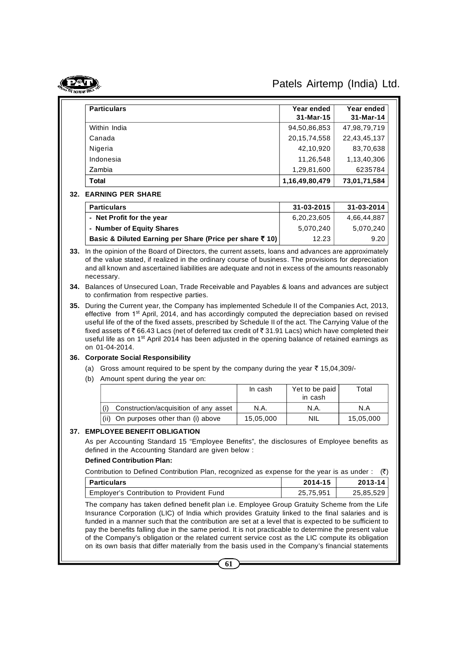

| <b>Particulars</b> | Year ended     | Year ended   |
|--------------------|----------------|--------------|
|                    | $31-Mar-15$    | $31-Mar-14$  |
| Within India       | 94,50,86,853   | 47,98,79,719 |
| Canada             | 20,15,74,558   | 22,43,45,137 |
| Nigeria            | 42,10,920      | 83,70,638    |
| Indonesia          | 11,26,548      | 1,13,40,306  |
| Zambia             | 1,29,81,600    | 6235784      |
| Total              | 1,16,49,80,479 | 73,01,71,584 |

#### **32. EARNING PER SHARE**

| <b>Particulars</b>                                       | 31-03-2015  | $31 - 03 - 2014$ |
|----------------------------------------------------------|-------------|------------------|
| - Net Profit for the year                                | 6,20,23,605 | 4,66,44,887      |
| - Number of Equity Shares                                | 5,070,240   | 5,070,240        |
| Basic & Diluted Earning per Share (Price per share ₹ 10) | 12.23       | 9.20             |

**33.** In the opinion of the Board of Directors, the current assets, loans and advances are approximately of the value stated, if realized in the ordinary course of business. The provisions for depreciation and all known and ascertained liabilities are adequate and not in excess of the amounts reasonably necessary.

**34.** Balances of Unsecured Loan, Trade Receivable and Payables & loans and advances are subject to confirmation from respective parties.

**35.** During the Current year, the Company has implemented Schedule II of the Companies Act, 2013, effective from 1<sup>st</sup> April, 2014, and has accordingly computed the depreciation based on revised useful life of the of the fixed assets, prescribed by Schedule II of the act. The Carrying Value of the fixed assets of  $\bar{\tau}$  66.43 Lacs (net of deferred tax credit of  $\bar{\tau}$  31.91 Lacs) which have completed their useful life as on  $1<sup>st</sup>$  April 2014 has been adjusted in the opening balance of retained earnings as on 01-04-2014.

#### **36. Corporate Social Responsibility**

- (a) Gross amount required to be spent by the company during the year  $\bar{\tau}$  15,04,309/-
- (b) Amount spent during the year on:

|                                          | In cash   | Yet to be paid<br>in cash | Total     |
|------------------------------------------|-----------|---------------------------|-----------|
| Construction/acquisition of any asset    | N.A.      | N.A.                      | N.A       |
| (ii)<br>On purposes other than (i) above | 15,05,000 | <b>NIL</b>                | 15,05,000 |

#### **37. EMPLOYEE BENEFIT OBLIGATION**

As per Accounting Standard 15 "Employee Benefits", the disclosures of Employee benefits as defined in the Accounting Standard are given below :

#### **Defined Contribution Plan:**

Contribution to Defined Contribution Plan, recognized as expense for the year is as under :  $(3)$ 

| <b>Particulars</b>                        | 2014-15   | $2013 - 14$ |
|-------------------------------------------|-----------|-------------|
| Employer's Contribution to Provident Fund | 25.75.951 | 25.85.529   |

The company has taken defined benefit plan i.e. Employee Group Gratuity Scheme from the Life Insurance Corporation (LIC) of India which provides Gratuity linked to the final salaries and is funded in a manner such that the contribution are set at a level that is expected to be sufficient to pay the benefits falling due in the same period. It is not practicable to determine the present value of the Company's obligation or the related current service cost as the LIC compute its obligation on its own basis that differ materially from the basis used in the Company's financial statements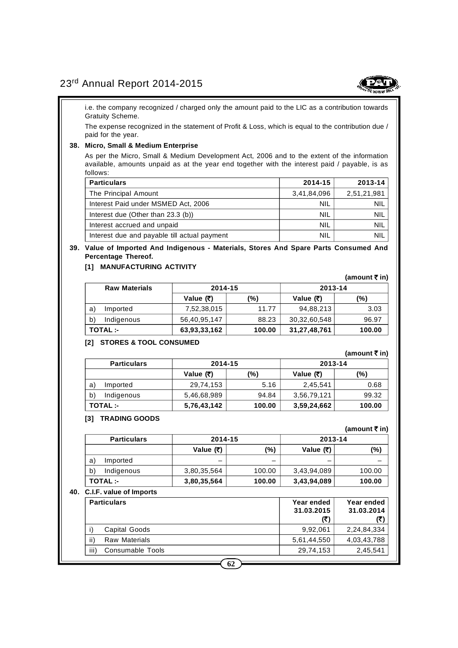

i.e. the company recognized / charged only the amount paid to the LIC as a contribution towards Gratuity Scheme.

The expense recognized in the statement of Profit & Loss, which is equal to the contribution due / paid for the year.

#### **38. Micro, Small & Medium Enterprise**

As per the Micro, Small & Medium Development Act, 2006 and to the extent of the information available, amounts unpaid as at the year end together with the interest paid / payable, is as follows:

| <b>Particulars</b>                           | 2014-15     | 2013-14     |
|----------------------------------------------|-------------|-------------|
| The Principal Amount                         | 3,41,84,096 | 2,51,21,981 |
| Interest Paid under MSMED Act, 2006          | <b>NIL</b>  | <b>NIL</b>  |
| Interest due (Other than $23.3$ (b))         | <b>NIL</b>  | <b>NIL</b>  |
| Interest accrued and unpaid                  | <b>NIL</b>  | <b>NIL</b>  |
| Interest due and payable till actual payment | <b>NIL</b>  | <b>NIL</b>  |

#### **39. Value of Imported And Indigenous - Materials, Stores And Spare Parts Consumed And Percentage Thereof.**

#### **[1] MANUFACTURING ACTIVITY**

**Raw Materials 2014-15 2013-14 Value (`) (%) Value (`) (%)** a) Imported 17,52,38,015 11.77 94,88,213 3.03 b) Indigenous  $\begin{array}{|c|c|c|c|c|c|c|c|c|} \hline \end{array}$  56,40,95,147 88.23 30,32,60,548 96.97 **TOTAL :- 63,93,33,162 100.00 31,27,48,761 100.00**

#### **[2] STORES & TOOL CONSUMED**

|    |                                         |             |             |             | (amount ₹ in) |  |
|----|-----------------------------------------|-------------|-------------|-------------|---------------|--|
|    | <b>Particulars</b>                      | 2014-15     |             | 2013-14     |               |  |
|    |                                         | Value (₹)   | $(\%)$      | Value (₹)   | (%)           |  |
| a) | Imported                                | 29,74,153   | 5.16        | 2,45,541    | 0.68          |  |
| b  | Indigenous                              | 5,46,68,989 | 94.84       | 3,56,79,121 | 99.32         |  |
|    | 5,76,43,142<br>100.00<br><b>TOTAL:-</b> |             | 3,59,24,662 | 100.00      |               |  |

#### **[3] TRADING GOODS**

### **Particulars 2014-15 2013-14 Value (`) (%) Value (`) (%)** a) Imported — | — | — | b) Indigenous  $\begin{array}{|c|c|c|c|c|c|c|c|} \hline \end{array}$  3,80,35,564 100.00 3,43,94,089 100.00 **TOTAL :- 3,80,35,564 100.00 3,43,94,089 100.00**

#### **40. C.I.F. value of Imports**

|      | <b>Particulars</b>   | Year ended<br>31.03.2015 | Year ended<br>31.03.2014<br>(₹) |
|------|----------------------|--------------------------|---------------------------------|
|      | Capital Goods        | 9,92,061                 | 2,24,84,334                     |
| ii)  | <b>Raw Materials</b> | 5,61,44,550              | 4,03,43,788                     |
| iii) | Consumable Tools     | 29,74,153                | 2,45,541                        |

## **(amount ` in)**

### **(amount ` in)**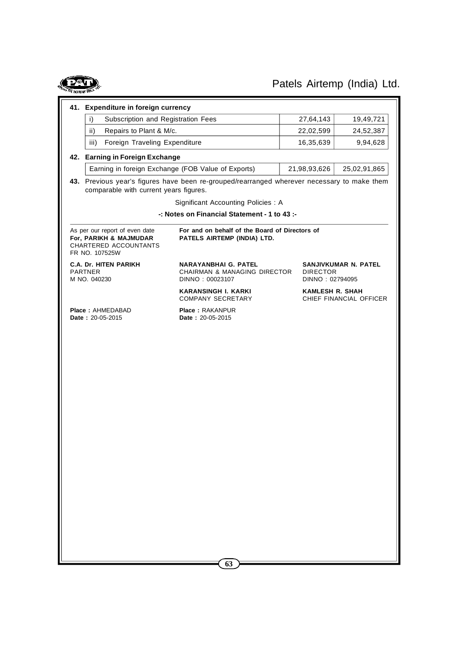

|                                                                | 41. Expenditure in foreign currency                                                                 |                                                                                                                                       |                                    |                                            |  |  |
|----------------------------------------------------------------|-----------------------------------------------------------------------------------------------------|---------------------------------------------------------------------------------------------------------------------------------------|------------------------------------|--------------------------------------------|--|--|
|                                                                | i)                                                                                                  | Subscription and Registration Fees                                                                                                    | 27,64,143                          | 19,49,721                                  |  |  |
|                                                                | ii)                                                                                                 | Repairs to Plant & M/c.                                                                                                               | 22,02,599                          | 24,52,387                                  |  |  |
|                                                                | iii)                                                                                                | Foreign Traveling Expenditure                                                                                                         | 16,35,639                          | 9,94,628                                   |  |  |
| 42.                                                            | <b>Earning in Foreign Exchange</b>                                                                  |                                                                                                                                       |                                    |                                            |  |  |
|                                                                |                                                                                                     | Earning in foreign Exchange (FOB Value of Exports)                                                                                    | 21,98,93,626                       | 25,02,91,865                               |  |  |
|                                                                |                                                                                                     | 43. Previous year's figures have been re-grouped/rearranged wherever necessary to make them<br>comparable with current years figures. |                                    |                                            |  |  |
|                                                                |                                                                                                     | Significant Accounting Policies: A                                                                                                    |                                    |                                            |  |  |
|                                                                |                                                                                                     | -: Notes on Financial Statement - 1 to 43 :-                                                                                          |                                    |                                            |  |  |
|                                                                | As per our report of even date<br>For, PARIKH & MAJMUDAR<br>CHARTERED ACCOUNTANTS<br>FR NO. 107525W | For and on behalf of the Board of Directors of<br>PATELS AIRTEMP (INDIA) LTD.                                                         |                                    |                                            |  |  |
| <b>C.A. Dr. HITEN PARIKH</b><br><b>PARTNER</b><br>M NO. 040230 |                                                                                                     | <b>NARAYANBHAI G. PATEL</b><br>CHAIRMAN & MANAGING DIRECTOR<br>DINNO: 00023107                                                        | <b>DIRECTOR</b><br>DINNO: 02794095 | SANJIVKUMAR N. PATEL                       |  |  |
|                                                                |                                                                                                     | <b>KARANSINGH I. KARKI</b><br><b>COMPANY SECRETARY</b>                                                                                |                                    | KAMLESH R. SHAH<br>CHIEF FINANCIAL OFFICER |  |  |
|                                                                | <b>Place: AHMEDABAD</b><br>Date: 20-05-2015                                                         | <b>Place: RAKANPUR</b><br>Date: 20-05-2015                                                                                            |                                    |                                            |  |  |
|                                                                |                                                                                                     |                                                                                                                                       |                                    |                                            |  |  |
|                                                                |                                                                                                     |                                                                                                                                       |                                    |                                            |  |  |
|                                                                |                                                                                                     |                                                                                                                                       |                                    |                                            |  |  |
|                                                                |                                                                                                     |                                                                                                                                       |                                    |                                            |  |  |
|                                                                |                                                                                                     |                                                                                                                                       |                                    |                                            |  |  |
|                                                                |                                                                                                     |                                                                                                                                       |                                    |                                            |  |  |
|                                                                |                                                                                                     |                                                                                                                                       |                                    |                                            |  |  |
|                                                                |                                                                                                     |                                                                                                                                       |                                    |                                            |  |  |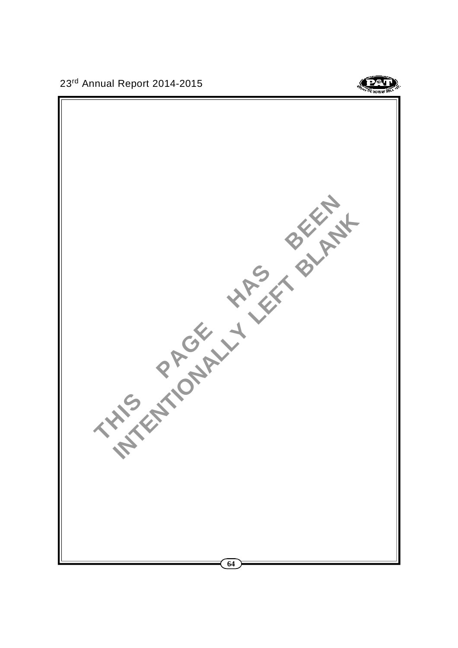

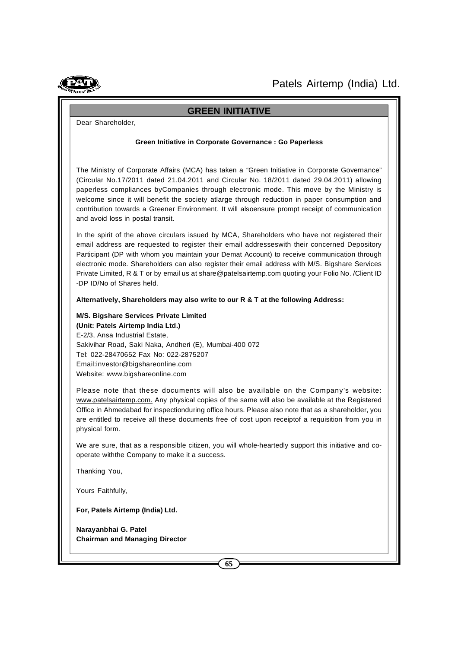

### **GREEN INITIATIVE**

Dear Shareholder,

#### **Green Initiative in Corporate Governance : Go Paperless**

The Ministry of Corporate Affairs (MCA) has taken a "Green Initiative in Corporate Governance" (Circular No.17/2011 dated 21.04.2011 and Circular No. 18/2011 dated 29.04.2011) allowing paperless compliances byCompanies through electronic mode. This move by the Ministry is welcome since it will benefit the society atlarge through reduction in paper consumption and contribution towards a Greener Environment. It will alsoensure prompt receipt of communication and avoid loss in postal transit.

In the spirit of the above circulars issued by MCA, Shareholders who have not registered their email address are requested to register their email addresseswith their concerned Depository Participant (DP with whom you maintain your Demat Account) to receive communication through electronic mode. Shareholders can also register their email address with M/S. Bigshare Services Private Limited, R & T or by email us at share@patelsairtemp.com quoting your Folio No. /Client ID -DP ID/No of Shares held.

#### **Alternatively, Shareholders may also write to our R & T at the following Address:**

#### **M/S. Bigshare Services Private Limited (Unit: Patels Airtemp India Ltd.)** E-2/3, Ansa Industrial Estate,

Sakivihar Road, Saki Naka, Andheri (E), Mumbai-400 072 Tel: 022-28470652 Fax No: 022-2875207 Email:investor@bigshareonline.com Website: www.bigshareonline.com

Please note that these documents will also be available on the Company's website: www.patelsairtemp.com. Any physical copies of the same will also be available at the Registered Office in Ahmedabad for inspectionduring office hours. Please also note that as a shareholder, you are entitled to receive all these documents free of cost upon receiptof a requisition from you in physical form.

We are sure, that as a responsible citizen, you will whole-heartedly support this initiative and cooperate withthe Company to make it a success.

Thanking You,

Yours Faithfully,

**For, Patels Airtemp (India) Ltd.**

**Narayanbhai G. Patel Chairman and Managing Director**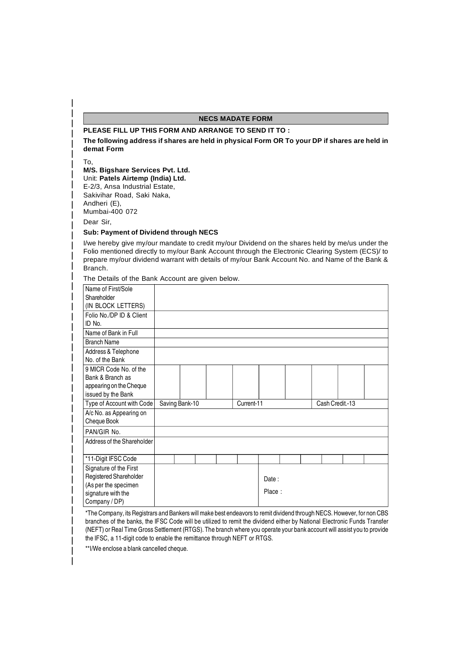#### **NECS MADATE FORM**

#### **PLEASE FILL UP THIS FORM AND ARRANGE TO SEND IT TO :**

#### **The following address if shares are held in physical Form OR To your DP if shares are held in demat Form**

To,

### **M/S. Bigshare Services Pvt. Ltd.**

Unit: **Patels Airtemp (India) Ltd.**

E-2/3, Ansa Industrial Estate, Sakivihar Road, Saki Naka, Andheri (E),

Mumbai-400 072

Dear Sir,

#### **Sub: Payment of Dividend through NECS**

I/we hereby give my/our mandate to credit my/our Dividend on the shares held by me/us under the Folio mentioned directly to my/our Bank Account through the Electronic Clearing System (ECS)/ to prepare my/our dividend warrant with details of my/our Bank Account No. and Name of the Bank & Branch.

The Details of the Bank Account are given below.

| Name of First/Sole         |                |  |            |        |  |                 |  |
|----------------------------|----------------|--|------------|--------|--|-----------------|--|
| Shareholder                |                |  |            |        |  |                 |  |
| (IN BLOCK LETTERS)         |                |  |            |        |  |                 |  |
| Folio No./DP ID & Client   |                |  |            |        |  |                 |  |
| ID No.                     |                |  |            |        |  |                 |  |
| Name of Bank in Full       |                |  |            |        |  |                 |  |
| <b>Branch Name</b>         |                |  |            |        |  |                 |  |
| Address & Telephone        |                |  |            |        |  |                 |  |
| No. of the Bank            |                |  |            |        |  |                 |  |
| 9 MICR Code No. of the     |                |  |            |        |  |                 |  |
| Bank & Branch as           |                |  |            |        |  |                 |  |
| appearing on the Cheque    |                |  |            |        |  |                 |  |
| issued by the Bank         |                |  |            |        |  |                 |  |
| Type of Account with Code  | Saving Bank-10 |  | Current-11 |        |  | Cash Credit.-13 |  |
| A/c No. as Appearing on    |                |  |            |        |  |                 |  |
| Cheque Book                |                |  |            |        |  |                 |  |
| PAN/GIR No.                |                |  |            |        |  |                 |  |
| Address of the Shareholder |                |  |            |        |  |                 |  |
|                            |                |  |            |        |  |                 |  |
| *11-Digit IFSC Code        |                |  |            |        |  |                 |  |
| Signature of the First     |                |  |            |        |  |                 |  |
| Registered Shareholder     |                |  |            | Date:  |  |                 |  |
| (As per the specimen       |                |  |            |        |  |                 |  |
| signature with the         |                |  |            | Place: |  |                 |  |
| Company / DP)              |                |  |            |        |  |                 |  |

\*The Company, its Registrars and Bankers will make best endeavors to remit dividend through NECS. However, for non CBS branches of the banks, the IFSC Code will be utilized to remit the dividend either by National Electronic Funds Transfer (NEFT) or Real Time Gross Settlement (RTGS). The branch where you operate your bank account will assist you to provide the IFSC, a 11-digit code to enable the remittance through NEFT or RTGS.

\*\*I/We enclose a blank cancelled cheque.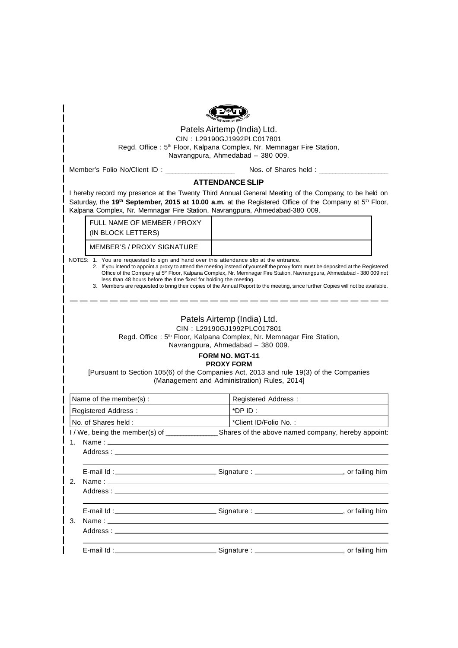

#### Patels Airtemp (India) Ltd. CIN : L29190GJ1992PLC017801 Regd. Office: 5<sup>th</sup> Floor, Kalpana Complex, Nr. Memnagar Fire Station, Navrangpura, Ahmedabad – 380 009.

Member's Folio No/Client ID : each metal of Shares held :

#### **ATTENDANCE SLIP**

I hereby record my presence at the Twenty Third Annual General Meeting of the Company, to be held on Saturday, the 19<sup>th</sup> September, 2015 at 10.00 a.m. at the Registered Office of the Company at 5<sup>th</sup> Floor, Kalpana Complex, Nr. Memnagar Fire Station, Navrangpura, Ahmedabad-380 009.

FULL NAME OF MEMBER / PROXY

(IN BLOCK LETTERS)

MEMBER'S / PROXY SIGNATURE

NOTES: 1. You are requested to sign and hand over this attendance slip at the entrance.

2. If you intend to appoint a proxy to attend the meeting instead of yourself the proxy form must be deposited at the Registered Office of the Company at 5th Floor, Kalpana Complex, Nr. Memnagar Fire Station, Navrangpura, Ahmedabad - 380 009 not less than 48 hours before the time fixed for holding the meeting.

3. Members are requested to bring their copies of the Annual Report to the meeting, since further Copies will not be available.

#### Patels Airtemp (India) Ltd.

CIN : L29190GJ1992PLC017801

Regd. Office : 5<sup>th</sup> Floor, Kalpana Complex, Nr. Memnagar Fire Station,

Navrangpura, Ahmedabad – 380 009.

#### **FORM NO. MGT-11 PROXY FORM**

[Pursuant to Section 105(6) of the Companies Act, 2013 and rule 19(3) of the Companies

(Management and Administration) Rules, 2014]

| Name of the member(s) :        | Registered Address:                                                                                                                                                                                                            |  |
|--------------------------------|--------------------------------------------------------------------------------------------------------------------------------------------------------------------------------------------------------------------------------|--|
| Registered Address:            | $^*$ DPID:                                                                                                                                                                                                                     |  |
| No. of Shares held:            | *Client ID/Folio No.:                                                                                                                                                                                                          |  |
|                                |                                                                                                                                                                                                                                |  |
| Name: $\frac{1}{2}$<br>$1_{-}$ |                                                                                                                                                                                                                                |  |
|                                |                                                                                                                                                                                                                                |  |
|                                |                                                                                                                                                                                                                                |  |
| 2.                             | Name: 2008 - 2008 - 2008 - 2019 - 2019 - 2019 - 2019 - 2019 - 2019 - 2019 - 2019 - 2019 - 2019 - 2019 - 2019 - 2019 - 2019 - 2019 - 2019 - 2019 - 2019 - 2019 - 2019 - 2019 - 2019 - 2019 - 2019 - 2019 - 2019 - 2019 - 2019 - |  |
|                                |                                                                                                                                                                                                                                |  |
|                                |                                                                                                                                                                                                                                |  |
| 3.                             |                                                                                                                                                                                                                                |  |
|                                |                                                                                                                                                                                                                                |  |
|                                |                                                                                                                                                                                                                                |  |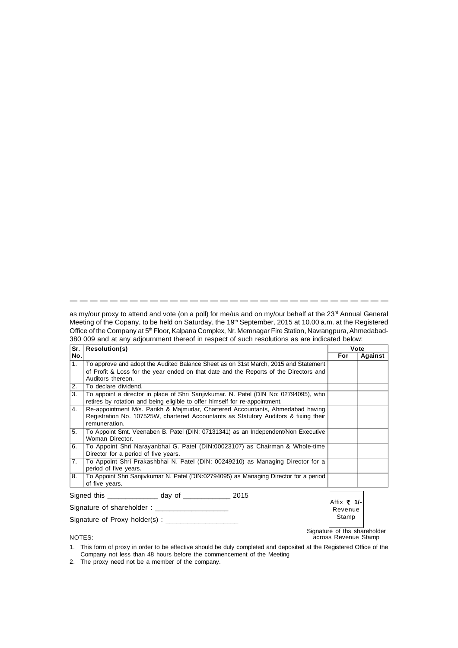as my/our proxy to attend and vote (on a poll) for me/us and on my/our behalf at the 23<sup>rd</sup> Annual General Meeting of the Copany, to be held on Saturday, the 19<sup>th</sup> September, 2015 at 10.00 a.m. at the Registered Office of the Company at 5<sup>th</sup> Floor, Kalpana Complex, Nr. Memnagar Fire Station, Navrangpura, Ahmedabad-380 009 and at any adjournment thereof in respect of such resolutions as are indicated below:

|     | Sr.   Resolution(s)                                                                   |             | Vote    |  |  |
|-----|---------------------------------------------------------------------------------------|-------------|---------|--|--|
| No. |                                                                                       | For         | Against |  |  |
| 1.  | To approve and adopt the Audited Balance Sheet as on 31st March, 2015 and Statement   |             |         |  |  |
|     | of Profit & Loss for the year ended on that date and the Reports of the Directors and |             |         |  |  |
|     | Auditors thereon.                                                                     |             |         |  |  |
| 2.  | To declare dividend.                                                                  |             |         |  |  |
| 3.  | To appoint a director in place of Shri Sanjivkumar. N. Patel (DIN No: 02794095), who  |             |         |  |  |
|     | retires by rotation and being eligible to offer himself for re-appointment.           |             |         |  |  |
| 4.  | Re-appointment M/s. Parikh & Majmudar, Chartered Accountants, Ahmedabad having        |             |         |  |  |
|     | Registration No. 107525W, chartered Accountants as Statutory Auditors & fixing their  |             |         |  |  |
|     | remuneration.                                                                         |             |         |  |  |
| 5.  | To Appoint Smt. Veenaben B. Patel (DIN: 07131341) as an Independent/Non Executive     |             |         |  |  |
|     | Woman Director.                                                                       |             |         |  |  |
| 6.  | To Appoint Shri Narayanbhai G. Patel (DIN:00023107) as Chairman & Whole-time          |             |         |  |  |
|     | Director for a period of five years.                                                  |             |         |  |  |
| 7.  | To Appoint Shri Prakashbhai N. Patel (DIN: 00249210) as Managing Director for a       |             |         |  |  |
|     | period of five years.                                                                 |             |         |  |  |
| 8.  | To Appoint Shri Sanjivkumar N. Patel (DIN:02794095) as Managing Director for a period |             |         |  |  |
|     | of five years.                                                                        |             |         |  |  |
|     | Signed this ___________________ day of ___________________ 2015                       |             |         |  |  |
|     |                                                                                       | Affix ₹ 1/- |         |  |  |
|     | Signature of shareholder:                                                             | Revenue     |         |  |  |
|     | Signature of Proxy holder(s) : _                                                      | Stamp       |         |  |  |

NOTES:

Signature of ths shareholder across Revenue Stamp

- 1. This form of proxy in order to be effective should be duly completed and deposited at the Registered Office of the Company not less than 48 hours before the commencement of the Meeting
- 2. The proxy need not be a member of the company.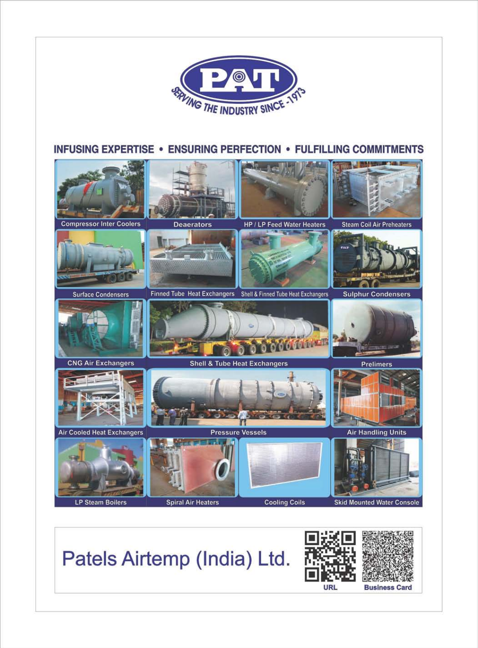

### INFUSING EXPERTISE . ENSURING PERFECTION . FULFILLING COMMITMENTS



# Patels Airtemp (India) Ltd.





**Business Card**